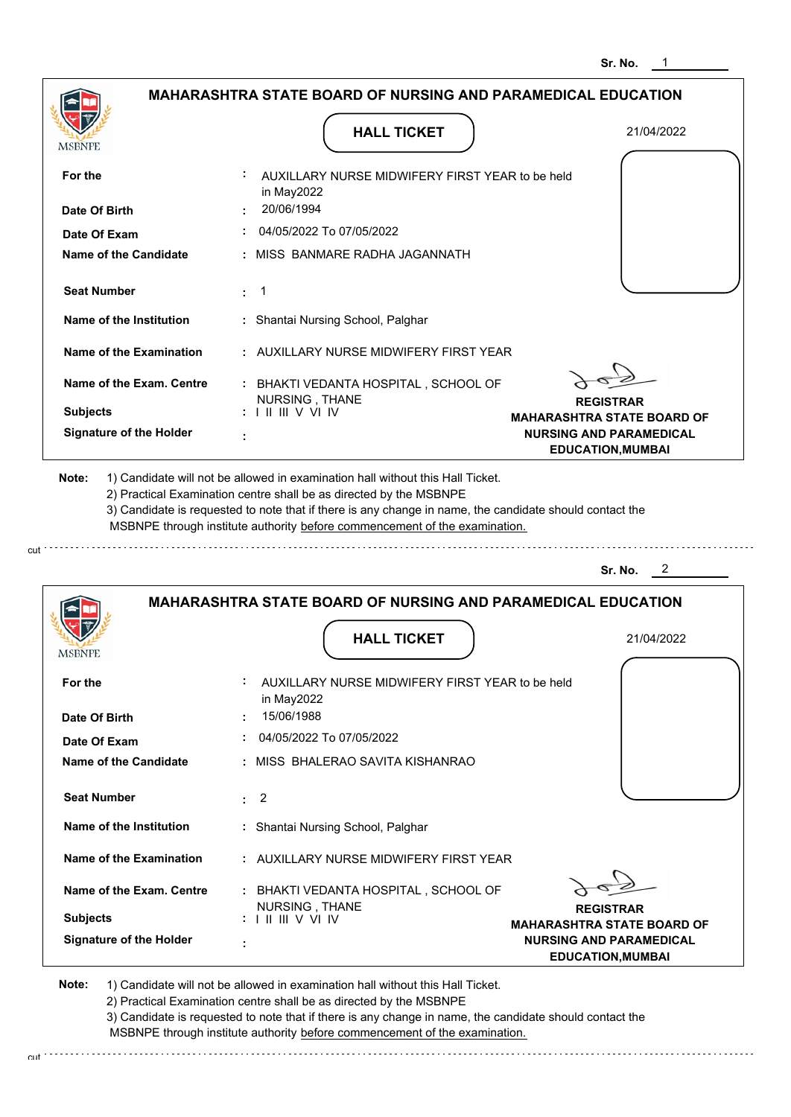|                                | <b>MAHARASHTRA STATE BOARD OF NURSING AND PARAMEDICAL EDUCATION</b><br><b>HALL TICKET</b>                                                                                                                                                                                                                                                     | 21/04/2022                                                                                      |
|--------------------------------|-----------------------------------------------------------------------------------------------------------------------------------------------------------------------------------------------------------------------------------------------------------------------------------------------------------------------------------------------|-------------------------------------------------------------------------------------------------|
| MSBNPE                         |                                                                                                                                                                                                                                                                                                                                               |                                                                                                 |
| For the                        | AUXILLARY NURSE MIDWIFERY FIRST YEAR to be held<br>in May2022                                                                                                                                                                                                                                                                                 |                                                                                                 |
| Date Of Birth                  | 20/06/1994                                                                                                                                                                                                                                                                                                                                    |                                                                                                 |
| Date Of Exam                   | 04/05/2022 To 07/05/2022                                                                                                                                                                                                                                                                                                                      |                                                                                                 |
| <b>Name of the Candidate</b>   | : MISS BANMARE RADHA JAGANNATH                                                                                                                                                                                                                                                                                                                |                                                                                                 |
| <b>Seat Number</b>             | $\cdot$ 1                                                                                                                                                                                                                                                                                                                                     |                                                                                                 |
| Name of the Institution        | : Shantai Nursing School, Palghar                                                                                                                                                                                                                                                                                                             |                                                                                                 |
| Name of the Examination        | : AUXILLARY NURSE MIDWIFERY FIRST YEAR                                                                                                                                                                                                                                                                                                        |                                                                                                 |
| Name of the Exam. Centre       | : BHAKTI VEDANTA HOSPITAL, SCHOOL OF                                                                                                                                                                                                                                                                                                          |                                                                                                 |
| <b>Subjects</b>                | NURSING, THANE<br>: 1 II III V VI IV                                                                                                                                                                                                                                                                                                          | <b>REGISTRAR</b>                                                                                |
| <b>Signature of the Holder</b> |                                                                                                                                                                                                                                                                                                                                               | <b>MAHARASHTRA STATE BOARD OF</b><br><b>NURSING AND PARAMEDICAL</b><br><b>EDUCATION, MUMBAI</b> |
| Note:                          | 1) Candidate will not be allowed in examination hall without this Hall Ticket.<br>2) Practical Examination centre shall be as directed by the MSBNPE<br>3) Candidate is requested to note that if there is any change in name, the candidate should contact the<br>MSBNPE through institute authority before commencement of the examination. | 2<br>Sr. No.                                                                                    |
|                                |                                                                                                                                                                                                                                                                                                                                               |                                                                                                 |
|                                | <b>MAHARASHTRA STATE BOARD OF NURSING AND PARAMEDICAL EDUCATION</b>                                                                                                                                                                                                                                                                           |                                                                                                 |
| <b>MSBNPE</b>                  | <b>HALL TICKET</b>                                                                                                                                                                                                                                                                                                                            | 21/04/2022                                                                                      |
| For the                        | AUXILLARY NURSE MIDWIFERY FIRST YEAR to be held<br>in May2022                                                                                                                                                                                                                                                                                 |                                                                                                 |
| Data Of Dirth                  | 15/06/1988                                                                                                                                                                                                                                                                                                                                    |                                                                                                 |

**REGISTRAR MAHARASHTRA STATE BOARD OF NURSING AND PARAMEDICAL EDUCATION,MUMBAI Signature of the Holder Name of the Exam. Centre Name of the Examination Name of the Institution Seat Number Name of the Candidate :** MISS BHALERAO SAVITA KISHANRAO  **:** 2  **:** Shantai Nursing School, Palghar  **:** AUXILLARY NURSE MIDWIFERY FIRST YEAR  **:** BHAKTI VEDANTA HOSPITAL , SCHOOL OF  **: Subjects : Date Of Birth : Date Of Exam :** 15/06/1988 NURSING , THANE I II III V VI IV 04/05/2022 To 07/05/2022

**Note:**  1) Candidate will not be allowed in examination hall without this Hall Ticket. 2) Practical Examination centre shall be as directed by the MSBNPE 3) Candidate is requested to note that if there is any change in name, the candidate should contact the MSBNPE through institute authority before commencement of the examination.

cut

cut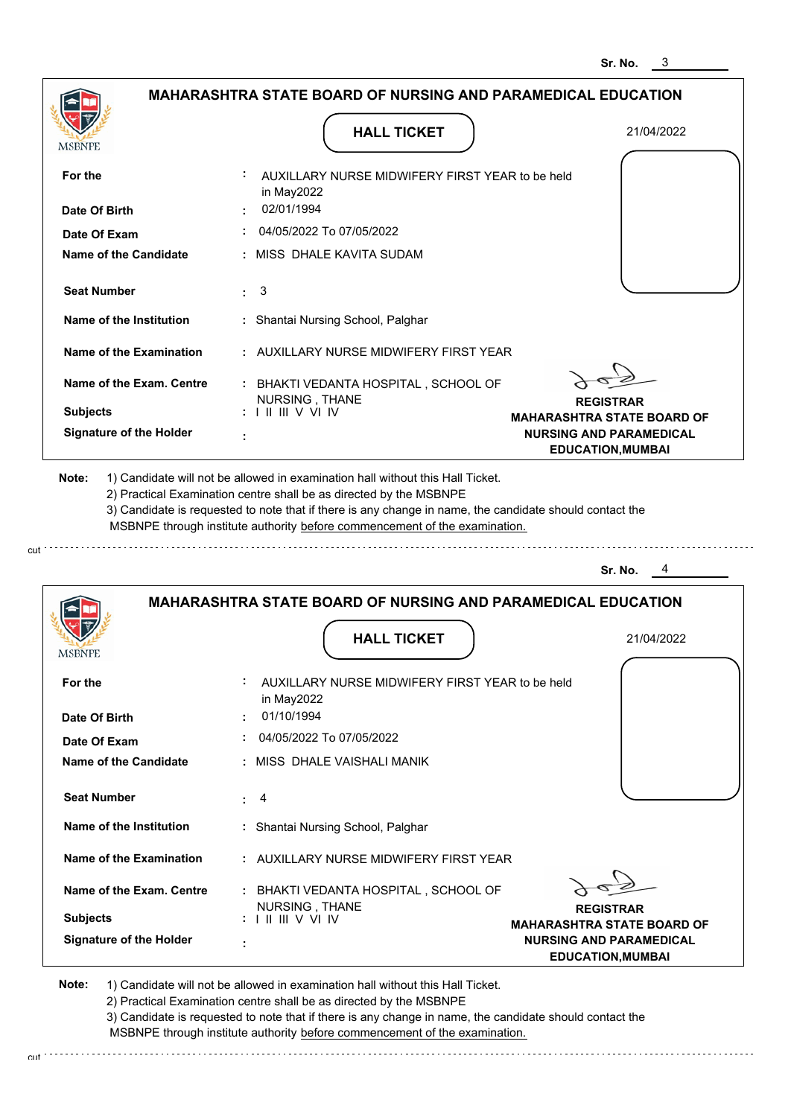|                                | <b>MAHARASHTRA STATE BOARD OF NURSING AND PARAMEDICAL EDUCATION</b>                                                                                                                                                                                         |                                                            |
|--------------------------------|-------------------------------------------------------------------------------------------------------------------------------------------------------------------------------------------------------------------------------------------------------------|------------------------------------------------------------|
|                                | <b>HALL TICKET</b>                                                                                                                                                                                                                                          | 21/04/2022                                                 |
| For the                        | AUXILLARY NURSE MIDWIFERY FIRST YEAR to be held<br>in May2022                                                                                                                                                                                               |                                                            |
| Date Of Birth                  | 02/01/1994                                                                                                                                                                                                                                                  |                                                            |
| Date Of Exam                   | 04/05/2022 To 07/05/2022                                                                                                                                                                                                                                    |                                                            |
| Name of the Candidate          | : MISS DHALE KAVITA SUDAM                                                                                                                                                                                                                                   |                                                            |
| <b>Seat Number</b>             | $\pm$ 3                                                                                                                                                                                                                                                     |                                                            |
| Name of the Institution        | : Shantai Nursing School, Palghar                                                                                                                                                                                                                           |                                                            |
| Name of the Examination        | : AUXILLARY NURSE MIDWIFERY FIRST YEAR                                                                                                                                                                                                                      |                                                            |
| Name of the Exam. Centre       | : BHAKTI VEDANTA HOSPITAL, SCHOOL OF                                                                                                                                                                                                                        |                                                            |
| <b>Subjects</b>                | NURSING, THANE<br>: 11111VV1V                                                                                                                                                                                                                               | <b>REGISTRAR</b><br><b>MAHARASHTRA STATE BOARD OF</b>      |
| <b>Signature of the Holder</b> |                                                                                                                                                                                                                                                             | <b>NURSING AND PARAMEDICAL</b><br><b>EDUCATION, MUMBAI</b> |
|                                | 2) Practical Examination centre shall be as directed by the MSBNPE<br>3) Candidate is requested to note that if there is any change in name, the candidate should contact the<br>MSBNPE through institute authority before commencement of the examination. | Sr. No.                                                    |
|                                |                                                                                                                                                                                                                                                             |                                                            |
|                                | <b>MAHARASHTRA STATE BOARD OF NURSING AND PARAMEDICAL EDUCATION</b>                                                                                                                                                                                         |                                                            |
| MSBNPE                         | <b>HALL TICKET</b>                                                                                                                                                                                                                                          | 21/04/2022                                                 |
| For the                        | AUXILLARY NURSE MIDWIFERY FIRST YEAR to be held<br>in May2022                                                                                                                                                                                               |                                                            |
| Date Of Birth                  |                                                                                                                                                                                                                                                             |                                                            |
|                                | 01/10/1994                                                                                                                                                                                                                                                  |                                                            |
| Date Of Exam                   | 04/05/2022 To 07/05/2022                                                                                                                                                                                                                                    |                                                            |
| <b>Name of the Candidate</b>   | MISS DHALE VAISHALI MANIK                                                                                                                                                                                                                                   |                                                            |
| <b>Seat Number</b>             | 4<br>÷.                                                                                                                                                                                                                                                     |                                                            |
| Name of the Institution        | : Shantai Nursing School, Palghar                                                                                                                                                                                                                           |                                                            |

**REGISTRAR MAHARASHTRA STATE BOARD OF NURSING AND PARAMEDICAL EDUCATION,MUMBAI Signature of the Holder Name of the Exam. Centre :** BHAKTI VEDANTA HOSPITAL , SCHOOL OF  **: Subjects :** NURSING , THANE I II III V VI IV

**Note:**  1) Candidate will not be allowed in examination hall without this Hall Ticket. 2) Practical Examination centre shall be as directed by the MSBNPE 3) Candidate is requested to note that if there is any change in name, the candidate should contact the

cut

 MSBNPE through institute authority before commencement of the examination. cut de la component de la component de la component de la component de la component de la component de la component de la component de la component de la component de la component de la component de la component de la comp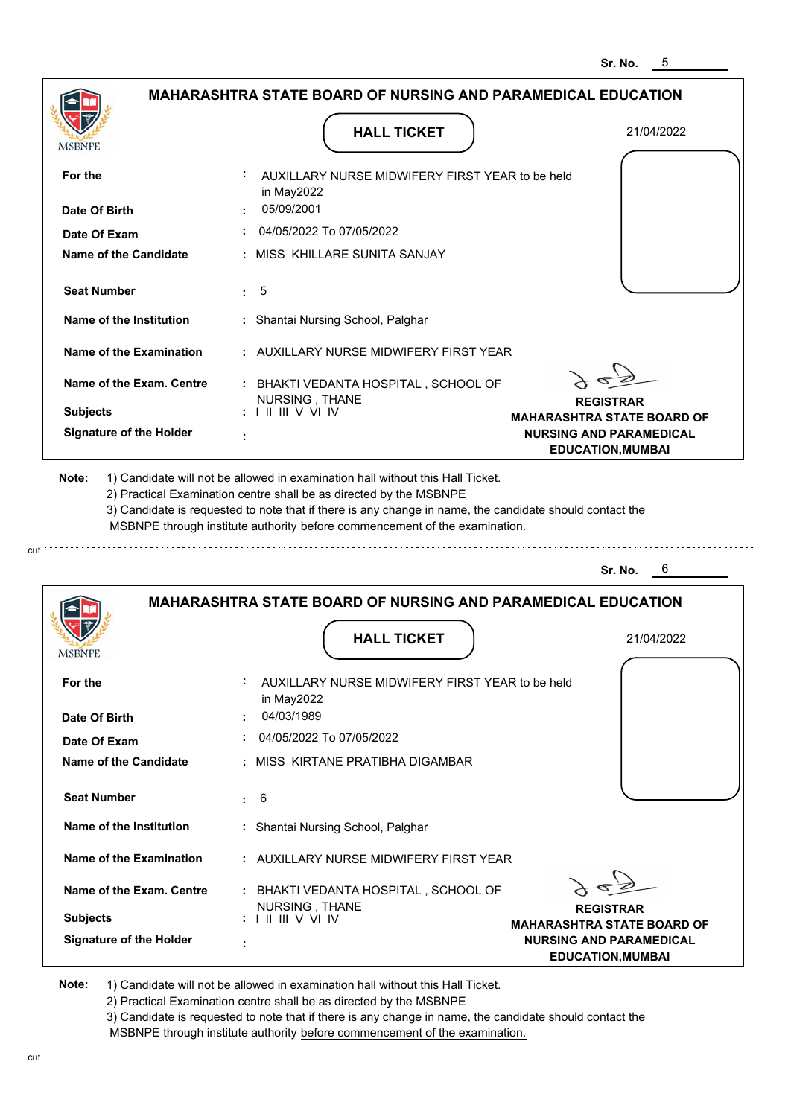|                                                                               | <b>MAHARASHTRA STATE BOARD OF NURSING AND PARAMEDICAL EDUCATION</b>                                                                                                                                                                                         |                                                                                         |
|-------------------------------------------------------------------------------|-------------------------------------------------------------------------------------------------------------------------------------------------------------------------------------------------------------------------------------------------------------|-----------------------------------------------------------------------------------------|
| <b>MSBNPE</b>                                                                 | <b>HALL TICKET</b>                                                                                                                                                                                                                                          | 21/04/2022                                                                              |
| For the<br>Date Of Birth                                                      | AUXILLARY NURSE MIDWIFERY FIRST YEAR to be held<br>in May2022<br>05/09/2001                                                                                                                                                                                 |                                                                                         |
| Date Of Exam                                                                  | 04/05/2022 To 07/05/2022                                                                                                                                                                                                                                    |                                                                                         |
| Name of the Candidate                                                         | : MISS KHILLARE SUNITA SANJAY                                                                                                                                                                                                                               |                                                                                         |
| <b>Seat Number</b>                                                            | 5<br>t.                                                                                                                                                                                                                                                     |                                                                                         |
| Name of the Institution                                                       | : Shantai Nursing School, Palghar                                                                                                                                                                                                                           |                                                                                         |
| <b>Name of the Examination</b>                                                | : AUXILLARY NURSE MIDWIFERY FIRST YEAR                                                                                                                                                                                                                      |                                                                                         |
| Name of the Exam. Centre<br><b>Subjects</b><br><b>Signature of the Holder</b> | : BHAKTI VEDANTA HOSPITAL, SCHOOL OF<br>NURSING, THANE<br>$: 1 \mathbb{H} \mathbb{H} \vee \vee \mathbb{I} \vee$                                                                                                                                             | <b>REGISTRAR</b><br><b>MAHARASHTRA STATE BOARD OF</b><br><b>NURSING AND PARAMEDICAL</b> |
| Note:                                                                         | 1) Candidate will not be allowed in examination hall without this Hall Ticket.                                                                                                                                                                              |                                                                                         |
|                                                                               | 2) Practical Examination centre shall be as directed by the MSBNPE<br>3) Candidate is requested to note that if there is any change in name, the candidate should contact the<br>MSBNPE through institute authority before commencement of the examination. |                                                                                         |
|                                                                               |                                                                                                                                                                                                                                                             | Sr. No.<br>6                                                                            |
| <b>MSBNPE</b>                                                                 | <b>MAHARASHTRA STATE BOARD OF NURSING AND PARAMEDICAL EDUCATION</b><br><b>HALL TICKET</b>                                                                                                                                                                   | 21/04/2022                                                                              |
| For the                                                                       | AUXILLARY NURSE MIDWIFERY FIRST YEAR to be held                                                                                                                                                                                                             |                                                                                         |
| Date Of Birth                                                                 | in May2022<br>04/03/1989                                                                                                                                                                                                                                    |                                                                                         |
| Date Of Exam                                                                  | 04/05/2022 To 07/05/2022                                                                                                                                                                                                                                    |                                                                                         |
| <b>Name of the Candidate</b>                                                  | : MISS KIRTANE PRATIBHA DIGAMBAR                                                                                                                                                                                                                            |                                                                                         |
| <b>Seat Number</b>                                                            | 6<br>÷.                                                                                                                                                                                                                                                     |                                                                                         |
| Name of the Institution                                                       | : Shantai Nursing School, Palghar                                                                                                                                                                                                                           |                                                                                         |
| <b>Name of the Examination</b>                                                | : AUXILLARY NURSE MIDWIFERY FIRST YEAR                                                                                                                                                                                                                      |                                                                                         |
| Name of the Exam. Centre                                                      | BHAKTI VEDANTA HOSPITAL , SCHOOL OF<br>NURSING, THANE                                                                                                                                                                                                       | <b>REGISTRAR</b>                                                                        |
| <b>Subjects</b><br><b>Signature of the Holder</b>                             | $: 1 \mathbb{H} \mathbb{H} \vee \mathbb{V} \mathbb{N}$                                                                                                                                                                                                      | <b>MAHARASHTRA STATE BOARD OF</b>                                                       |

cut.

2) Practical Examination centre shall be as directed by the MSBNPE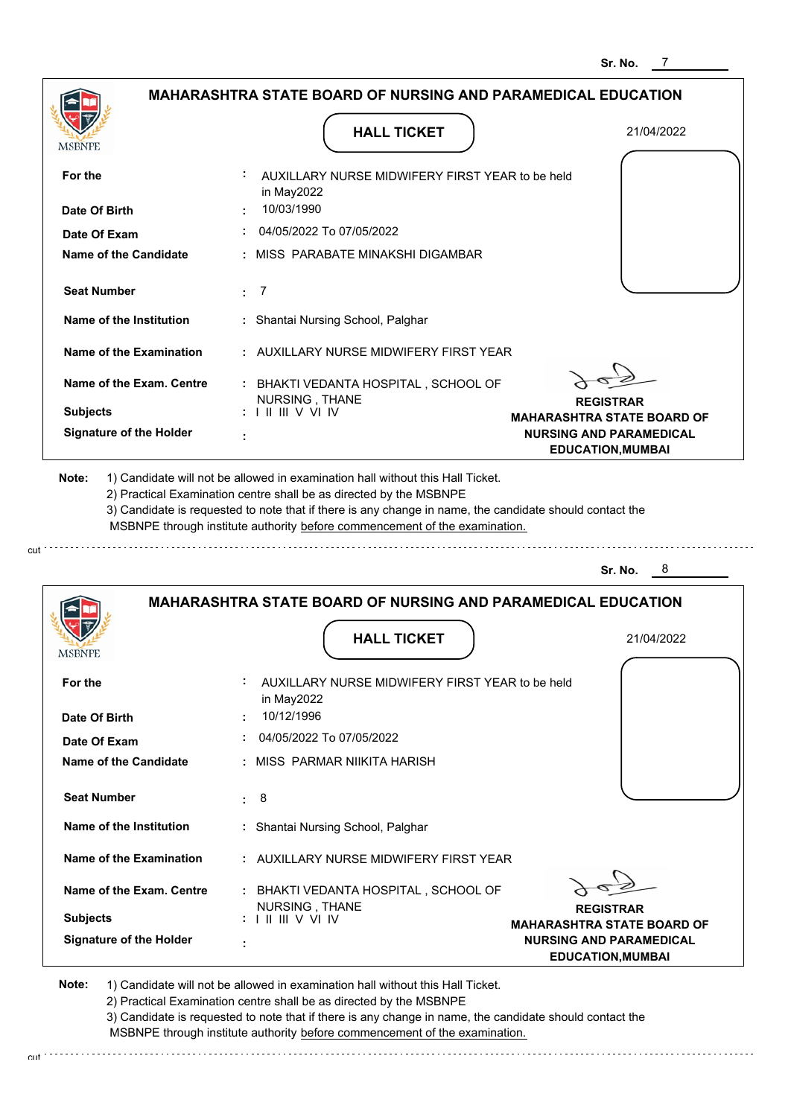|                              |                                                                                                                                                                                                                                    |           |                |                                                 | <b>MAHARASHTRA STATE BOARD OF NURSING AND PARAMEDICAL EDUCATION</b>                                     |
|------------------------------|------------------------------------------------------------------------------------------------------------------------------------------------------------------------------------------------------------------------------------|-----------|----------------|-------------------------------------------------|---------------------------------------------------------------------------------------------------------|
| MSBNPE                       |                                                                                                                                                                                                                                    |           |                | <b>HALL TICKET</b>                              | 21/04/2022                                                                                              |
| For the                      |                                                                                                                                                                                                                                    |           | in May2022     | AUXILLARY NURSE MIDWIFERY FIRST YEAR to be held |                                                                                                         |
| Date Of Birth                |                                                                                                                                                                                                                                    |           | 10/03/1990     |                                                 |                                                                                                         |
| Date Of Exam                 |                                                                                                                                                                                                                                    |           |                | 04/05/2022 To 07/05/2022                        |                                                                                                         |
| <b>Name of the Candidate</b> |                                                                                                                                                                                                                                    |           |                | MISS PARABATE MINAKSHI DIGAMBAR                 |                                                                                                         |
| <b>Seat Number</b>           |                                                                                                                                                                                                                                    | $\cdot$ 7 |                |                                                 |                                                                                                         |
| Name of the Institution      |                                                                                                                                                                                                                                    |           |                | : Shantai Nursing School, Palghar               |                                                                                                         |
|                              | Name of the Examination                                                                                                                                                                                                            |           |                | : AUXILLARY NURSE MIDWIFERY FIRST YEAR          |                                                                                                         |
|                              | Name of the Exam. Centre                                                                                                                                                                                                           |           | NURSING, THANE | : BHAKTI VEDANTA HOSPITAL, SCHOOL OF            |                                                                                                         |
| <b>Subjects</b>              |                                                                                                                                                                                                                                    |           | : 11111VV1IV   |                                                 | <b>REGISTRAR</b><br><b>MAHARASHTRA STATE BOARD OF</b>                                                   |
|                              | <b>Signature of the Holder</b>                                                                                                                                                                                                     |           |                |                                                 | <b>NURSING AND PARAMEDICAL</b><br><b>EDUCATION, MUMBAI</b>                                              |
| Note:                        | 1) Candidate will not be allowed in examination hall without this Hall Ticket.<br>2) Practical Examination centre shall be as directed by the MSBNPE<br>MSBNPE through institute authority before commencement of the examination. |           |                |                                                 | 3) Candidate is requested to note that if there is any change in name, the candidate should contact the |
|                              |                                                                                                                                                                                                                                    |           |                |                                                 | Sr. No.<br>8                                                                                            |
|                              |                                                                                                                                                                                                                                    |           |                |                                                 | <b>MAHARASHTRA STATE BOARD OF NURSING AND PARAMEDICAL EDUCATION</b>                                     |
|                              |                                                                                                                                                                                                                                    |           |                | <b>HALL TICKET</b>                              | 21/04/2022                                                                                              |

| <b>HALL TICKET</b> |  |
|--------------------|--|
|                    |  |

| For the                        | AUXILLARY NURSE MIDWIFERY FIRST YEAR to be held  |                                   |
|--------------------------------|--------------------------------------------------|-----------------------------------|
|                                | in May2022<br>10/12/1996                         |                                   |
| Date Of Birth                  |                                                  |                                   |
| Date Of Exam                   | 04/05/2022 To 07/05/2022                         |                                   |
| Name of the Candidate          | : MISS PARMAR NIIKITA HARISH                     |                                   |
|                                |                                                  |                                   |
| <b>Seat Number</b>             | : 8                                              |                                   |
| Name of the Institution        | : Shantai Nursing School, Palghar                |                                   |
| Name of the Examination        | : AUXILLARY NURSE MIDWIFERY FIRST YEAR           |                                   |
|                                |                                                  |                                   |
| Name of the Exam. Centre       | : BHAKTI VEDANTA HOSPITAL, SCHOOL OF             |                                   |
|                                | NURSING, THANE                                   | <b>REGISTRAR</b>                  |
| <b>Subjects</b>                | $: 1 \mathbb{H} \mathbb{H} \vee \vee \mathbb{H}$ | <b>MAHARASHTRA STATE BOARD OF</b> |
| <b>Signature of the Holder</b> | ٠                                                | <b>NURSING AND PARAMEDICAL</b>    |
|                                |                                                  | <b>EDUCATION, MUMBAI</b>          |

**Note:**  1) Candidate will not be allowed in examination hall without this Hall Ticket. 2) Practical Examination centre shall be as directed by the MSBNPE 3) Candidate is requested to note that if there is any change in name, the candidate should contact the

cut

**MSBNPE** 

 MSBNPE through institute authority before commencement of the examination. cut de contra a construction de construction de construction de construction de construction de construction de construction de construction de construction de construction de construction de construction de construction d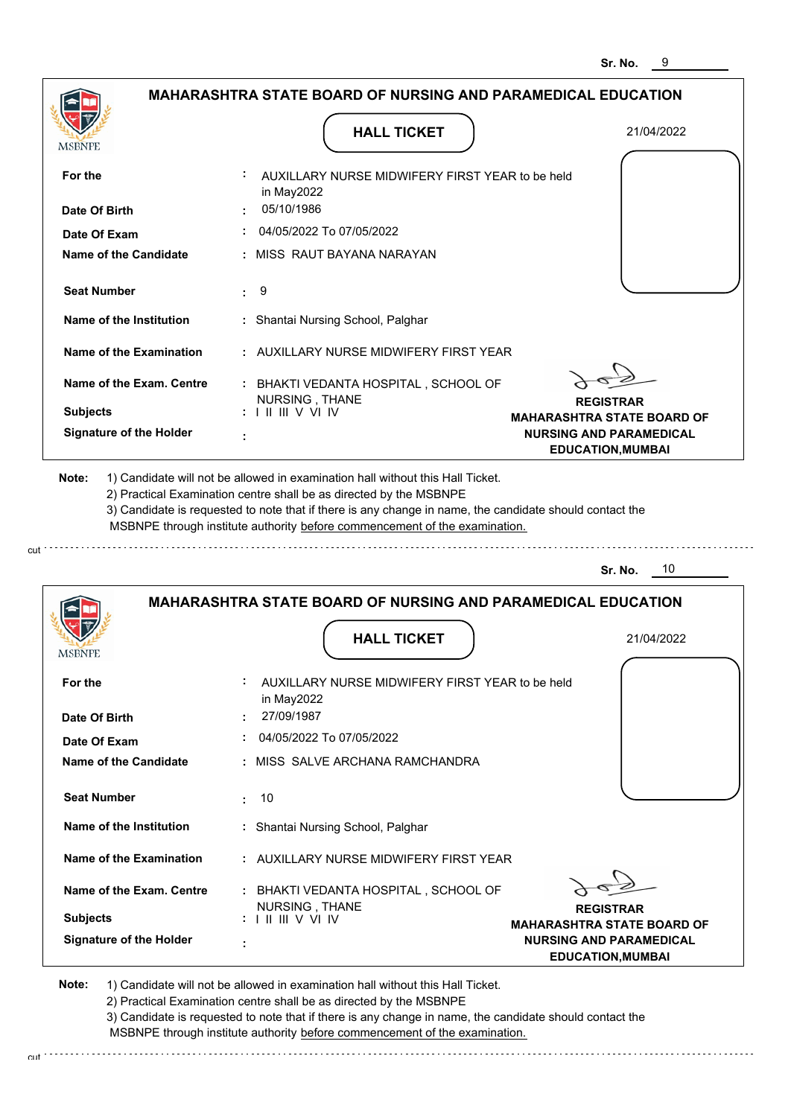|                                             | MAHARASHTRA STATE BOARD OF NURSING AND PARAMEDICAL EDUCATION                                                                                                                                                                                                    |                                                            |
|---------------------------------------------|-----------------------------------------------------------------------------------------------------------------------------------------------------------------------------------------------------------------------------------------------------------------|------------------------------------------------------------|
| MSBNPE                                      | <b>HALL TICKET</b>                                                                                                                                                                                                                                              | 21/04/2022                                                 |
| For the                                     | AUXILLARY NURSE MIDWIFERY FIRST YEAR to be held<br>in May2022                                                                                                                                                                                                   |                                                            |
| Date Of Birth                               | 05/10/1986                                                                                                                                                                                                                                                      |                                                            |
| Date Of Exam                                | 04/05/2022 To 07/05/2022                                                                                                                                                                                                                                        |                                                            |
| Name of the Candidate                       | : MISS RAUT BAYANA NARAYAN                                                                                                                                                                                                                                      |                                                            |
| <b>Seat Number</b>                          | 9<br>t.                                                                                                                                                                                                                                                         |                                                            |
| Name of the Institution                     | : Shantai Nursing School, Palghar                                                                                                                                                                                                                               |                                                            |
| <b>Name of the Examination</b>              | : AUXILLARY NURSE MIDWIFERY FIRST YEAR                                                                                                                                                                                                                          |                                                            |
| Name of the Exam. Centre<br><b>Subjects</b> | : BHAKTI VEDANTA HOSPITAL, SCHOOL OF<br>NURSING, THANE<br>: III III V VI IV                                                                                                                                                                                     | <b>REGISTRAR</b><br><b>MAHARASHTRA STATE BOARD OF</b>      |
| <b>Signature of the Holder</b>              |                                                                                                                                                                                                                                                                 | <b>NURSING AND PARAMEDICAL</b><br><b>EDUCATION, MUMBAI</b> |
| Note:                                       | 1) Candidate will not be allowed in examination hall without this Hall Ticket.<br>2) Practical Examination centre shall be as directed by the MSBNPE<br>3) Candidate is requested to note that if there is any change in name, the candidate should contact the |                                                            |
|                                             | MSBNPE through institute authority before commencement of the examination.<br><b>MAHARASHTRA STATE BOARD OF NURSING AND PARAMEDICAL EDUCATION</b>                                                                                                               | 10<br>Sr. No.                                              |
| MSBNPE                                      | <b>HALL TICKET</b>                                                                                                                                                                                                                                              | 21/04/2022                                                 |
| For the                                     | AUXILLARY NURSE MIDWIFERY FIRST YEAR to be held<br>in May2022                                                                                                                                                                                                   |                                                            |
| Date Of Birth                               | 27/09/1987                                                                                                                                                                                                                                                      |                                                            |
| Date Of Exam                                | 04/05/2022 To 07/05/2022                                                                                                                                                                                                                                        |                                                            |
| <b>Name of the Candidate</b>                | : MISS SALVE ARCHANA RAMCHANDRA                                                                                                                                                                                                                                 |                                                            |
| <b>Seat Number</b>                          | 10                                                                                                                                                                                                                                                              |                                                            |
| Name of the Institution                     | : Shantai Nursing School, Palghar                                                                                                                                                                                                                               |                                                            |
| Name of the Examination                     | : AUXILLARY NURSE MIDWIFERY FIRST YEAR                                                                                                                                                                                                                          |                                                            |
| Name of the Exam. Centre                    | BHAKTI VEDANTA HOSPITAL , SCHOOL OF<br>NURSING, THANE                                                                                                                                                                                                           | <b>REGISTRAR</b>                                           |
| <b>Subjects</b>                             | $: 1 \mathbb{H} \mathbb{H} \vee \mathbb{V} \mathbb{N}$                                                                                                                                                                                                          | <b>MAHARASHTRA STATE BOARD OF</b>                          |

cut.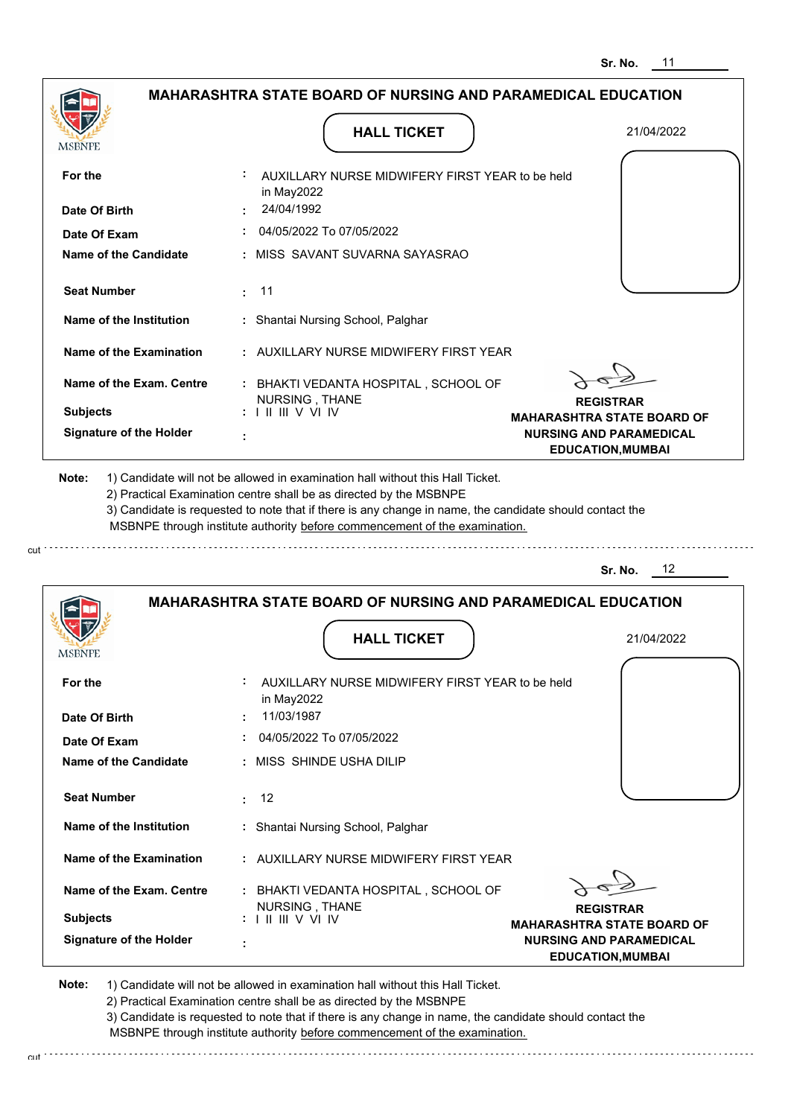|                                                                                     | <b>MAHARASHTRA STATE BOARD OF NURSING AND PARAMEDICAL EDUCATION</b>                                                                                                                                                                                                                                                                           |                                                            |
|-------------------------------------------------------------------------------------|-----------------------------------------------------------------------------------------------------------------------------------------------------------------------------------------------------------------------------------------------------------------------------------------------------------------------------------------------|------------------------------------------------------------|
|                                                                                     | <b>HALL TICKET</b>                                                                                                                                                                                                                                                                                                                            | 21/04/2022                                                 |
| For the                                                                             | AUXILLARY NURSE MIDWIFERY FIRST YEAR to be held<br>in May2022                                                                                                                                                                                                                                                                                 |                                                            |
| Date Of Birth                                                                       | 24/04/1992                                                                                                                                                                                                                                                                                                                                    |                                                            |
| Date Of Exam                                                                        | 04/05/2022 To 07/05/2022                                                                                                                                                                                                                                                                                                                      |                                                            |
| <b>Name of the Candidate</b>                                                        | : MISS SAVANT SUVARNA SAYASRAO                                                                                                                                                                                                                                                                                                                |                                                            |
| <b>Seat Number</b>                                                                  | 11<br>÷.                                                                                                                                                                                                                                                                                                                                      |                                                            |
| Name of the Institution                                                             | : Shantai Nursing School, Palghar                                                                                                                                                                                                                                                                                                             |                                                            |
| <b>Name of the Examination</b>                                                      | : AUXILLARY NURSE MIDWIFERY FIRST YEAR                                                                                                                                                                                                                                                                                                        |                                                            |
| Name of the Exam. Centre                                                            | : BHAKTI VEDANTA HOSPITAL, SCHOOL OF<br>NURSING, THANE                                                                                                                                                                                                                                                                                        | <b>REGISTRAR</b>                                           |
| <b>Subjects</b>                                                                     | <b>I II III V VI IV</b>                                                                                                                                                                                                                                                                                                                       | <b>MAHARASHTRA STATE BOARD OF</b>                          |
| <b>Signature of the Holder</b>                                                      |                                                                                                                                                                                                                                                                                                                                               | <b>NURSING AND PARAMEDICAL</b><br><b>EDUCATION, MUMBAI</b> |
|                                                                                     | 1) Candidate will not be allowed in examination hall without this Hall Ticket.<br>2) Practical Examination centre shall be as directed by the MSBNPE<br>3) Candidate is requested to note that if there is any change in name, the candidate should contact the<br>MSBNPE through institute authority before commencement of the examination. |                                                            |
|                                                                                     |                                                                                                                                                                                                                                                                                                                                               | 12<br>Sr. No.                                              |
|                                                                                     | <b>MAHARASHTRA STATE BOARD OF NURSING AND PARAMEDICAL EDUCATION</b><br><b>HALL TICKET</b>                                                                                                                                                                                                                                                     | 21/04/2022                                                 |
|                                                                                     | AUXILLARY NURSE MIDWIFERY FIRST YEAR to be held                                                                                                                                                                                                                                                                                               |                                                            |
|                                                                                     | in May2022<br>11/03/1987                                                                                                                                                                                                                                                                                                                      |                                                            |
|                                                                                     | 04/05/2022 To 07/05/2022                                                                                                                                                                                                                                                                                                                      |                                                            |
|                                                                                     | : MISS SHINDE USHA DILIP                                                                                                                                                                                                                                                                                                                      |                                                            |
| <b>Seat Number</b>                                                                  | 12<br>÷.                                                                                                                                                                                                                                                                                                                                      |                                                            |
| Name of the Institution                                                             | : Shantai Nursing School, Palghar                                                                                                                                                                                                                                                                                                             |                                                            |
| <b>Name of the Examination</b>                                                      | : AUXILLARY NURSE MIDWIFERY FIRST YEAR                                                                                                                                                                                                                                                                                                        |                                                            |
| For the<br>Date Of Exam<br>Name of the Exam. Centre                                 | : BHAKTI VEDANTA HOSPITAL, SCHOOL OF                                                                                                                                                                                                                                                                                                          |                                                            |
| Note:<br>MSBNPE<br>Date Of Birth<br><b>Name of the Candidate</b><br><b>Subjects</b> | NURSING, THANE                                                                                                                                                                                                                                                                                                                                | <b>REGISTRAR</b><br><b>MAHARASHTRA STATE BOARD OF</b>      |

cut.

2) Practical Examination centre shall be as directed by the MSBNPE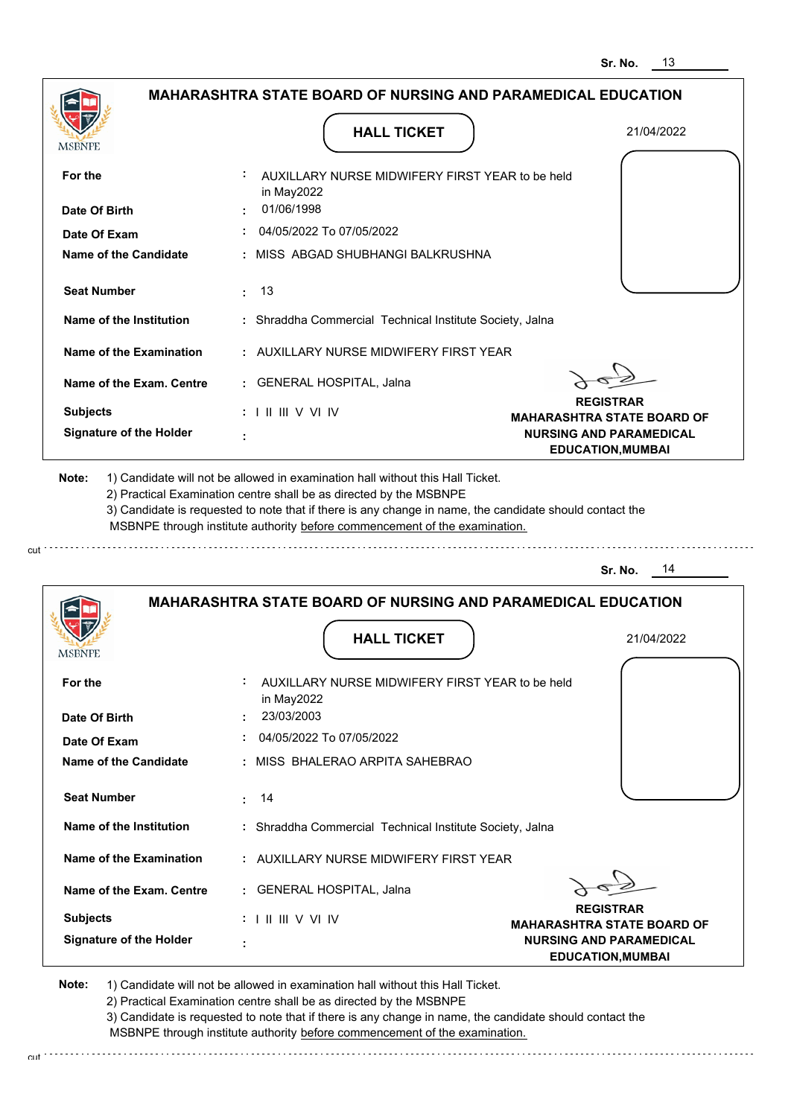**NURSING AND PARAMEDICAL EDUCATION,MUMBAI**



**Note:**  1) Candidate will not be allowed in examination hall without this Hall Ticket.

 **:**

2) Practical Examination centre shall be as directed by the MSBNPE

3) Candidate is requested to note that if there is any change in name, the candidate should contact the MSBNPE through institute authority before commencement of the examination. cut

**Signature of the Holder**

cut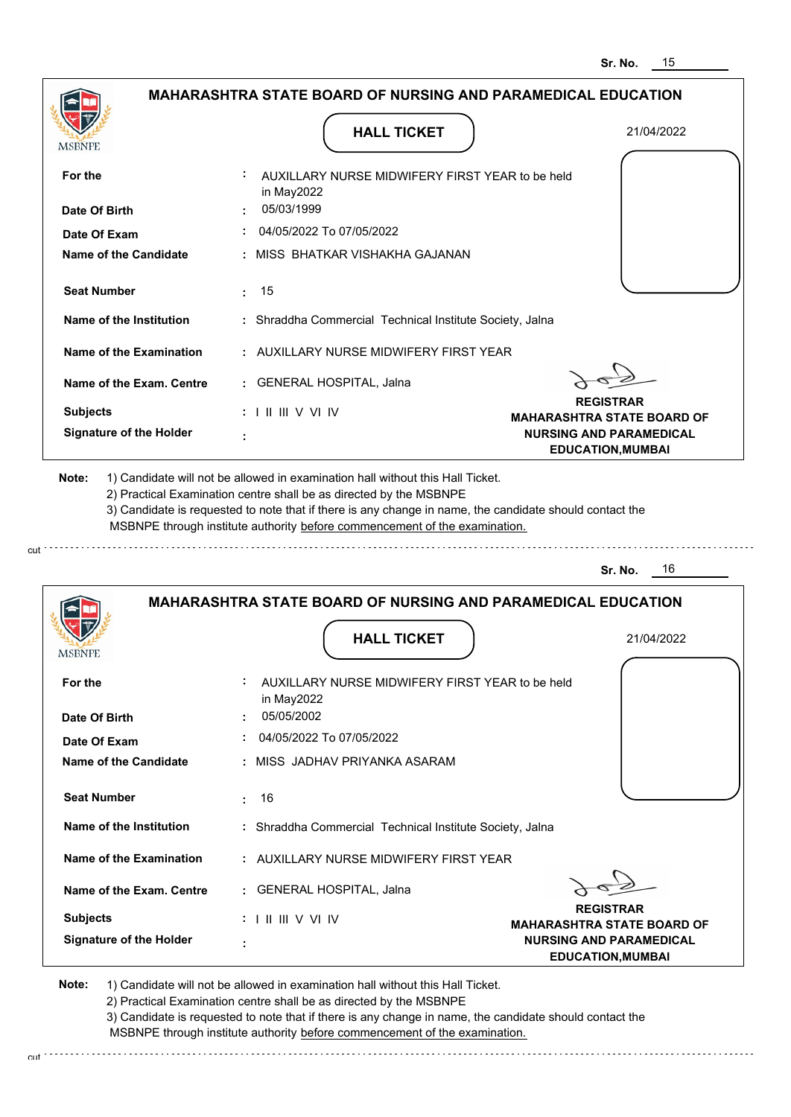|                                              | <b>MAHARASHTRA STATE BOARD OF NURSING AND PARAMEDICAL EDUCATION</b>                                                                                                                                                                                                                                                                           |                                                            |
|----------------------------------------------|-----------------------------------------------------------------------------------------------------------------------------------------------------------------------------------------------------------------------------------------------------------------------------------------------------------------------------------------------|------------------------------------------------------------|
| MSBNPE                                       | <b>HALL TICKET</b>                                                                                                                                                                                                                                                                                                                            | 21/04/2022                                                 |
| For the                                      | AUXILLARY NURSE MIDWIFERY FIRST YEAR to be held<br>in May2022                                                                                                                                                                                                                                                                                 |                                                            |
| Date Of Birth                                | 05/03/1999                                                                                                                                                                                                                                                                                                                                    |                                                            |
| Date Of Exam                                 | 04/05/2022 To 07/05/2022                                                                                                                                                                                                                                                                                                                      |                                                            |
| Name of the Candidate                        | : MISS BHATKAR VISHAKHA GAJANAN                                                                                                                                                                                                                                                                                                               |                                                            |
| <b>Seat Number</b>                           | 15<br>÷.                                                                                                                                                                                                                                                                                                                                      |                                                            |
| Name of the Institution                      | : Shraddha Commercial Technical Institute Society, Jalna                                                                                                                                                                                                                                                                                      |                                                            |
| Name of the Examination                      | : AUXILLARY NURSE MIDWIFERY FIRST YEAR                                                                                                                                                                                                                                                                                                        |                                                            |
| Name of the Exam. Centre                     | : GENERAL HOSPITAL, Jalna                                                                                                                                                                                                                                                                                                                     |                                                            |
| <b>Subjects</b>                              | $: 1 \mathbb{H} \mathbb{H} \vee \mathbb{V} \mathbb{W}$                                                                                                                                                                                                                                                                                        | <b>REGISTRAR</b><br><b>MAHARASHTRA STATE BOARD OF</b>      |
| <b>Signature of the Holder</b>               |                                                                                                                                                                                                                                                                                                                                               | <b>NURSING AND PARAMEDICAL</b><br><b>EDUCATION, MUMBAI</b> |
| Note:                                        | 1) Candidate will not be allowed in examination hall without this Hall Ticket.<br>2) Practical Examination centre shall be as directed by the MSBNPE<br>3) Candidate is requested to note that if there is any change in name, the candidate should contact the<br>MSBNPE through institute authority before commencement of the examination. | 16<br>Sr. No.                                              |
|                                              | <b>MAHARASHTRA STATE BOARD OF NURSING AND PARAMEDICAL EDUCATION</b>                                                                                                                                                                                                                                                                           |                                                            |
| MSBNPE                                       | <b>HALL TICKET</b>                                                                                                                                                                                                                                                                                                                            | 21/04/2022                                                 |
| For the                                      | AUXILLARY NURSE MIDWIFERY FIRST YEAR to be held                                                                                                                                                                                                                                                                                               |                                                            |
|                                              | in May2022                                                                                                                                                                                                                                                                                                                                    |                                                            |
| Date Of Birth                                | 05/05/2002                                                                                                                                                                                                                                                                                                                                    |                                                            |
| Date Of Exam<br><b>Name of the Candidate</b> | 04/05/2022 To 07/05/2022<br>: MISS JADHAV PRIYANKA ASARAM                                                                                                                                                                                                                                                                                     |                                                            |
| <b>Seat Number</b>                           | 16<br>÷.                                                                                                                                                                                                                                                                                                                                      |                                                            |
| Name of the Institution                      | : Shraddha Commercial Technical Institute Society, Jalna                                                                                                                                                                                                                                                                                      |                                                            |
| Name of the Examination                      | : AUXILLARY NURSE MIDWIFERY FIRST YEAR                                                                                                                                                                                                                                                                                                        |                                                            |
| Name of the Exam. Centre                     | : GENERAL HOSPITAL, Jalna                                                                                                                                                                                                                                                                                                                     |                                                            |
| <b>Subjects</b>                              | : I II III V VI IV                                                                                                                                                                                                                                                                                                                            | <b>REGISTRAR</b><br><b>MAHARASHTRA STATE BOARD OF</b>      |

cut

2) Practical Examination centre shall be as directed by the MSBNPE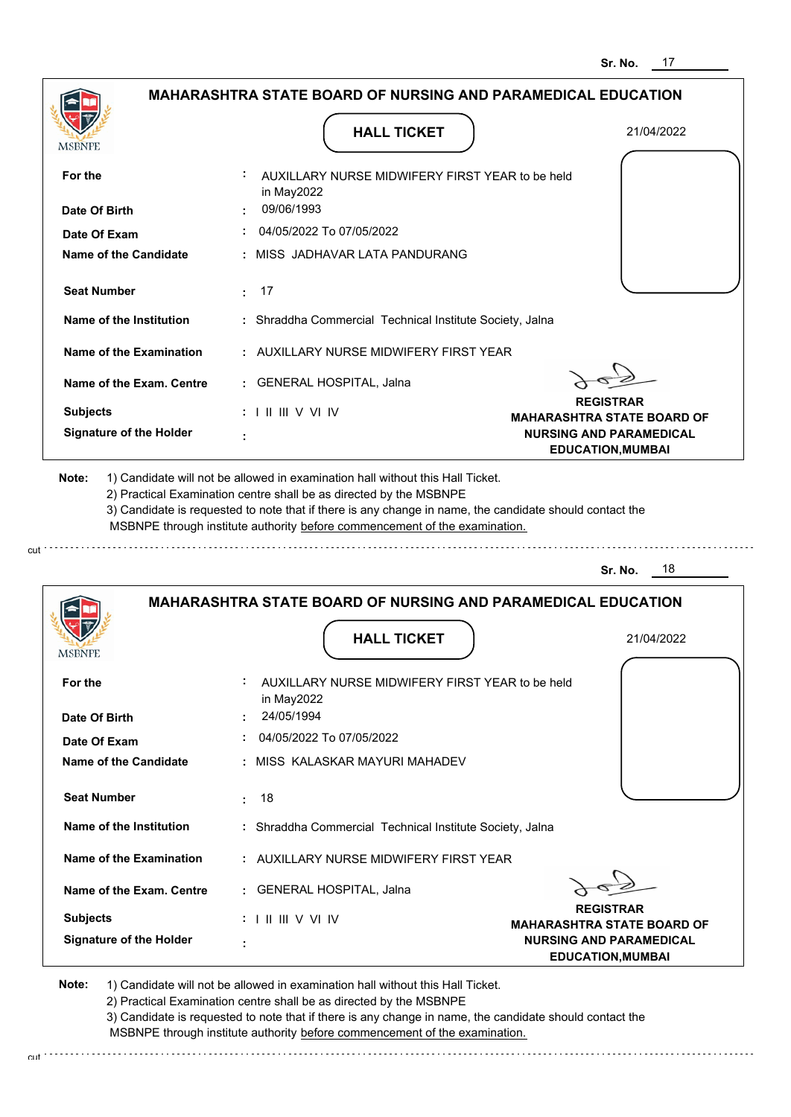|                                |                                                                            | ວr. No.<br>$\blacksquare$                                  |
|--------------------------------|----------------------------------------------------------------------------|------------------------------------------------------------|
|                                | <b>MAHARASHTRA STATE BOARD OF NURSING AND PARAMEDICAL EDUCATION</b>        |                                                            |
| <b>MSBNPE</b>                  | <b>HALL TICKET</b>                                                         | 21/04/2022                                                 |
| For the                        | AUXILLARY NURSE MIDWIFERY FIRST YEAR to be held<br>in May2022              |                                                            |
| Date Of Birth                  | 09/06/1993                                                                 |                                                            |
| Date Of Exam                   | 04/05/2022 To 07/05/2022                                                   |                                                            |
| <b>Name of the Candidate</b>   | MISS JADHAVAR LATA PANDURANG                                               |                                                            |
| <b>Seat Number</b>             | 17<br>÷.                                                                   |                                                            |
| Name of the Institution        | : Shraddha Commercial Technical Institute Society, Jalna                   |                                                            |
| <b>Name of the Examination</b> | : AUXILLARY NURSE MIDWIFERY FIRST YEAR                                     |                                                            |
| Name of the Exam. Centre       | : GENERAL HOSPITAL, Jalna                                                  |                                                            |
| <b>Subjects</b>                | $: 1 \mathbb{H} \mathbb{H} \vee \mathbb{V} \mathbb{N}$                     | <b>REGISTRAR</b><br><b>MAHARASHTRA STATE BOARD OF</b>      |
| <b>Signature of the Holder</b> |                                                                            | <b>NURSING AND PARAMEDICAL</b><br><b>EDUCATION, MUMBAI</b> |
|                                | MSBNPE through institute authority before commencement of the examination. | 18<br>Sr. No.                                              |
|                                | <b>MAHARASHTRA STATE BOARD OF NURSING AND PARAMEDICAL EDUCATION</b>        |                                                            |
| MSBNPE                         | <b>HALL TICKET</b>                                                         | 21/04/2022                                                 |
| For the                        | AUXILLARY NURSE MIDWIFERY FIRST YEAR to be held<br>in May2022              |                                                            |
| Date Of Birth                  | 24/05/1994                                                                 |                                                            |
| Date Of Exam                   | 04/05/2022 To 07/05/2022                                                   |                                                            |
| <b>Name of the Candidate</b>   | MISS KALASKAR MAYURI MAHADEV                                               |                                                            |
| <b>Seat Number</b>             | -18<br>÷.                                                                  |                                                            |
| Name of the Institution        | : Shraddha Commercial Technical Institute Society, Jalna                   |                                                            |
| Name of the Examination        | : AUXILLARY NURSE MIDWIFERY FIRST YEAR                                     |                                                            |
| Name of the Exam. Centre       | : GENERAL HOSPITAL, Jalna                                                  |                                                            |
| <b>Subjects</b>                | $: 1 \mathbb{H} \mathbb{H} \vee \mathbb{V} \mathbb{N}$                     | <b>REGISTRAR</b><br><b>MAHARASHTRA STATE BOARD OF</b>      |
| <b>Signature of the Holder</b> |                                                                            | <b>NURSING AND PARAMEDICAL</b><br><b>EDUCATION, MUMBAI</b> |

**Note:**  1) Candidate will not be allowed in examination hall without this Hall Ticket.

cut

2) Practical Examination centre shall be as directed by the MSBNPE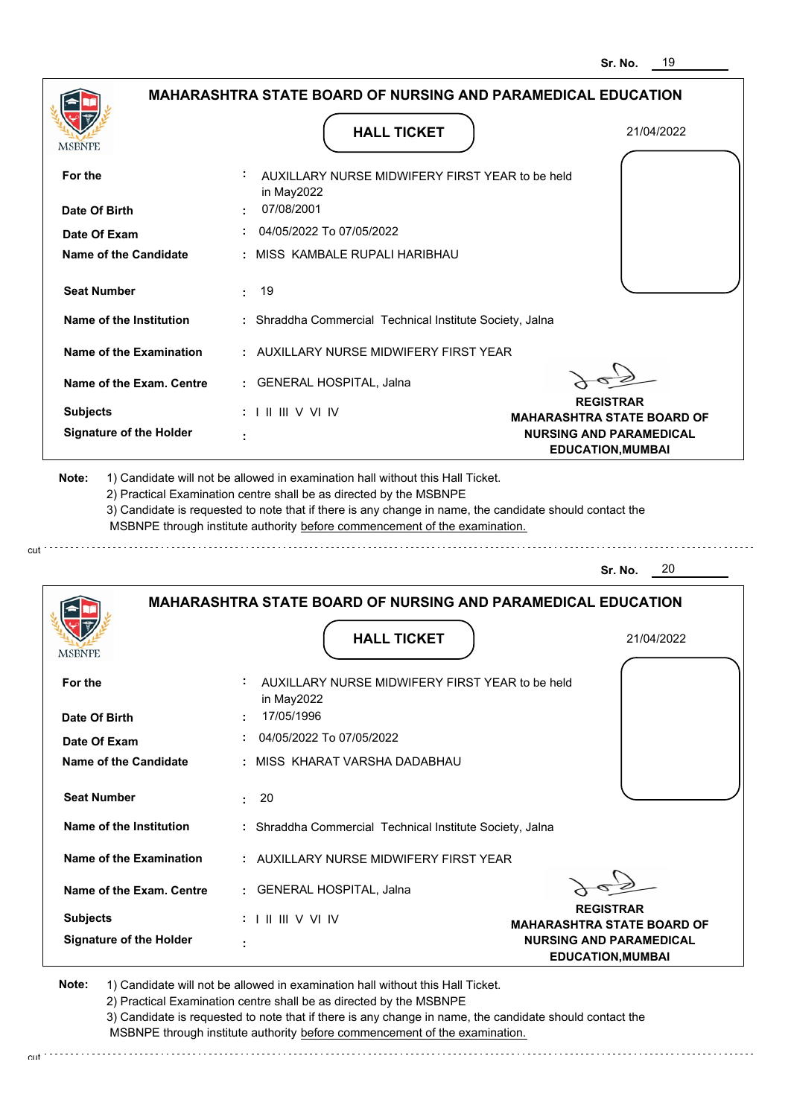|                                       |                                                                     | Sr. NO.<br>ານ                                              |
|---------------------------------------|---------------------------------------------------------------------|------------------------------------------------------------|
|                                       | <b>MAHARASHTRA STATE BOARD OF NURSING AND PARAMEDICAL EDUCATION</b> |                                                            |
| <b>MSBNPE</b>                         | <b>HALL TICKET</b>                                                  | 21/04/2022                                                 |
| For the                               | AUXILLARY NURSE MIDWIFERY FIRST YEAR to be held<br>in May2022       |                                                            |
| Date Of Birth                         | 07/08/2001                                                          |                                                            |
| Date Of Exam                          | 04/05/2022 To 07/05/2022                                            |                                                            |
| <b>Name of the Candidate</b>          | MISS KAMBALE RUPALI HARIBHAU                                        |                                                            |
| <b>Seat Number</b>                    | 19<br>÷                                                             |                                                            |
| Name of the Institution               | : Shraddha Commercial Technical Institute Society, Jalna            |                                                            |
| <b>Name of the Examination</b>        | : AUXILLARY NURSE MIDWIFERY FIRST YEAR                              |                                                            |
| Name of the Exam. Centre              | : GENERAL HOSPITAL, Jalna                                           |                                                            |
| <b>Subjects</b>                       | $: 1 \mathbb{H} \mathbb{H} \vee \mathbb{V} \mathbb{N}$              | <b>REGISTRAR</b><br><b>MAHARASHTRA STATE BOARD OF</b>      |
| <b>Signature of the Holder</b>        |                                                                     | <b>NURSING AND PARAMEDICAL</b><br><b>EDUCATION, MUMBAI</b> |
|                                       |                                                                     | -20<br>Sr. No.                                             |
|                                       | <b>MAHARASHTRA STATE BOARD OF NURSING AND PARAMEDICAL EDUCATION</b> |                                                            |
| MSBNPE                                | <b>HALL TICKET</b>                                                  | 21/04/2022                                                 |
| For the                               | AUXILLARY NURSE MIDWIFERY FIRST YEAR to be held<br>in May2022       |                                                            |
| Date Of Birth                         | 17/05/1996<br>04/05/2022 To 07/05/2022                              |                                                            |
| Date Of Exam<br>Name of the Candidate | MISS KHARAT VARSHA DADABHAU                                         |                                                            |
| <b>Seat Number</b>                    | $\div$ 20                                                           |                                                            |
| Name of the Institution               | : Shraddha Commercial Technical Institute Society, Jalna            |                                                            |
|                                       |                                                                     |                                                            |
| <b>Name of the Examination</b>        | : AUXILLARY NURSE MIDWIFERY FIRST YEAR                              |                                                            |
| Name of the Exam. Centre              | : GENERAL HOSPITAL, Jalna                                           | <b>REGISTRAR</b>                                           |
| <b>Subjects</b>                       | $: 1 \mathrel{\mathsf{II}} \mathrel{\mathsf{III}} \mathsf{V}$ VI IV | <b>MAHARASHTRA STATE BOARD OF</b>                          |
| <b>Signature of the Holder</b>        |                                                                     | <b>NURSING AND PARAMEDICAL</b><br><b>EDUCATION, MUMBAI</b> |
|                                       |                                                                     |                                                            |

cut

2) Practical Examination centre shall be as directed by the MSBNPE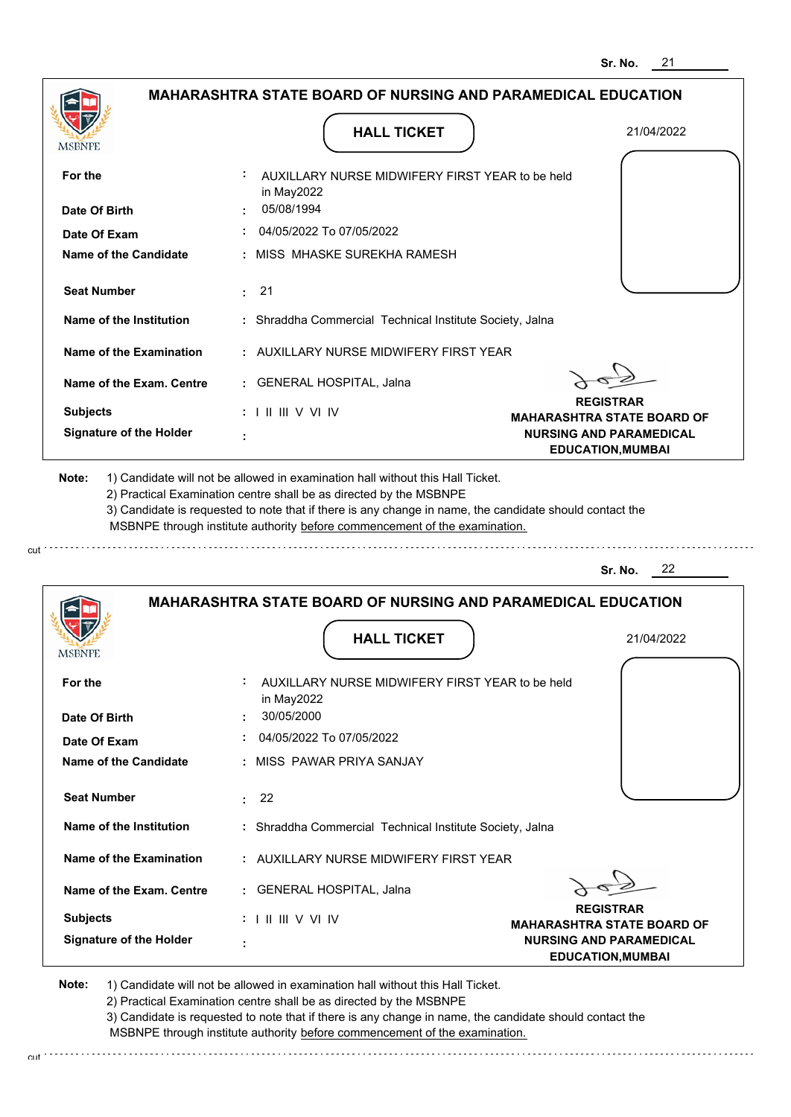|                                | <b>MAHARASHTRA STATE BOARD OF NURSING AND PARAMEDICAL EDUCATION</b>                                                                                                                                                                                                                                                                           |                                                            |
|--------------------------------|-----------------------------------------------------------------------------------------------------------------------------------------------------------------------------------------------------------------------------------------------------------------------------------------------------------------------------------------------|------------------------------------------------------------|
| <b>MSBNPE</b>                  | <b>HALL TICKET</b>                                                                                                                                                                                                                                                                                                                            | 21/04/2022                                                 |
| For the                        | AUXILLARY NURSE MIDWIFERY FIRST YEAR to be held<br>in May2022                                                                                                                                                                                                                                                                                 |                                                            |
| Date Of Birth                  | 05/08/1994                                                                                                                                                                                                                                                                                                                                    |                                                            |
| Date Of Exam                   | 04/05/2022 To 07/05/2022                                                                                                                                                                                                                                                                                                                      |                                                            |
| <b>Name of the Candidate</b>   | : MISS MHASKE SUREKHA RAMESH                                                                                                                                                                                                                                                                                                                  |                                                            |
| <b>Seat Number</b>             | : 21                                                                                                                                                                                                                                                                                                                                          |                                                            |
| Name of the Institution        | : Shraddha Commercial Technical Institute Society, Jalna                                                                                                                                                                                                                                                                                      |                                                            |
| Name of the Examination        | : AUXILLARY NURSE MIDWIFERY FIRST YEAR                                                                                                                                                                                                                                                                                                        |                                                            |
| Name of the Exam. Centre       | : GENERAL HOSPITAL, Jalna                                                                                                                                                                                                                                                                                                                     |                                                            |
| <b>Subjects</b>                | $: 1 \mathbb{H} \mathbb{H} \vee \mathbb{V} \mathbb{N}$                                                                                                                                                                                                                                                                                        | <b>REGISTRAR</b><br><b>MAHARASHTRA STATE BOARD OF</b>      |
| <b>Signature of the Holder</b> |                                                                                                                                                                                                                                                                                                                                               | <b>NURSING AND PARAMEDICAL</b><br><b>EDUCATION, MUMBAI</b> |
|                                | 1) Candidate will not be allowed in examination hall without this Hall Ticket.<br>2) Practical Examination centre shall be as directed by the MSBNPE<br>3) Candidate is requested to note that if there is any change in name, the candidate should contact the<br>MSBNPE through institute authority before commencement of the examination. |                                                            |
| Note:                          |                                                                                                                                                                                                                                                                                                                                               | 22<br>Sr. No.                                              |
|                                | <b>MAHARASHTRA STATE BOARD OF NURSING AND PARAMEDICAL EDUCATION</b>                                                                                                                                                                                                                                                                           |                                                            |
| MSBNF                          | <b>HALL TICKET</b>                                                                                                                                                                                                                                                                                                                            | 21/04/2022                                                 |
| For the                        | AUXILLARY NURSE MIDWIFERY FIRST YEAR to be held                                                                                                                                                                                                                                                                                               |                                                            |
| Date Of Birth                  | in May2022<br>30/05/2000                                                                                                                                                                                                                                                                                                                      |                                                            |
| Date Of Exam                   | 04/05/2022 To 07/05/2022                                                                                                                                                                                                                                                                                                                      |                                                            |
| Name of the Candidate          | : MISS PAWAR PRIYA SANJAY                                                                                                                                                                                                                                                                                                                     |                                                            |
| <b>Seat Number</b>             | : 22                                                                                                                                                                                                                                                                                                                                          |                                                            |
| Name of the Institution        | : Shraddha Commercial Technical Institute Society, Jalna                                                                                                                                                                                                                                                                                      |                                                            |
| Name of the Examination        | : AUXILLARY NURSE MIDWIFERY FIRST YEAR                                                                                                                                                                                                                                                                                                        |                                                            |
| Name of the Exam. Centre       | : GENERAL HOSPITAL, Jalna                                                                                                                                                                                                                                                                                                                     |                                                            |
| <b>Subjects</b>                | $: 1 \mathbb{H} \mathbb{H} \vee \mathbb{V} \mathbb{N}$                                                                                                                                                                                                                                                                                        | <b>REGISTRAR</b><br><b>MAHARASHTRA STATE BOARD OF</b>      |

2) Practical Examination centre shall be as directed by the MSBNPE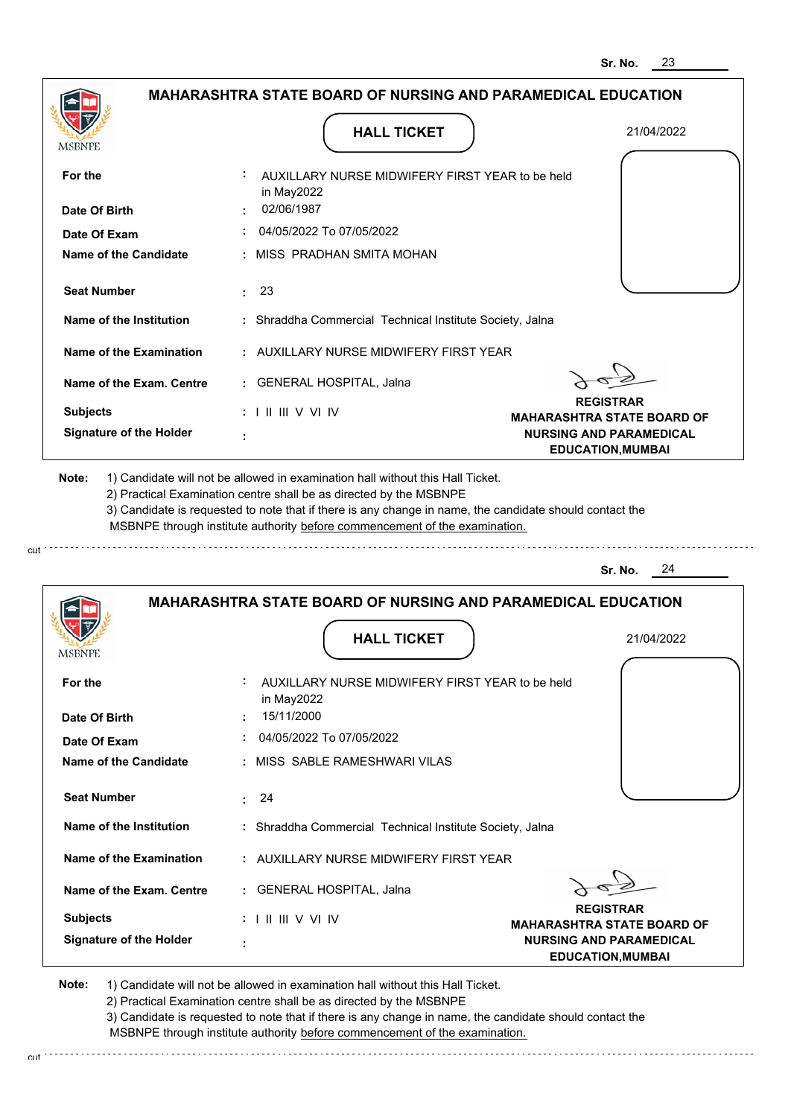

cut

2) Practical Examination centre shall be as directed by the MSBNPE

3) Candidate is requested to note that if there is any change in name, the candidate should contact the MSBNPE through institute authority before commencement of the examination.

cut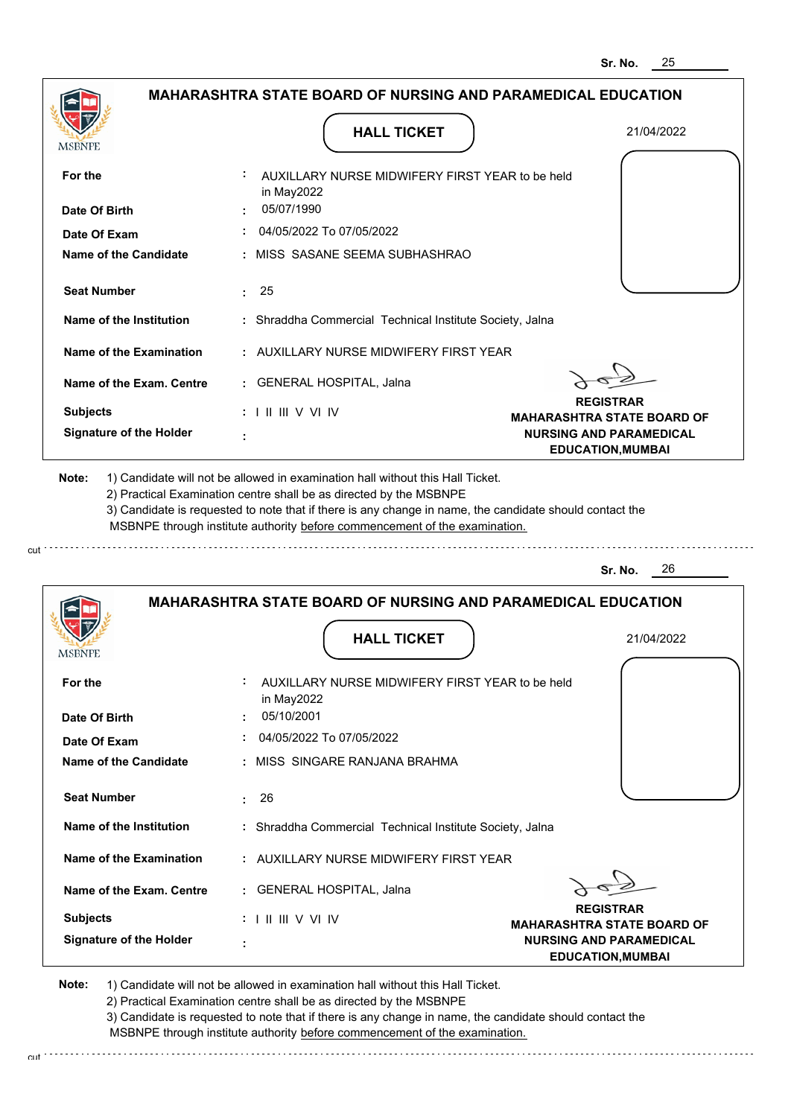| <b>MSBNPE</b>                                                                                                                                                                                                        | <b>HALL TICKET</b>                                                                                                                                                                                                                                          | 21/04/2022                                                 |
|----------------------------------------------------------------------------------------------------------------------------------------------------------------------------------------------------------------------|-------------------------------------------------------------------------------------------------------------------------------------------------------------------------------------------------------------------------------------------------------------|------------------------------------------------------------|
| For the                                                                                                                                                                                                              | AUXILLARY NURSE MIDWIFERY FIRST YEAR to be held<br>in May2022                                                                                                                                                                                               |                                                            |
| Date Of Birth                                                                                                                                                                                                        | : 05/07/1990                                                                                                                                                                                                                                                |                                                            |
| Date Of Exam                                                                                                                                                                                                         | 04/05/2022 To 07/05/2022                                                                                                                                                                                                                                    |                                                            |
| <b>Name of the Candidate</b>                                                                                                                                                                                         | : MISS SASANE SEEMA SUBHASHRAO                                                                                                                                                                                                                              |                                                            |
| <b>Seat Number</b>                                                                                                                                                                                                   | : 25                                                                                                                                                                                                                                                        |                                                            |
| Name of the Institution                                                                                                                                                                                              | : Shraddha Commercial Technical Institute Society, Jalna                                                                                                                                                                                                    |                                                            |
| Name of the Examination                                                                                                                                                                                              | : AUXILLARY NURSE MIDWIFERY FIRST YEAR                                                                                                                                                                                                                      |                                                            |
| Name of the Exam. Centre                                                                                                                                                                                             | : GENERAL HOSPITAL, Jalna                                                                                                                                                                                                                                   |                                                            |
| <b>Subjects</b>                                                                                                                                                                                                      | $: 1 \mathbb{I} \mathbb{I} \mathbb{I} \mathbb{I} \vee \mathbb{V} \mathbb{I} \vee$                                                                                                                                                                           | <b>REGISTRAR</b><br><b>MAHARASHTRA STATE BOARD OF</b>      |
| <b>Signature of the Holder</b>                                                                                                                                                                                       |                                                                                                                                                                                                                                                             | <b>NURSING AND PARAMEDICAL</b><br><b>EDUCATION, MUMBAI</b> |
|                                                                                                                                                                                                                      | 2) Practical Examination centre shall be as directed by the MSBNPE<br>3) Candidate is requested to note that if there is any change in name, the candidate should contact the<br>MSBNPE through institute authority before commencement of the examination. | 26<br>Sr. No.                                              |
|                                                                                                                                                                                                                      | <b>MAHARASHTRA STATE BOARD OF NURSING AND PARAMEDICAL EDUCATION</b>                                                                                                                                                                                         |                                                            |
|                                                                                                                                                                                                                      | <b>HALL TICKET</b>                                                                                                                                                                                                                                          | 21/04/2022                                                 |
|                                                                                                                                                                                                                      | AUXILLARY NURSE MIDWIFERY FIRST YEAR to be held                                                                                                                                                                                                             |                                                            |
|                                                                                                                                                                                                                      | in May2022<br>05/10/2001                                                                                                                                                                                                                                    |                                                            |
|                                                                                                                                                                                                                      | 04/05/2022 To 07/05/2022                                                                                                                                                                                                                                    |                                                            |
|                                                                                                                                                                                                                      | : MISS SINGARE RANJANA BRAHMA                                                                                                                                                                                                                               |                                                            |
|                                                                                                                                                                                                                      | : 26                                                                                                                                                                                                                                                        |                                                            |
|                                                                                                                                                                                                                      | : Shraddha Commercial Technical Institute Society, Jalna                                                                                                                                                                                                    |                                                            |
|                                                                                                                                                                                                                      | : AUXILLARY NURSE MIDWIFERY FIRST YEAR                                                                                                                                                                                                                      |                                                            |
|                                                                                                                                                                                                                      | : GENERAL HOSPITAL, Jalna                                                                                                                                                                                                                                   |                                                            |
| <b>MSBNPE</b><br>For the<br>Date Of Birth<br>Date Of Exam<br><b>Name of the Candidate</b><br><b>Seat Number</b><br>Name of the Institution<br>Name of the Examination<br>Name of the Exam. Centre<br><b>Subjects</b> | $: 1 \mathbb{I} \mathbb{I} \mathbb{I} \vee \vee \mathbb{I} \vee$                                                                                                                                                                                            | <b>REGISTRAR</b><br><b>MAHARASHTRA STATE BOARD OF</b>      |

3) Candidate is requested to note that if there is any change in name, the candidate should contact the MSBNPE through institute authority before commencement of the examination.

cut de contra a construction de construction de construction de construction de construction de construction de construction de construction de construction de construction de construction de construction de construction d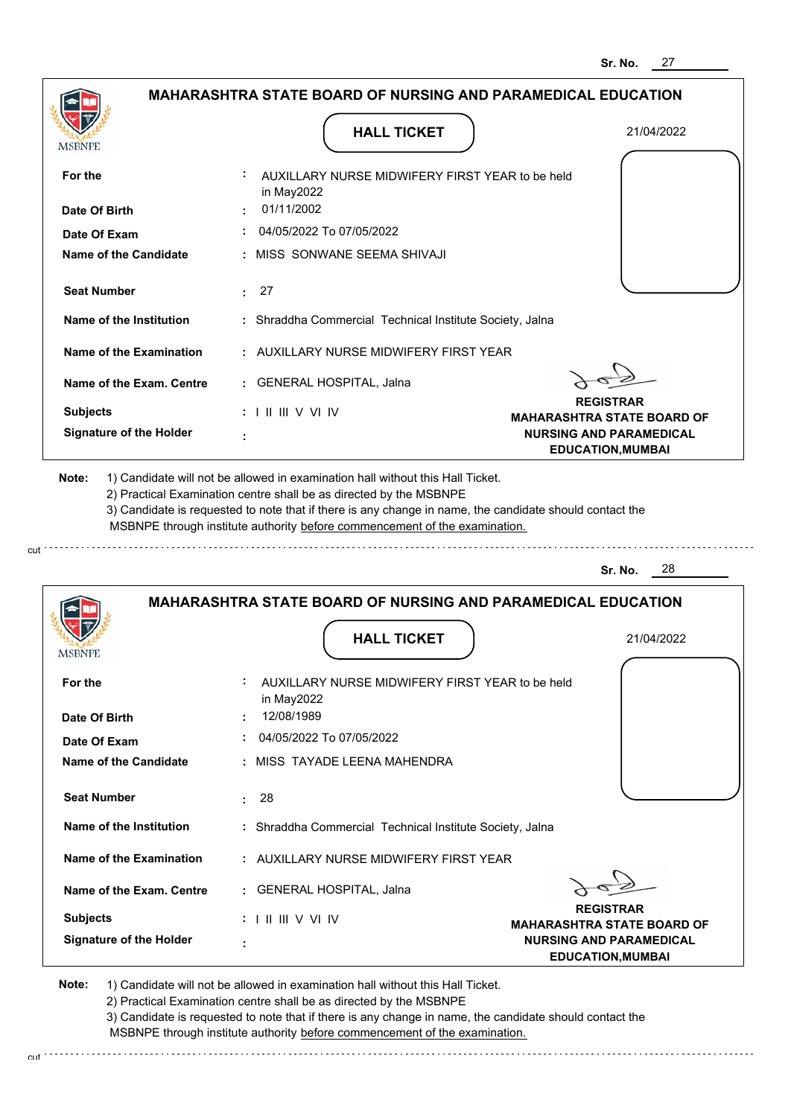| <b>MAHARASHTRA STATE BOARD OF NURSING AND PARAMEDICAL EDUCATION</b>                                                                                                                   |                                                                                                                                                                    |
|---------------------------------------------------------------------------------------------------------------------------------------------------------------------------------------|--------------------------------------------------------------------------------------------------------------------------------------------------------------------|
| <b>HALL TICKET</b>                                                                                                                                                                    | 21/04/2022                                                                                                                                                         |
| AUXILLARY NURSE MIDWIFERY FIRST YEAR to be held                                                                                                                                       |                                                                                                                                                                    |
| 01/11/2002                                                                                                                                                                            |                                                                                                                                                                    |
| 04/05/2022 To 07/05/2022                                                                                                                                                              |                                                                                                                                                                    |
| : MISS SONWANE SEEMA SHIVAJI                                                                                                                                                          |                                                                                                                                                                    |
| : 27                                                                                                                                                                                  |                                                                                                                                                                    |
| : Shraddha Commercial Technical Institute Society, Jalna                                                                                                                              |                                                                                                                                                                    |
| : AUXILLARY NURSE MIDWIFERY FIRST YEAR                                                                                                                                                |                                                                                                                                                                    |
| : GENERAL HOSPITAL, Jalna                                                                                                                                                             |                                                                                                                                                                    |
| $: 1 \mathbb{I} \mathbb{I} \mathbb{I} \mathbb{I} \vee \mathbb{V} \mathbb{I} \vee$                                                                                                     | <b>REGISTRAR</b><br><b>MAHARASHTRA STATE BOARD OF</b>                                                                                                              |
|                                                                                                                                                                                       | <b>NURSING AND PARAMEDICAL</b><br><b>EDUCATION, MUMBAI</b>                                                                                                         |
|                                                                                                                                                                                       |                                                                                                                                                                    |
| 3) Candidate is requested to note that if there is any change in name, the candidate should contact the<br>MSBNPE through institute authority before commencement of the examination. |                                                                                                                                                                    |
|                                                                                                                                                                                       | 28<br>Sr. No.                                                                                                                                                      |
| <b>MAHARASHTRA STATE BOARD OF NURSING AND PARAMEDICAL EDUCATION</b>                                                                                                                   |                                                                                                                                                                    |
| <b>HALL TICKET</b>                                                                                                                                                                    | 21/04/2022                                                                                                                                                         |
| AUXILLARY NURSE MIDWIFERY FIRST YEAR to be held<br>in May2022                                                                                                                         |                                                                                                                                                                    |
| 12/08/1989                                                                                                                                                                            |                                                                                                                                                                    |
| $\div$ 04/05/2022 To 07/05/2022                                                                                                                                                       |                                                                                                                                                                    |
| : MISS TAYADE LEENA MAHENDRA                                                                                                                                                          |                                                                                                                                                                    |
| : 28                                                                                                                                                                                  |                                                                                                                                                                    |
| : Shraddha Commercial Technical Institute Society, Jalna                                                                                                                              |                                                                                                                                                                    |
|                                                                                                                                                                                       | in May2022<br>1) Candidate will not be allowed in examination hall without this Hall Ticket.<br>2) Practical Examination centre shall be as directed by the MSBNPE |

**Name of the Exam. Centre :** GENERAL HOSPITAL, Jalna

**Signature of the Holder : Subjects :** I II III V VI IV **REGISTRAR**

**MAHARASHTRA STATE BOARD OF NURSING AND PARAMEDICAL EDUCATION,MUMBAI**

**Note:**  1) Candidate will not be allowed in examination hall without this Hall Ticket.

2) Practical Examination centre shall be as directed by the MSBNPE

3) Candidate is requested to note that if there is any change in name, the candidate should contact the MSBNPE through institute authority before commencement of the examination.

cut de contra a construction de construction de construction de construction de construction de construction de construction de construction de construction de construction de construction de construction de construction d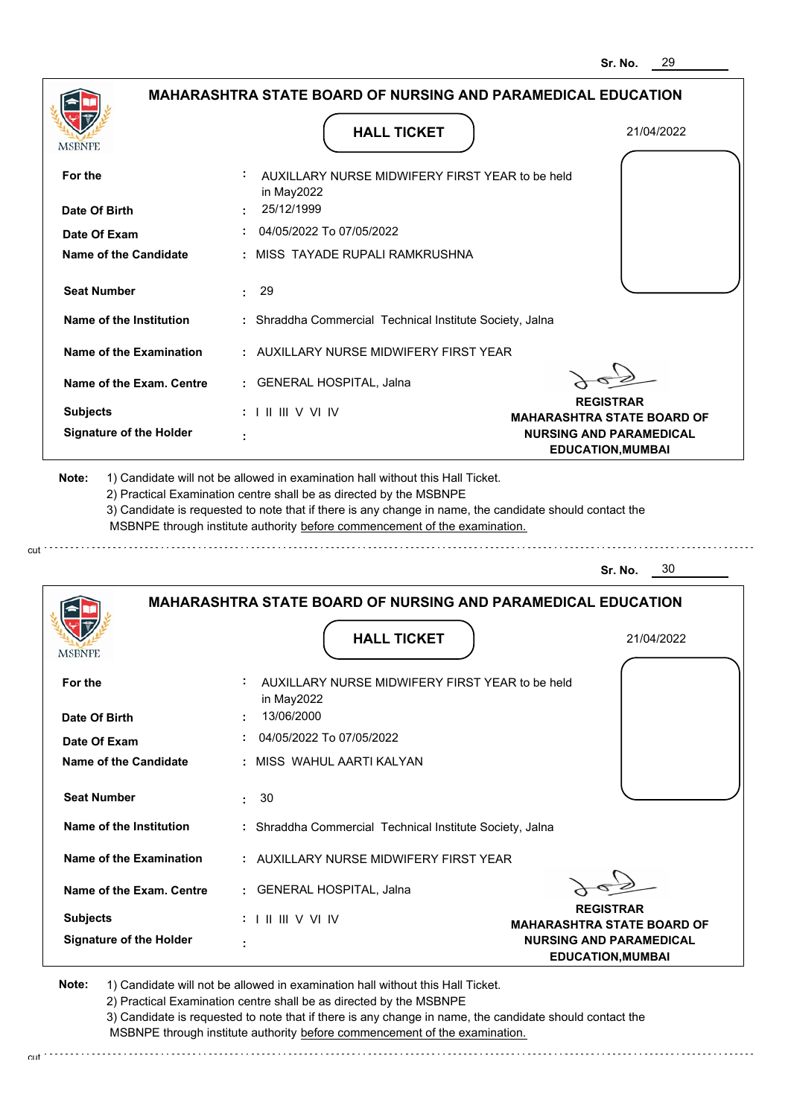

cut

2) Practical Examination centre shall be as directed by the MSBNPE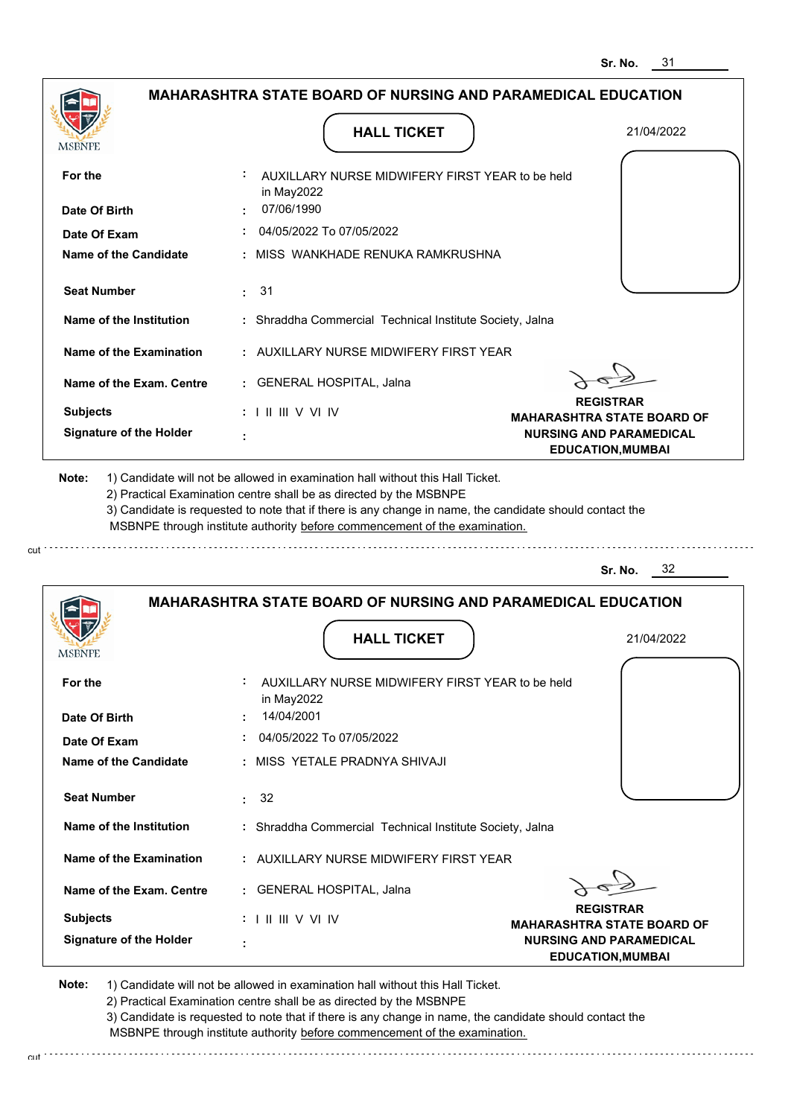|                                                                                 | <b>MAHARASHTRA STATE BOARD OF NURSING AND PARAMEDICAL EDUCATION</b>                                                                                                                                                                                                                                                                           |                                                            |
|---------------------------------------------------------------------------------|-----------------------------------------------------------------------------------------------------------------------------------------------------------------------------------------------------------------------------------------------------------------------------------------------------------------------------------------------|------------------------------------------------------------|
|                                                                                 |                                                                                                                                                                                                                                                                                                                                               |                                                            |
| MSBNPF                                                                          | <b>HALL TICKET</b>                                                                                                                                                                                                                                                                                                                            | 21/04/2022                                                 |
| For the                                                                         | AUXILLARY NURSE MIDWIFERY FIRST YEAR to be held<br>in May2022                                                                                                                                                                                                                                                                                 |                                                            |
| Date Of Birth                                                                   | 07/06/1990                                                                                                                                                                                                                                                                                                                                    |                                                            |
| Date Of Exam                                                                    | 04/05/2022 To 07/05/2022                                                                                                                                                                                                                                                                                                                      |                                                            |
| Name of the Candidate                                                           | MISS WANKHADE RENUKA RAMKRUSHNA                                                                                                                                                                                                                                                                                                               |                                                            |
| <b>Seat Number</b>                                                              | : 31                                                                                                                                                                                                                                                                                                                                          |                                                            |
| Name of the Institution                                                         | : Shraddha Commercial Technical Institute Society, Jalna                                                                                                                                                                                                                                                                                      |                                                            |
| <b>Name of the Examination</b>                                                  | : AUXILLARY NURSE MIDWIFERY FIRST YEAR                                                                                                                                                                                                                                                                                                        |                                                            |
| Name of the Exam. Centre                                                        | : GENERAL HOSPITAL, Jalna                                                                                                                                                                                                                                                                                                                     |                                                            |
| <b>Subjects</b>                                                                 | $: 1 \mathbb{H} \mathbb{H} \vee \mathbb{V} \mathbb{N}$                                                                                                                                                                                                                                                                                        | <b>REGISTRAR</b><br><b>MAHARASHTRA STATE BOARD OF</b>      |
| <b>Signature of the Holder</b>                                                  |                                                                                                                                                                                                                                                                                                                                               | <b>NURSING AND PARAMEDICAL</b><br><b>EDUCATION, MUMBAI</b> |
|                                                                                 | 1) Candidate will not be allowed in examination hall without this Hall Ticket.<br>2) Practical Examination centre shall be as directed by the MSBNPE<br>3) Candidate is requested to note that if there is any change in name, the candidate should contact the<br>MSBNPE through institute authority before commencement of the examination. | - 32<br>Sr. No.                                            |
|                                                                                 | <b>MAHARASHTRA STATE BOARD OF NURSING AND PARAMEDICAL EDUCATION</b>                                                                                                                                                                                                                                                                           |                                                            |
|                                                                                 | <b>HALL TICKET</b>                                                                                                                                                                                                                                                                                                                            | 21/04/2022                                                 |
| For the                                                                         | AUXILLARY NURSE MIDWIFERY FIRST YEAR to be held<br>in May2022                                                                                                                                                                                                                                                                                 |                                                            |
|                                                                                 | 14/04/2001                                                                                                                                                                                                                                                                                                                                    |                                                            |
|                                                                                 | 04/05/2022 To 07/05/2022                                                                                                                                                                                                                                                                                                                      |                                                            |
| Date Of Exam                                                                    | MISS YETALE PRADNYA SHIVAJI                                                                                                                                                                                                                                                                                                                   |                                                            |
| <b>Seat Number</b>                                                              | 32<br>÷.                                                                                                                                                                                                                                                                                                                                      |                                                            |
| Name of the Institution                                                         | : Shraddha Commercial Technical Institute Society, Jalna                                                                                                                                                                                                                                                                                      |                                                            |
| Date Of Birth<br><b>Name of the Candidate</b><br><b>Name of the Examination</b> | : AUXILLARY NURSE MIDWIFERY FIRST YEAR                                                                                                                                                                                                                                                                                                        |                                                            |
| Note:<br>Name of the Exam. Centre                                               | : GENERAL HOSPITAL, Jalna                                                                                                                                                                                                                                                                                                                     |                                                            |
| <b>Subjects</b>                                                                 | : III III V VI IV                                                                                                                                                                                                                                                                                                                             | <b>REGISTRAR</b><br><b>MAHARASHTRA STATE BOARD OF</b>      |

cut

2) Practical Examination centre shall be as directed by the MSBNPE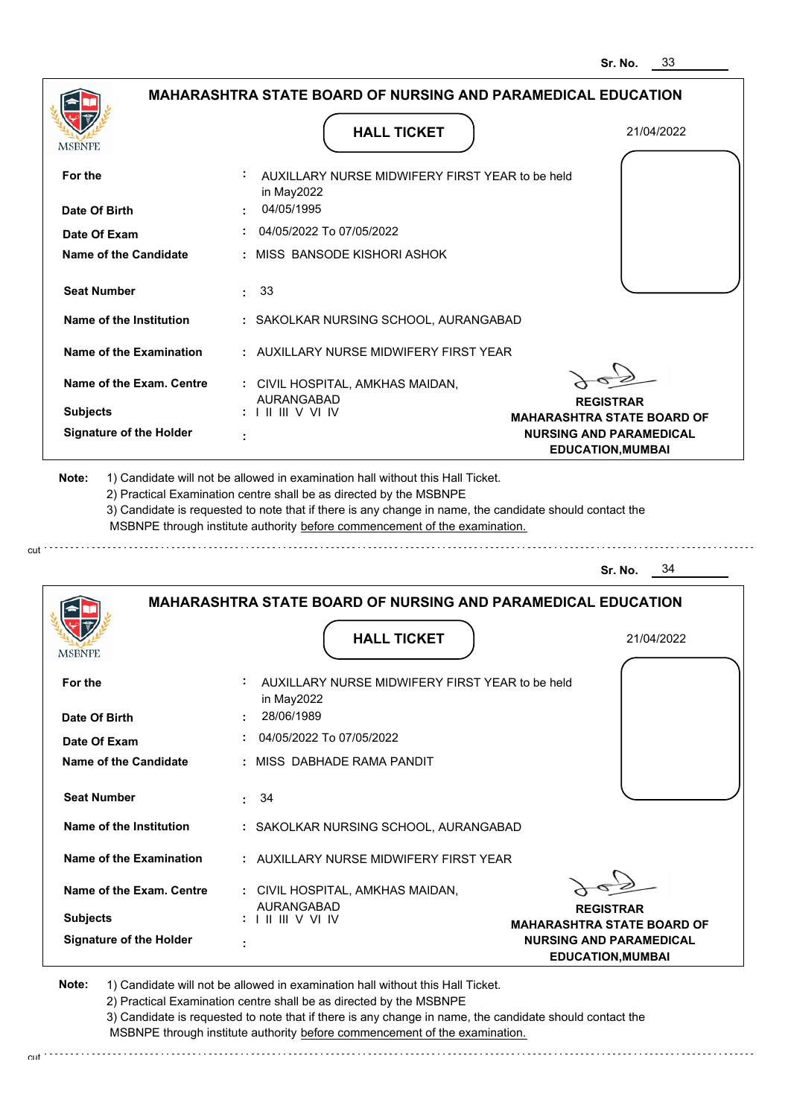**EDUCATION,MUMBAI**

|                                | <b>MAHARASHTRA STATE BOARD OF NURSING AND PARAMEDICAL EDUCATION</b>        |                                                                                                 |
|--------------------------------|----------------------------------------------------------------------------|-------------------------------------------------------------------------------------------------|
| MSBNPE                         | <b>HALL TICKET</b>                                                         | 21/04/2022                                                                                      |
| For the                        | AUXILLARY NURSE MIDWIFERY FIRST YEAR to be held<br>in May2022              |                                                                                                 |
| Date Of Birth                  | 04/05/1995                                                                 |                                                                                                 |
| Date Of Exam                   | 04/05/2022 To 07/05/2022                                                   |                                                                                                 |
| <b>Name of the Candidate</b>   | MISS BANSODE KISHORI ASHOK                                                 |                                                                                                 |
| <b>Seat Number</b>             | -33<br>÷.                                                                  |                                                                                                 |
| Name of the Institution        | : SAKOLKAR NURSING SCHOOL, AURANGABAD                                      |                                                                                                 |
| <b>Name of the Examination</b> | : AUXILLARY NURSE MIDWIFERY FIRST YEAR                                     |                                                                                                 |
| Name of the Exam. Centre       | : CIVIL HOSPITAL, AMKHAS MAIDAN,                                           |                                                                                                 |
| <b>Subjects</b>                | <b>AURANGABAD</b><br>: III III V VI IV                                     | <b>REGISTRAR</b>                                                                                |
| <b>Signature of the Holder</b> |                                                                            | <b>MAHARASHTRA STATE BOARD OF</b><br><b>NURSING AND PARAMEDICAL</b><br><b>EDUCATION, MUMBAI</b> |
|                                | MSBNPE through institute authority before commencement of the examination. | 34<br>Sr. No.                                                                                   |
|                                | <b>MAHARASHTRA STATE BOARD OF NURSING AND PARAMEDICAL EDUCATION</b>        |                                                                                                 |
| MSBNPE                         | <b>HALL TICKET</b>                                                         | 21/04/2022                                                                                      |
| For the                        | AUXILLARY NURSE MIDWIFERY FIRST YEAR to be held<br>in May2022              |                                                                                                 |
| Date Of Birth                  | 28/06/1989                                                                 |                                                                                                 |
| Date Of Exam                   | 04/05/2022 To 07/05/2022                                                   |                                                                                                 |
| <b>Name of the Candidate</b>   | : MISS DABHADE RAMA PANDIT                                                 |                                                                                                 |
| <b>Seat Number</b>             | 34<br>÷.                                                                   |                                                                                                 |
| Name of the Institution        | : SAKOLKAR NURSING SCHOOL, AURANGABAD                                      |                                                                                                 |
| <b>Name of the Examination</b> | : AUXILLARY NURSE MIDWIFERY FIRST YEAR                                     |                                                                                                 |
| Name of the Exam. Centre       | : CIVIL HOSPITAL, AMKHAS MAIDAN,<br>AURANGABAD                             | <b>REGISTRAR</b>                                                                                |
| <b>Subjects</b>                | $: 1 \mathrel{\mathsf{II}} \mathrel{\mathsf{III}} \mathsf{V}$ VI IV        | <b>MAHARASHTRA STATE BOARD OF</b>                                                               |
| <b>Signature of the Holder</b> |                                                                            | <b>NURSING AND PARAMEDICAL</b>                                                                  |

**Note:**  1) Candidate will not be allowed in examination hall without this Hall Ticket.

cut

2) Practical Examination centre shall be as directed by the MSBNPE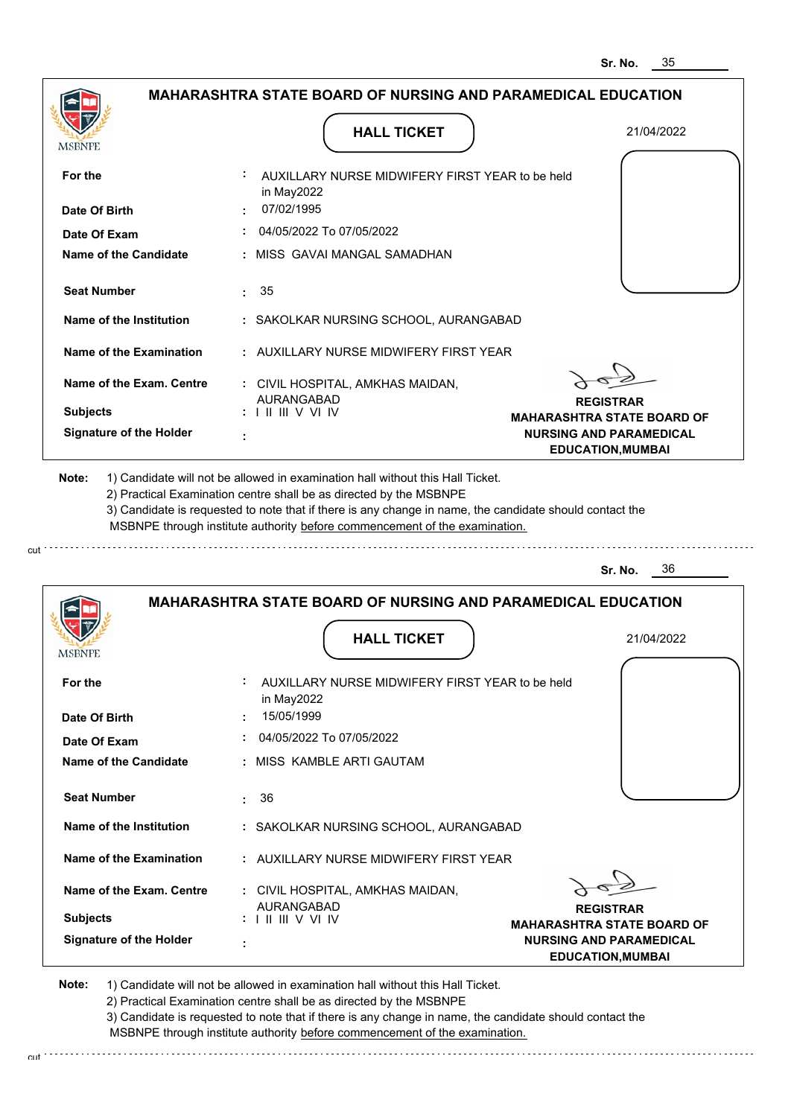**EDUCATION,MUMBAI**

|                                | <b>MAHARASHTRA STATE BOARD OF NURSING AND PARAMEDICAL EDUCATION</b>                      |                                                                     |
|--------------------------------|------------------------------------------------------------------------------------------|---------------------------------------------------------------------|
| MSBNPE                         | <b>HALL TICKET</b>                                                                       | 21/04/2022                                                          |
| For the                        | AUXILLARY NURSE MIDWIFERY FIRST YEAR to be held<br>in May2022                            |                                                                     |
| Date Of Birth                  | 07/02/1995                                                                               |                                                                     |
| Date Of Exam                   | 04/05/2022 To 07/05/2022                                                                 |                                                                     |
| Name of the Candidate          | : MISS GAVAI MANGAL SAMADHAN                                                             |                                                                     |
| <b>Seat Number</b>             | 35<br>÷.                                                                                 |                                                                     |
| Name of the Institution        | : SAKOLKAR NURSING SCHOOL, AURANGABAD                                                    |                                                                     |
| Name of the Examination        | : AUXILLARY NURSE MIDWIFERY FIRST YEAR                                                   |                                                                     |
| Name of the Exam. Centre       | : CIVIL HOSPITAL, AMKHAS MAIDAN,                                                         |                                                                     |
| <b>Subjects</b>                | <b>AURANGABAD</b><br>$: 1 \mathrel{\mathsf{II}} \mathrel{\mathsf{III}} \mathsf{V}$ VI IV | <b>REGISTRAR</b>                                                    |
| <b>Signature of the Holder</b> |                                                                                          | <b>MAHARASHTRA STATE BOARD OF</b><br><b>NURSING AND PARAMEDICAL</b> |
|                                |                                                                                          | <b>EDUCATION, MUMBAI</b>                                            |
|                                | MSBNPE through institute authority before commencement of the examination.               | 36<br>Sr. No.                                                       |
|                                | <b>MAHARASHTRA STATE BOARD OF NURSING AND PARAMEDICAL EDUCATION</b>                      |                                                                     |
|                                | <b>HALL TICKET</b>                                                                       | 21/04/2022                                                          |
| MSBNPE<br>For the              | AUXILLARY NURSE MIDWIFERY FIRST YEAR to be held<br>in May2022                            |                                                                     |
| Date Of Birth                  | 15/05/1999                                                                               |                                                                     |
| Date Of Exam                   | 04/05/2022 To 07/05/2022                                                                 |                                                                     |
| Name of the Candidate          | : MISS KAMBLE ARTI GAUTAM                                                                |                                                                     |
| <b>Seat Number</b>             | 36                                                                                       |                                                                     |
| Name of the Institution        | : SAKOLKAR NURSING SCHOOL, AURANGABAD                                                    |                                                                     |
| Name of the Examination        | : AUXILLARY NURSE MIDWIFERY FIRST YEAR                                                   |                                                                     |
| Name of the Exam. Centre       | : CIVIL HOSPITAL, AMKHAS MAIDAN,<br>AURANGABAD                                           | <b>REGISTRAR</b>                                                    |
| <b>Subjects</b>                | $: 1 \mathrel{\mathsf{II}} \mathrel{\mathsf{III}} \mathsf{V}$ VI IV                      | <b>MAHARASHTRA STATE BOARD OF</b>                                   |
| <b>Signature of the Holder</b> |                                                                                          | <b>NURSING AND PARAMEDICAL</b>                                      |

**Note:**  1) Candidate will not be allowed in examination hall without this Hall Ticket.

cut

cut.

2) Practical Examination centre shall be as directed by the MSBNPE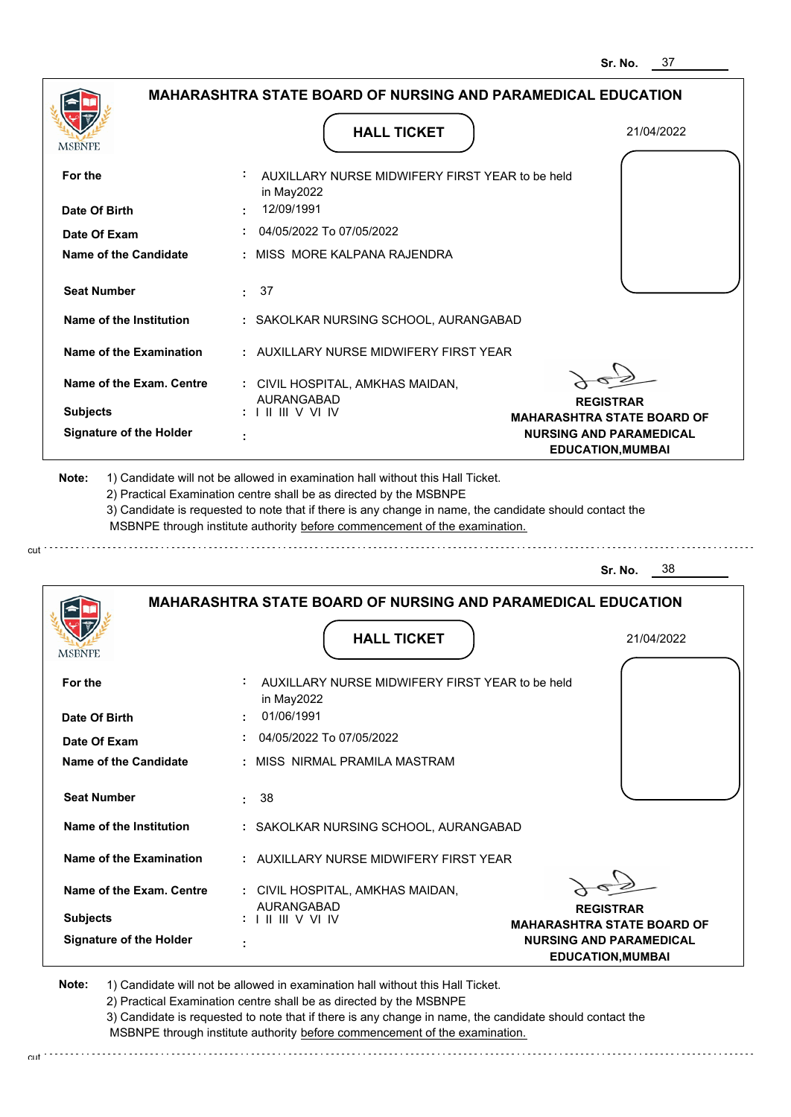| <b>MAHARASHTRA STATE BOARD OF NURSING AND PARAMEDICAL EDUCATION</b> |                                                                                                                                                                                                                                                                                                                                               |                                                            |
|---------------------------------------------------------------------|-----------------------------------------------------------------------------------------------------------------------------------------------------------------------------------------------------------------------------------------------------------------------------------------------------------------------------------------------|------------------------------------------------------------|
| MSBNPE                                                              | <b>HALL TICKET</b>                                                                                                                                                                                                                                                                                                                            | 21/04/2022                                                 |
| For the                                                             | AUXILLARY NURSE MIDWIFERY FIRST YEAR to be held<br>in May2022                                                                                                                                                                                                                                                                                 |                                                            |
| Date Of Birth                                                       | 12/09/1991                                                                                                                                                                                                                                                                                                                                    |                                                            |
| Date Of Exam                                                        | 04/05/2022 To 07/05/2022                                                                                                                                                                                                                                                                                                                      |                                                            |
| Name of the Candidate                                               | MISS MORE KALPANA RAJENDRA                                                                                                                                                                                                                                                                                                                    |                                                            |
| <b>Seat Number</b>                                                  | $\cdot$ 37                                                                                                                                                                                                                                                                                                                                    |                                                            |
| Name of the Institution                                             | : SAKOLKAR NURSING SCHOOL, AURANGABAD                                                                                                                                                                                                                                                                                                         |                                                            |
| Name of the Examination                                             | : AUXILLARY NURSE MIDWIFERY FIRST YEAR                                                                                                                                                                                                                                                                                                        |                                                            |
| Name of the Exam. Centre                                            | : CIVIL HOSPITAL, AMKHAS MAIDAN,                                                                                                                                                                                                                                                                                                              |                                                            |
| <b>Subjects</b>                                                     | <b>AURANGABAD</b><br>: III III V VI IV                                                                                                                                                                                                                                                                                                        | <b>REGISTRAR</b><br><b>MAHARASHTRA STATE BOARD OF</b>      |
| <b>Signature of the Holder</b>                                      |                                                                                                                                                                                                                                                                                                                                               | <b>NURSING AND PARAMEDICAL</b><br><b>EDUCATION, MUMBAI</b> |
| Note:                                                               | 1) Candidate will not be allowed in examination hall without this Hall Ticket.<br>2) Practical Examination centre shall be as directed by the MSBNPE<br>3) Candidate is requested to note that if there is any change in name, the candidate should contact the<br>MSBNPE through institute authority before commencement of the examination. |                                                            |
|                                                                     |                                                                                                                                                                                                                                                                                                                                               | 38<br>Sr. No.                                              |
|                                                                     | <b>MAHARASHTRA STATE BOARD OF NURSING AND PARAMEDICAL EDUCATION</b>                                                                                                                                                                                                                                                                           |                                                            |
| MSBNPE                                                              | <b>HALL TICKET</b>                                                                                                                                                                                                                                                                                                                            | 21/04/2022                                                 |

| <b>MSBNPE</b>                  |                                                                                             |
|--------------------------------|---------------------------------------------------------------------------------------------|
| For the                        | ÷<br>AUXILLARY NURSE MIDWIFERY FIRST YEAR to be held<br>in May2022                          |
| Date Of Birth                  | 01/06/1991<br>$\sim$                                                                        |
| Date Of Exam                   | 04/05/2022 To 07/05/2022                                                                    |
| Name of the Candidate          | : MISS NIRMAL PRAMILA MASTRAM                                                               |
| <b>Seat Number</b>             | 38                                                                                          |
| Name of the Institution        | : SAKOLKAR NURSING SCHOOL, AURANGABAD                                                       |
| Name of the Examination        | : AUXILLARY NURSE MIDWIFERY FIRST YEAR                                                      |
| Name of the Exam. Centre       | : CIVIL HOSPITAL, AMKHAS MAIDAN,<br><b>AURANGABAD</b><br><b>REGISTRAR</b>                   |
| <b>Subjects</b>                | $: 1 \mathbb{H} \mathbb{H} \vee \mathbb{V} \mathbb{W}$<br><b>MAHARASHTRA STATE BOARD OF</b> |
| <b>Signature of the Holder</b> | <b>NURSING AND PARAMEDICAL</b><br>٠<br><b>EDUCATION, MUMBAI</b>                             |

**Note:**  1) Candidate will not be allowed in examination hall without this Hall Ticket. 2) Practical Examination centre shall be as directed by the MSBNPE 3) Candidate is requested to note that if there is any change in name, the candidate should contact the

cut

cut.

MSBNPE through institute authority before commencement of the examination.

. . . . . . . . . . . . . .

. . . . . . . . . . . . . . . . . .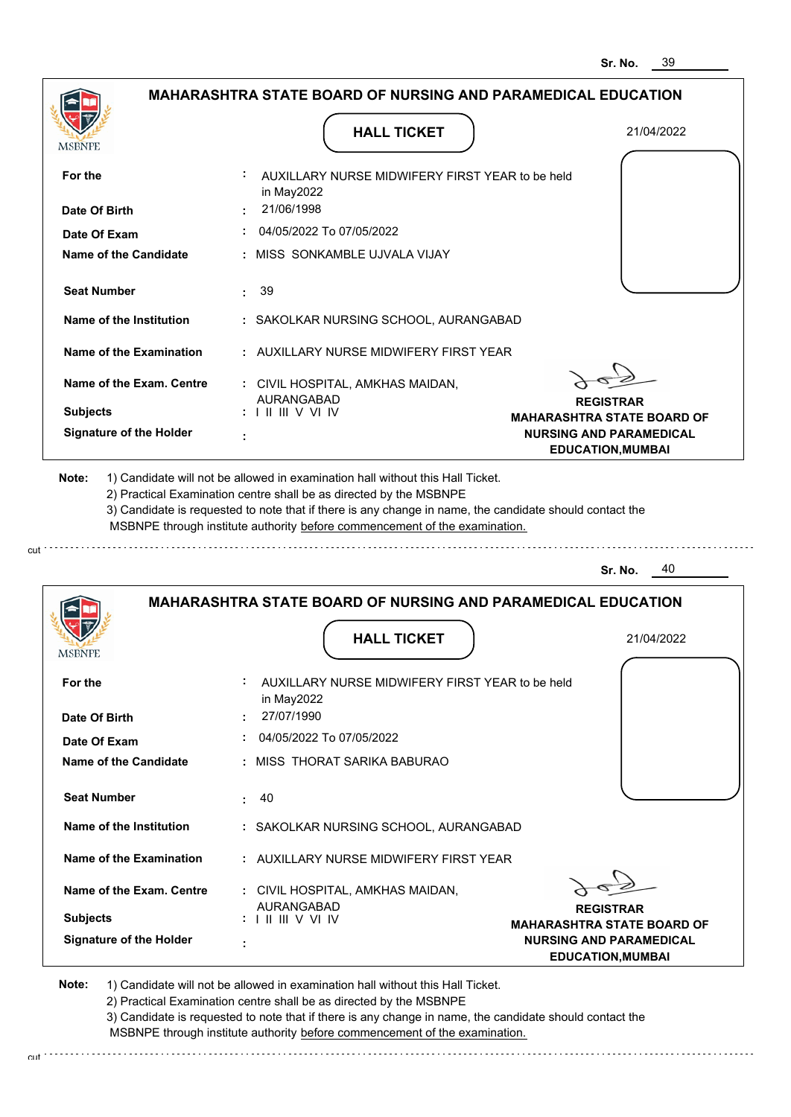| <b>MAHARASHTRA STATE BOARD OF NURSING AND PARAMEDICAL EDUCATION</b> |                                                                                                                                                                                                                                                                                                                                               |                                                            |
|---------------------------------------------------------------------|-----------------------------------------------------------------------------------------------------------------------------------------------------------------------------------------------------------------------------------------------------------------------------------------------------------------------------------------------|------------------------------------------------------------|
| MSBNPE                                                              | <b>HALL TICKET</b>                                                                                                                                                                                                                                                                                                                            | 21/04/2022                                                 |
| For the                                                             | AUXILLARY NURSE MIDWIFERY FIRST YEAR to be held<br>in May2022                                                                                                                                                                                                                                                                                 |                                                            |
| Date Of Birth                                                       | 21/06/1998                                                                                                                                                                                                                                                                                                                                    |                                                            |
| Date Of Exam                                                        | 04/05/2022 To 07/05/2022                                                                                                                                                                                                                                                                                                                      |                                                            |
| Name of the Candidate                                               | : MISS SONKAMBLE UJVALA VIJAY                                                                                                                                                                                                                                                                                                                 |                                                            |
| <b>Seat Number</b>                                                  | 39<br>÷.                                                                                                                                                                                                                                                                                                                                      |                                                            |
| Name of the Institution                                             | : SAKOLKAR NURSING SCHOOL, AURANGABAD                                                                                                                                                                                                                                                                                                         |                                                            |
| Name of the Examination                                             | : AUXILLARY NURSE MIDWIFERY FIRST YEAR                                                                                                                                                                                                                                                                                                        |                                                            |
| Name of the Exam. Centre                                            | : CIVIL HOSPITAL, AMKHAS MAIDAN,                                                                                                                                                                                                                                                                                                              |                                                            |
| <b>Subjects</b>                                                     | <b>AURANGABAD</b><br>$: 1 \mathbb{H} \mathbb{H} \vee \mathbb{V} \mathbb{W}$                                                                                                                                                                                                                                                                   | <b>REGISTRAR</b>                                           |
|                                                                     |                                                                                                                                                                                                                                                                                                                                               | <b>MAHARASHTRA STATE BOARD OF</b>                          |
| <b>Signature of the Holder</b>                                      |                                                                                                                                                                                                                                                                                                                                               | <b>NURSING AND PARAMEDICAL</b><br><b>EDUCATION, MUMBAI</b> |
| Note:                                                               | 1) Candidate will not be allowed in examination hall without this Hall Ticket.<br>2) Practical Examination centre shall be as directed by the MSBNPE<br>3) Candidate is requested to note that if there is any change in name, the candidate should contact the<br>MSBNPE through institute authority before commencement of the examination. |                                                            |
|                                                                     |                                                                                                                                                                                                                                                                                                                                               | 40<br>Sr. No.                                              |
|                                                                     | MAHARASHTRA STATE BOARD OF NURSING AND PARAMEDICAL EDUCATION                                                                                                                                                                                                                                                                                  |                                                            |

|                                | <b>MAHARASHTRA STATE BOARD OF NURSING AND PARAMEDICAL EDUCATION</b> |                                                            |
|--------------------------------|---------------------------------------------------------------------|------------------------------------------------------------|
| <b>MSBNPE</b>                  | <b>HALL TICKET</b>                                                  | 21/04/2022                                                 |
| For the                        | ÷.<br>AUXILLARY NURSE MIDWIFERY FIRST YEAR to be held<br>in May2022 |                                                            |
| Date Of Birth                  | 27/07/1990<br>÷                                                     |                                                            |
| Date Of Exam                   | 04/05/2022 To 07/05/2022                                            |                                                            |
| Name of the Candidate          | MISS THORAT SARIKA BABURAO<br>÷.                                    |                                                            |
| <b>Seat Number</b>             | : 40                                                                |                                                            |
| Name of the Institution        | : SAKOLKAR NURSING SCHOOL, AURANGABAD                               |                                                            |
| Name of the Examination        | : AUXILLARY NURSE MIDWIFERY FIRST YEAR                              |                                                            |
| Name of the Exam. Centre       | : CIVIL HOSPITAL, AMKHAS MAIDAN,<br><b>AURANGABAD</b>               |                                                            |
| <b>Subjects</b>                | $: 1 \mathbb{H} \mathbb{H} \vee \mathbb{V} \mathbb{W}$              | <b>REGISTRAR</b><br><b>MAHARASHTRA STATE BOARD OF</b>      |
| <b>Signature of the Holder</b> | ÷                                                                   | <b>NURSING AND PARAMEDICAL</b><br><b>EDUCATION, MUMBAI</b> |

**Note:**  1) Candidate will not be allowed in examination hall without this Hall Ticket. 2) Practical Examination centre shall be as directed by the MSBNPE 3) Candidate is requested to note that if there is any change in name, the candidate should contact the MSBNPE through institute authority before commencement of the examination.

cut

cut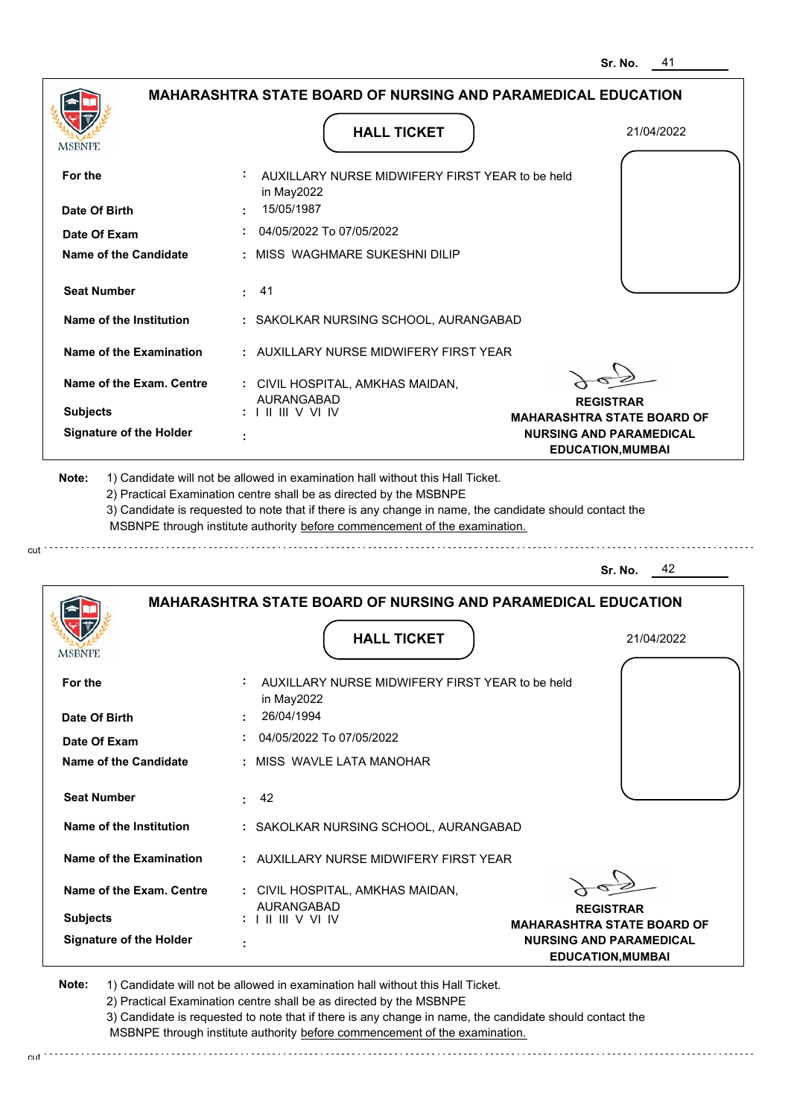|                 |                                | <b>MAHARASHTRA STATE BOARD OF NURSING AND PARAMEDICAL EDUCATION</b>                                                                                                                                                                                                                                                                           |                                                            |
|-----------------|--------------------------------|-----------------------------------------------------------------------------------------------------------------------------------------------------------------------------------------------------------------------------------------------------------------------------------------------------------------------------------------------|------------------------------------------------------------|
| MSBNPE          |                                | <b>HALL TICKET</b>                                                                                                                                                                                                                                                                                                                            | 21/04/2022                                                 |
| For the         |                                | AUXILLARY NURSE MIDWIFERY FIRST YEAR to be held<br>in May2022                                                                                                                                                                                                                                                                                 |                                                            |
|                 | Date Of Birth                  | 15/05/1987                                                                                                                                                                                                                                                                                                                                    |                                                            |
|                 | Date Of Exam                   | 04/05/2022 To 07/05/2022                                                                                                                                                                                                                                                                                                                      |                                                            |
|                 | Name of the Candidate          | MISS WAGHMARE SUKESHNI DILIP                                                                                                                                                                                                                                                                                                                  |                                                            |
|                 | <b>Seat Number</b>             | 41<br>÷.                                                                                                                                                                                                                                                                                                                                      |                                                            |
|                 | Name of the Institution        | : SAKOLKAR NURSING SCHOOL, AURANGABAD                                                                                                                                                                                                                                                                                                         |                                                            |
|                 | Name of the Examination        | : AUXILLARY NURSE MIDWIFERY FIRST YEAR                                                                                                                                                                                                                                                                                                        |                                                            |
|                 | Name of the Exam. Centre       | : CIVIL HOSPITAL, AMKHAS MAIDAN,                                                                                                                                                                                                                                                                                                              |                                                            |
| <b>Subjects</b> |                                | <b>AURANGABAD</b><br>$: 1 \mathbb{H} \mathbb{H}$ V VI IV                                                                                                                                                                                                                                                                                      | <b>REGISTRAR</b><br><b>MAHARASHTRA STATE BOARD OF</b>      |
|                 | <b>Signature of the Holder</b> |                                                                                                                                                                                                                                                                                                                                               | <b>NURSING AND PARAMEDICAL</b><br><b>EDUCATION, MUMBAI</b> |
| Note:           |                                | 1) Candidate will not be allowed in examination hall without this Hall Ticket.<br>2) Practical Examination centre shall be as directed by the MSBNPE<br>3) Candidate is requested to note that if there is any change in name, the candidate should contact the<br>MSBNPE through institute authority before commencement of the examination. |                                                            |
|                 |                                |                                                                                                                                                                                                                                                                                                                                               | 42<br>Sr. No.                                              |
|                 |                                | MAHARASHTRA STATE BOARD OF NURSING AND PARAMEDICAL EDUCATION                                                                                                                                                                                                                                                                                  |                                                            |
|                 |                                | <b>HALL TICKET</b>                                                                                                                                                                                                                                                                                                                            | 21/04/2022                                                 |

| For the                        | AUXILLARY NURSE MIDWIFERY FIRST YEAR to be held<br>in May2022                               |
|--------------------------------|---------------------------------------------------------------------------------------------|
| Date Of Birth                  | 26/04/1994<br>$\sim$                                                                        |
| Date Of Exam                   | 04/05/2022 To 07/05/2022                                                                    |
| Name of the Candidate          | : MISS WAVLE LATA MANOHAR                                                                   |
|                                |                                                                                             |
| <b>Seat Number</b>             | 42<br>t.                                                                                    |
| Name of the Institution        | : SAKOLKAR NURSING SCHOOL, AURANGABAD                                                       |
| Name of the Examination        | : AUXILLARY NURSE MIDWIFERY FIRST YEAR                                                      |
| Name of the Exam. Centre       | : CIVIL HOSPITAL, AMKHAS MAIDAN,                                                            |
|                                | <b>AURANGABAD</b><br><b>REGISTRAR</b>                                                       |
| <b>Subjects</b>                | $: 1 \mathbb{H} \mathbb{H} \vee \mathbb{V} \mathbb{W}$<br><b>MAHARASHTRA STATE BOARD OF</b> |
| <b>Signature of the Holder</b> | <b>NURSING AND PARAMEDICAL</b><br>٠<br><b>EDUCATION, MUMBAI</b>                             |

**Note:**  1) Candidate will not be allowed in examination hall without this Hall Ticket.

cut

**MSBNPE** 

2) Practical Examination centre shall be as directed by the MSBNPE

3) Candidate is requested to note that if there is any change in name, the candidate should contact the MSBNPE through institute authority before commencement of the examination. cut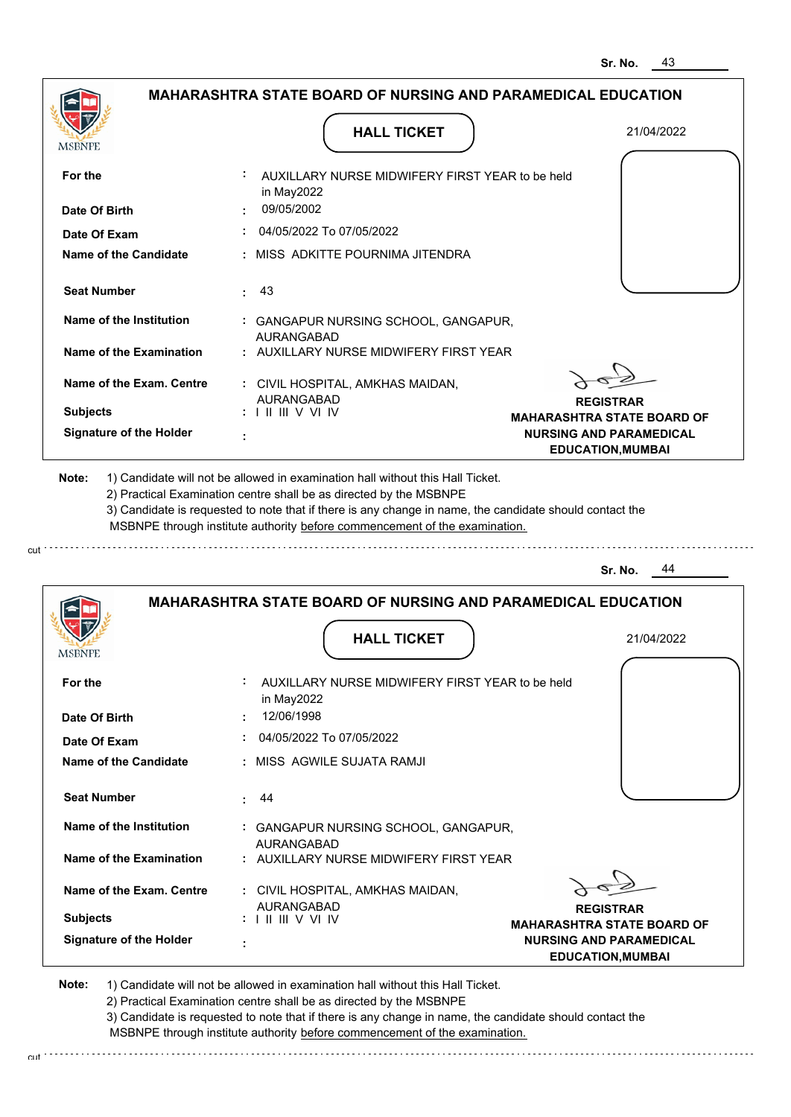|                                | <b>MAHARASHTRA STATE BOARD OF NURSING AND PARAMEDICAL EDUCATION</b>                                                                                                                                                                                                                                                                           |                                                       |
|--------------------------------|-----------------------------------------------------------------------------------------------------------------------------------------------------------------------------------------------------------------------------------------------------------------------------------------------------------------------------------------------|-------------------------------------------------------|
|                                | <b>HALL TICKET</b>                                                                                                                                                                                                                                                                                                                            | 21/04/2022                                            |
| MSBNPE                         |                                                                                                                                                                                                                                                                                                                                               |                                                       |
| For the                        | AUXILLARY NURSE MIDWIFERY FIRST YEAR to be held<br>in May2022                                                                                                                                                                                                                                                                                 |                                                       |
| Date Of Birth                  | 09/05/2002                                                                                                                                                                                                                                                                                                                                    |                                                       |
| Date Of Exam                   | 04/05/2022 To 07/05/2022                                                                                                                                                                                                                                                                                                                      |                                                       |
| Name of the Candidate          | MISS ADKITTE POURNIMA JITENDRA                                                                                                                                                                                                                                                                                                                |                                                       |
| <b>Seat Number</b>             | 43<br>÷.                                                                                                                                                                                                                                                                                                                                      |                                                       |
| Name of the Institution        | : GANGAPUR NURSING SCHOOL, GANGAPUR,<br><b>AURANGABAD</b>                                                                                                                                                                                                                                                                                     |                                                       |
| <b>Name of the Examination</b> | : AUXILLARY NURSE MIDWIFERY FIRST YEAR                                                                                                                                                                                                                                                                                                        |                                                       |
| Name of the Exam. Centre       | : CIVIL HOSPITAL, AMKHAS MAIDAN,<br><b>AURANGABAD</b>                                                                                                                                                                                                                                                                                         |                                                       |
| <b>Subjects</b>                | $: 1 \mathbb{H} \mathbb{H} \vee \vee \mathbb{H}$                                                                                                                                                                                                                                                                                              | <b>REGISTRAR</b><br><b>MAHARASHTRA STATE BOARD OF</b> |
| <b>Signature of the Holder</b> |                                                                                                                                                                                                                                                                                                                                               | <b>NURSING AND PARAMEDICAL</b>                        |
|                                |                                                                                                                                                                                                                                                                                                                                               | <b>EDUCATION, MUMBAI</b>                              |
|                                |                                                                                                                                                                                                                                                                                                                                               |                                                       |
| Note:                          | 1) Candidate will not be allowed in examination hall without this Hall Ticket.<br>2) Practical Examination centre shall be as directed by the MSBNPE<br>3) Candidate is requested to note that if there is any change in name, the candidate should contact the<br>MSBNPE through institute authority before commencement of the examination. |                                                       |
|                                |                                                                                                                                                                                                                                                                                                                                               | 44<br>Sr. No.                                         |
|                                | <b>MAHARASHTRA STATE BOARD OF NURSING AND PARAMEDICAL EDUCATION</b>                                                                                                                                                                                                                                                                           |                                                       |
| MSBNPE                         | <b>HALL TICKET</b>                                                                                                                                                                                                                                                                                                                            | 21/04/2022                                            |
| For the                        | AUXILLARY NURSE MIDWIFERY FIRST YEAR to be held                                                                                                                                                                                                                                                                                               |                                                       |
| Date Of Birth                  | in May2022<br>12/06/1998                                                                                                                                                                                                                                                                                                                      |                                                       |
| Date Of Exam                   | 04/05/2022 To 07/05/2022                                                                                                                                                                                                                                                                                                                      |                                                       |

**Name of the Exam. Centre Name of the Examination Name of the Institution Seat Number :** 44  **:** GANGAPUR NURSING SCHOOL, GANGAPUR,  **:** AUXILLARY NURSE MIDWIFERY FIRST YEAR  **:** CIVIL HOSPITAL, AMKHAS MAIDAN, **Subjects :** AURANGABAD AURANGABAD I II III V VI IV

**Signature of the Holder :**

cut

**REGISTRAR MAHARASHTRA STATE BOARD OF NURSING AND PARAMEDICAL EDUCATION,MUMBAI**

**Note:**  1) Candidate will not be allowed in examination hall without this Hall Ticket.

2) Practical Examination centre shall be as directed by the MSBNPE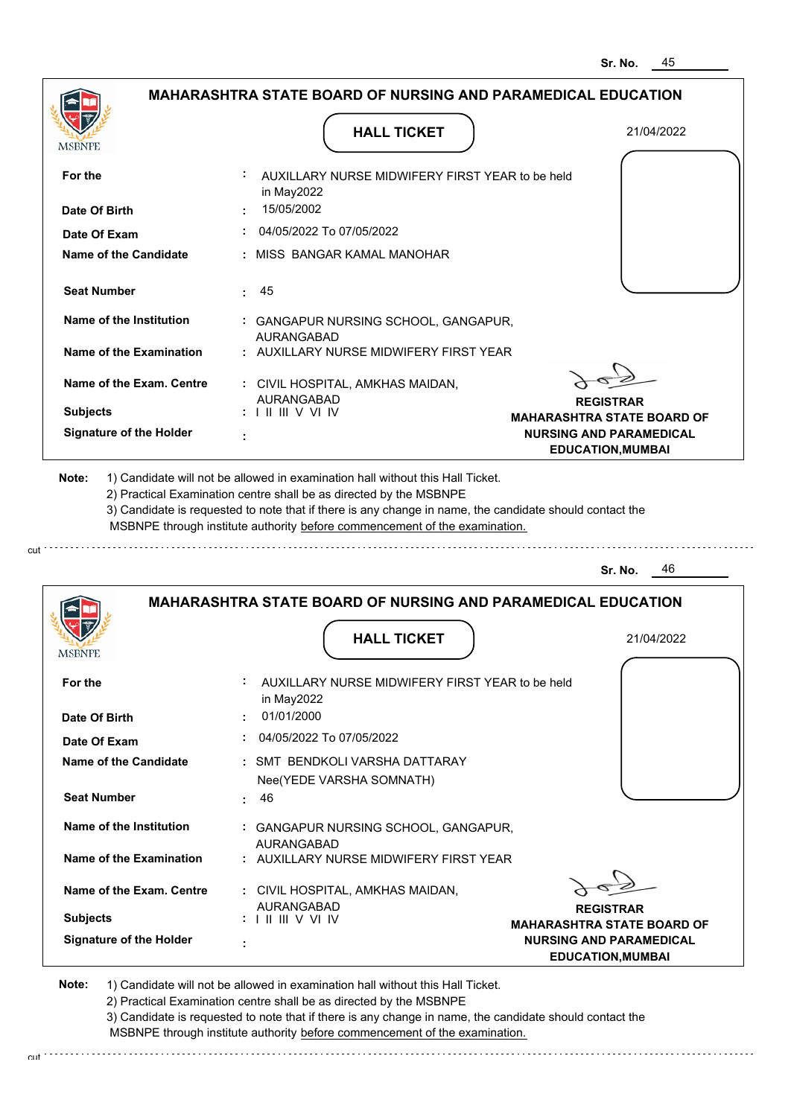| <b>MSBNPE</b>                                                                                                                                                                                                               | <b>HALL TICKET</b>                                                                                                                                                                                                                                          | 21/04/2022                                                 |
|-----------------------------------------------------------------------------------------------------------------------------------------------------------------------------------------------------------------------------|-------------------------------------------------------------------------------------------------------------------------------------------------------------------------------------------------------------------------------------------------------------|------------------------------------------------------------|
| For the                                                                                                                                                                                                                     | AUXILLARY NURSE MIDWIFERY FIRST YEAR to be held<br>in May2022                                                                                                                                                                                               |                                                            |
| Date Of Birth                                                                                                                                                                                                               | : 15/05/2002                                                                                                                                                                                                                                                |                                                            |
| Date Of Exam                                                                                                                                                                                                                | 04/05/2022 To 07/05/2022                                                                                                                                                                                                                                    |                                                            |
| Name of the Candidate                                                                                                                                                                                                       | : MISS BANGAR KAMAL MANOHAR                                                                                                                                                                                                                                 |                                                            |
| <b>Seat Number</b>                                                                                                                                                                                                          | : 45                                                                                                                                                                                                                                                        |                                                            |
| Name of the Institution                                                                                                                                                                                                     | : GANGAPUR NURSING SCHOOL, GANGAPUR,<br><b>AURANGABAD</b>                                                                                                                                                                                                   |                                                            |
| Name of the Examination                                                                                                                                                                                                     | : AUXILLARY NURSE MIDWIFERY FIRST YEAR                                                                                                                                                                                                                      |                                                            |
| Name of the Exam. Centre                                                                                                                                                                                                    | : CIVIL HOSPITAL, AMKHAS MAIDAN,<br><b>AURANGABAD</b>                                                                                                                                                                                                       |                                                            |
| <b>Subjects</b>                                                                                                                                                                                                             |                                                                                                                                                                                                                                                             | <b>REGISTRAR</b><br><b>MAHARASHTRA STATE BOARD OF</b>      |
| <b>Signature of the Holder</b>                                                                                                                                                                                              |                                                                                                                                                                                                                                                             | <b>NURSING AND PARAMEDICAL</b><br><b>EDUCATION, MUMBAI</b> |
|                                                                                                                                                                                                                             | 2) Practical Examination centre shall be as directed by the MSBNPE<br>3) Candidate is requested to note that if there is any change in name, the candidate should contact the<br>MSBNPE through institute authority before commencement of the examination. |                                                            |
|                                                                                                                                                                                                                             |                                                                                                                                                                                                                                                             | - 46<br>Sr. No.                                            |
|                                                                                                                                                                                                                             | <b>MAHARASHTRA STATE BOARD OF NURSING AND PARAMEDICAL EDUCATION</b>                                                                                                                                                                                         |                                                            |
|                                                                                                                                                                                                                             | <b>HALL TICKET</b>                                                                                                                                                                                                                                          | 21/04/2022                                                 |
|                                                                                                                                                                                                                             | AUXILLARY NURSE MIDWIFERY FIRST YEAR to be held                                                                                                                                                                                                             |                                                            |
|                                                                                                                                                                                                                             | in May2022<br>01/01/2000                                                                                                                                                                                                                                    |                                                            |
|                                                                                                                                                                                                                             | 04/05/2022 To 07/05/2022                                                                                                                                                                                                                                    |                                                            |
|                                                                                                                                                                                                                             | : SMT BENDKOLI VARSHA DATTARAY                                                                                                                                                                                                                              |                                                            |
|                                                                                                                                                                                                                             | Nee(YEDE VARSHA SOMNATH)<br>: 46                                                                                                                                                                                                                            |                                                            |
|                                                                                                                                                                                                                             | : GANGAPUR NURSING SCHOOL, GANGAPUR,                                                                                                                                                                                                                        |                                                            |
|                                                                                                                                                                                                                             | <b>AURANGABAD</b><br>: AUXILLARY NURSE MIDWIFERY FIRST YEAR                                                                                                                                                                                                 |                                                            |
|                                                                                                                                                                                                                             | : CIVIL HOSPITAL, AMKHAS MAIDAN,                                                                                                                                                                                                                            |                                                            |
| <b>MSBNPE</b><br>For the<br>Date Of Birth<br>Date Of Exam<br><b>Name of the Candidate</b><br><b>Seat Number</b><br>Name of the Institution<br><b>Name of the Examination</b><br>Name of the Exam. Centre<br><b>Subjects</b> | AURANGABAD<br>$: 1 \mathbb{H} \mathbb{H} \vee \mathbb{V} \mathbb{N}$                                                                                                                                                                                        | <b>REGISTRAR</b><br><b>MAHARASHTRA STATE BOARD OF</b>      |

2) Practical Examination centre shall be as directed by the MSBNPE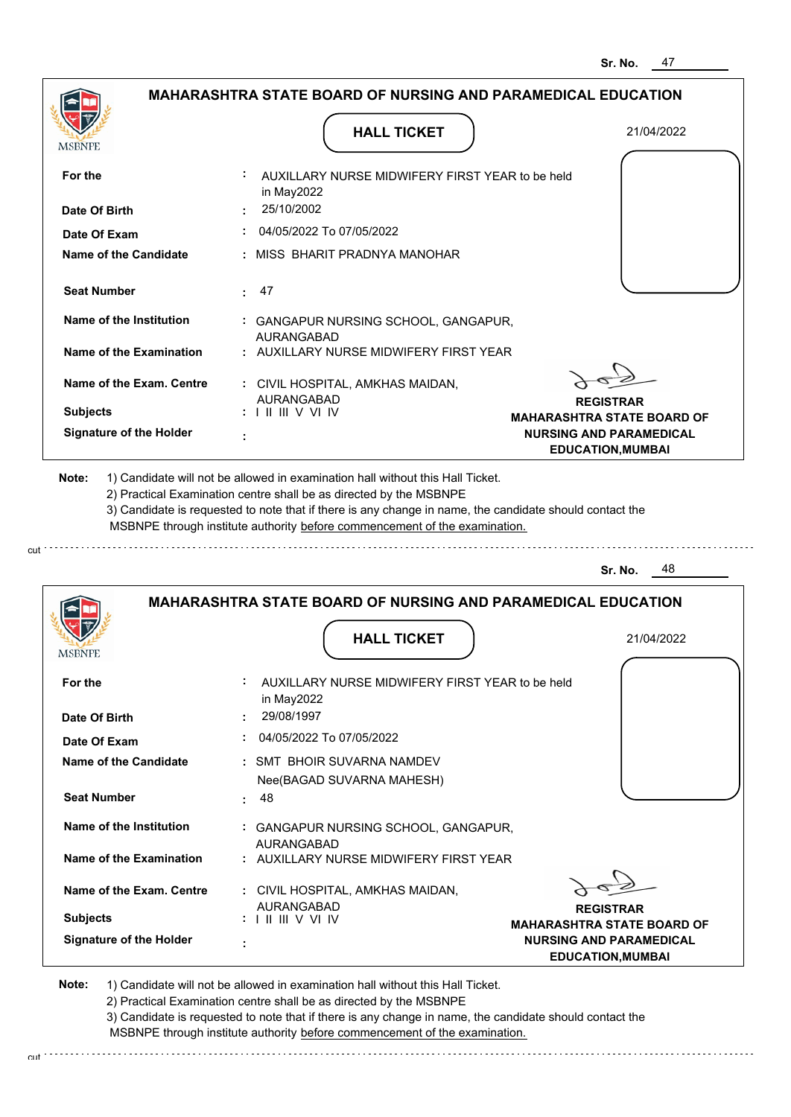|                                | <b>MAHARASHTRA STATE BOARD OF NURSING AND PARAMEDICAL EDUCATION</b>                                                                                                                                                                                         |                                                                                                 |
|--------------------------------|-------------------------------------------------------------------------------------------------------------------------------------------------------------------------------------------------------------------------------------------------------------|-------------------------------------------------------------------------------------------------|
|                                | <b>HALL TICKET</b>                                                                                                                                                                                                                                          | 21/04/2022                                                                                      |
|                                |                                                                                                                                                                                                                                                             |                                                                                                 |
| For the                        | AUXILLARY NURSE MIDWIFERY FIRST YEAR to be held<br>in May2022                                                                                                                                                                                               |                                                                                                 |
| Date Of Birth                  | 25/10/2002                                                                                                                                                                                                                                                  |                                                                                                 |
| Date Of Exam                   | 04/05/2022 To 07/05/2022                                                                                                                                                                                                                                    |                                                                                                 |
| Name of the Candidate          | MISS BHARIT PRADNYA MANOHAR                                                                                                                                                                                                                                 |                                                                                                 |
| <b>Seat Number</b>             | 47<br>÷.                                                                                                                                                                                                                                                    |                                                                                                 |
| Name of the Institution        | : GANGAPUR NURSING SCHOOL, GANGAPUR,<br>AURANGABAD                                                                                                                                                                                                          |                                                                                                 |
| <b>Name of the Examination</b> | : AUXILLARY NURSE MIDWIFERY FIRST YEAR                                                                                                                                                                                                                      |                                                                                                 |
| Name of the Exam. Centre       | : CIVIL HOSPITAL, AMKHAS MAIDAN,                                                                                                                                                                                                                            |                                                                                                 |
| <b>Subjects</b>                | AURANGABAD<br>$: 1 \mathrel{\mathsf{II}} \mathrel{\mathsf{III}} \mathsf{V}$ VI IV                                                                                                                                                                           | <b>REGISTRAR</b>                                                                                |
| <b>Signature of the Holder</b> |                                                                                                                                                                                                                                                             | <b>MAHARASHTRA STATE BOARD OF</b><br><b>NURSING AND PARAMEDICAL</b><br><b>EDUCATION, MUMBAI</b> |
|                                | 2) Practical Examination centre shall be as directed by the MSBNPE<br>3) Candidate is requested to note that if there is any change in name, the candidate should contact the<br>MSBNPE through institute authority before commencement of the examination. | 48<br>Sr. No.                                                                                   |
|                                |                                                                                                                                                                                                                                                             |                                                                                                 |
|                                | <b>MAHARASHTRA STATE BOARD OF NURSING AND PARAMEDICAL EDUCATION</b>                                                                                                                                                                                         |                                                                                                 |
|                                |                                                                                                                                                                                                                                                             |                                                                                                 |
| MSBNPE                         | <b>HALL TICKET</b>                                                                                                                                                                                                                                          | 21/04/2022                                                                                      |
|                                |                                                                                                                                                                                                                                                             |                                                                                                 |
| For the                        | AUXILLARY NURSE MIDWIFERY FIRST YEAR to be held<br>in May2022                                                                                                                                                                                               |                                                                                                 |
| Date Of Birth                  | 29/08/1997                                                                                                                                                                                                                                                  |                                                                                                 |
| Date Of Exam                   | 04/05/2022 To 07/05/2022                                                                                                                                                                                                                                    |                                                                                                 |
| <b>Name of the Candidate</b>   | : SMT BHOIR SUVARNA NAMDEV                                                                                                                                                                                                                                  |                                                                                                 |
|                                | Nee(BAGAD SUVARNA MAHESH)                                                                                                                                                                                                                                   |                                                                                                 |
| <b>Seat Number</b>             |                                                                                                                                                                                                                                                             |                                                                                                 |
|                                | 48<br>÷.                                                                                                                                                                                                                                                    |                                                                                                 |

**Name of the Examination :** AUXILLARY NURSE MIDWIFERY FIRST YEAR AURANGABAD

**Signature of the Holder Name of the Exam. Centre :** CIVIL HOSPITAL, AMKHAS MAIDAN,  **: Subjects :** AURANGABAD I II III V VI IV

cut

**REGISTRAR MAHARASHTRA STATE BOARD OF NURSING AND PARAMEDICAL EDUCATION,MUMBAI**

**Note:**  1) Candidate will not be allowed in examination hall without this Hall Ticket.

2) Practical Examination centre shall be as directed by the MSBNPE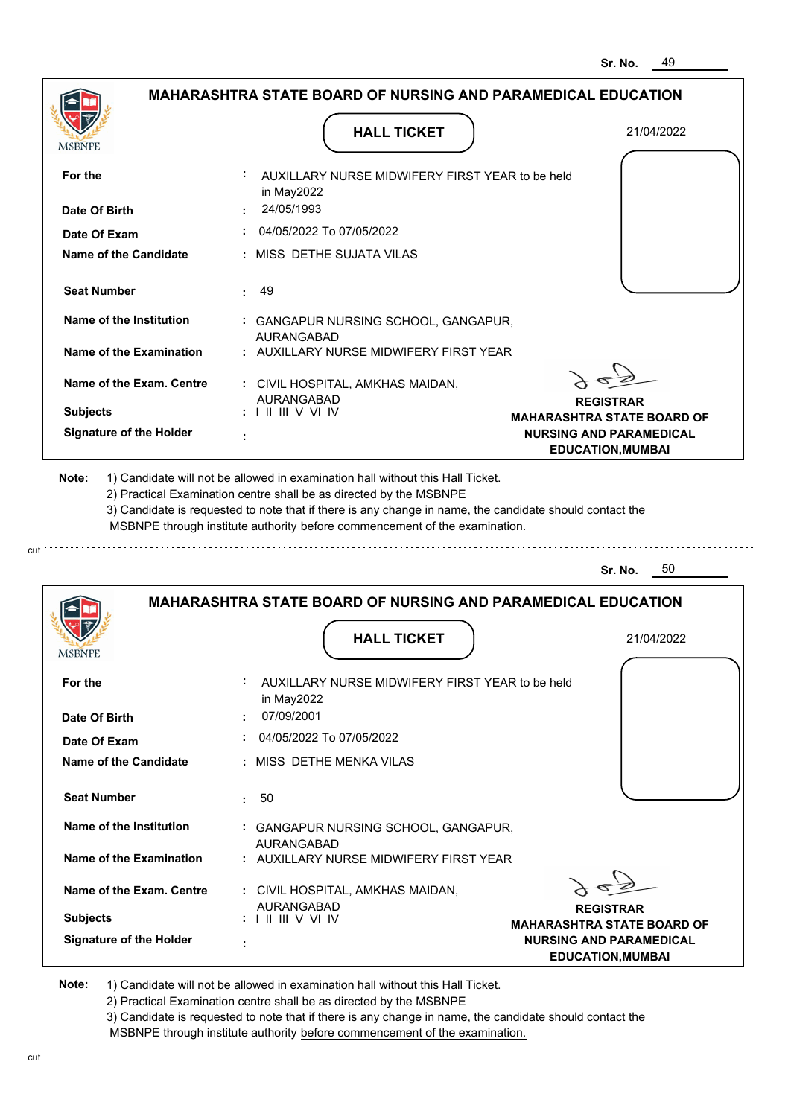| <b>MSBNPE</b>                                             | <b>HALL TICKET</b>                                                                                                                                                                                                                                              | 21/04/2022                                            |
|-----------------------------------------------------------|-----------------------------------------------------------------------------------------------------------------------------------------------------------------------------------------------------------------------------------------------------------------|-------------------------------------------------------|
| For the                                                   | AUXILLARY NURSE MIDWIFERY FIRST YEAR to be held<br>in May2022                                                                                                                                                                                                   |                                                       |
| Date Of Birth                                             | 24/05/1993                                                                                                                                                                                                                                                      |                                                       |
| Date Of Exam                                              | 04/05/2022 To 07/05/2022                                                                                                                                                                                                                                        |                                                       |
| <b>Name of the Candidate</b>                              | : MISS DETHE SUJATA VILAS                                                                                                                                                                                                                                       |                                                       |
| <b>Seat Number</b>                                        | 49<br>$\mathbf{L}$                                                                                                                                                                                                                                              |                                                       |
| Name of the Institution                                   | : GANGAPUR NURSING SCHOOL, GANGAPUR,<br><b>AURANGABAD</b>                                                                                                                                                                                                       |                                                       |
| Name of the Examination                                   | : AUXILLARY NURSE MIDWIFERY FIRST YEAR                                                                                                                                                                                                                          |                                                       |
| Name of the Exam. Centre                                  | : CIVIL HOSPITAL, AMKHAS MAIDAN,                                                                                                                                                                                                                                |                                                       |
| <b>Subjects</b>                                           | AURANGABAD<br>$: 1 \mathbb{H} \mathbb{H} \vee \mathbb{V} \mathbb{N}$                                                                                                                                                                                            | <b>REGISTRAR</b><br><b>MAHARASHTRA STATE BOARD OF</b> |
| <b>Signature of the Holder</b>                            |                                                                                                                                                                                                                                                                 | <b>NURSING AND PARAMEDICAL</b>                        |
|                                                           | 1) Candidate will not be allowed in examination hall without this Hall Ticket.<br>2) Practical Examination centre shall be as directed by the MSBNPE<br>3) Candidate is requested to note that if there is any change in name, the candidate should contact the | <b>EDUCATION, MUMBAI</b>                              |
| Note:                                                     | MSBNPE through institute authority before commencement of the examination.                                                                                                                                                                                      |                                                       |
|                                                           |                                                                                                                                                                                                                                                                 | 50<br>Sr. No.                                         |
|                                                           | <b>MAHARASHTRA STATE BOARD OF NURSING AND PARAMEDICAL EDUCATION</b>                                                                                                                                                                                             |                                                       |
|                                                           | <b>HALL TICKET</b>                                                                                                                                                                                                                                              | 21/04/2022                                            |
|                                                           | AUXILLARY NURSE MIDWIFFRY FIRST YFAR to be held<br>in May2022                                                                                                                                                                                                   |                                                       |
|                                                           | 07/09/2001                                                                                                                                                                                                                                                      |                                                       |
| <b>MSBNPE</b><br>For the<br>Date Of Birth<br>Date Of Exam | 04/05/2022 To 07/05/2022                                                                                                                                                                                                                                        |                                                       |
| Name of the Candidate                                     | : MISS DETHE MENKA VILAS                                                                                                                                                                                                                                        |                                                       |
| <b>Seat Number</b>                                        | $\pm 50$                                                                                                                                                                                                                                                        |                                                       |

**REGISTRAR MAHARASHTRA STATE BOARD OF NURSING AND PARAMEDICAL EDUCATION,MUMBAI**

<sup>2</sup>

**Note:**  1) Candidate will not be allowed in examination hall without this Hall Ticket.

AURANGABAD I II III V VI IV

 **:**

**Signature of the Holder**

**Subjects :**

cut \*\*\*\*\*\*\*\*\*\*\*\*\*\*\*\*\*\*

**Name of the Exam. Centre**

2) Practical Examination centre shall be as directed by the MSBNPE

3) Candidate is requested to note that if there is any change in name, the candidate should contact the MSBNPE through institute authority before commencement of the examination.

 **:** CIVIL HOSPITAL, AMKHAS MAIDAN,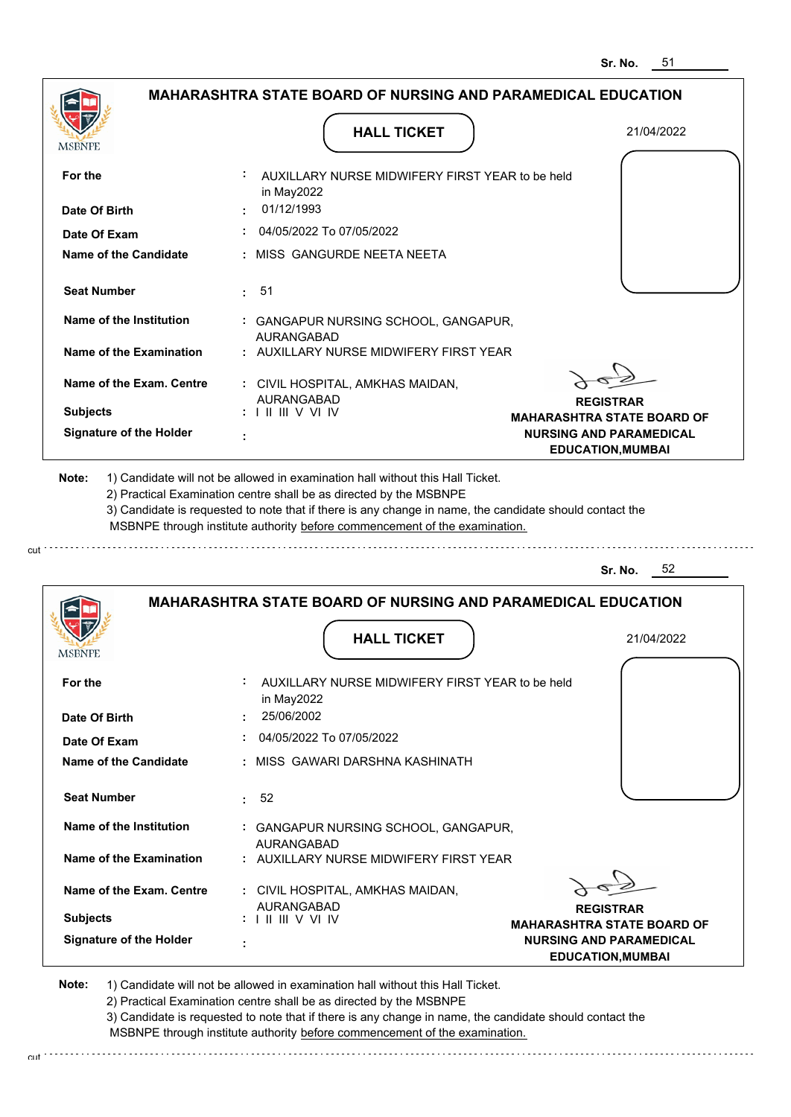|                                | <b>MAHARASHTRA STATE BOARD OF NURSING AND PARAMEDICAL EDUCATION</b>                                                                                                           |                                                            |
|--------------------------------|-------------------------------------------------------------------------------------------------------------------------------------------------------------------------------|------------------------------------------------------------|
|                                | <b>HALL TICKET</b>                                                                                                                                                            | 21/04/2022                                                 |
| For the                        | AUXILLARY NURSE MIDWIFERY FIRST YEAR to be held                                                                                                                               |                                                            |
| Date Of Birth                  | in May2022<br>01/12/1993                                                                                                                                                      |                                                            |
| Date Of Exam                   | 04/05/2022 To 07/05/2022                                                                                                                                                      |                                                            |
| Name of the Candidate          | : MISS_GANGURDE NEETA NEETA                                                                                                                                                   |                                                            |
| <b>Seat Number</b>             | 51<br>÷.                                                                                                                                                                      |                                                            |
| Name of the Institution        | : GANGAPUR NURSING SCHOOL, GANGAPUR,<br><b>AURANGABAD</b>                                                                                                                     |                                                            |
| Name of the Examination        | : AUXILLARY NURSE MIDWIFERY FIRST YEAR                                                                                                                                        |                                                            |
| Name of the Exam. Centre       | : CIVIL HOSPITAL, AMKHAS MAIDAN,                                                                                                                                              |                                                            |
| <b>Subjects</b>                | AURANGABAD                                                                                                                                                                    | <b>REGISTRAR</b><br><b>MAHARASHTRA STATE BOARD OF</b>      |
| <b>Signature of the Holder</b> |                                                                                                                                                                               | <b>NURSING AND PARAMEDICAL</b><br><b>EDUCATION, MUMBAI</b> |
|                                | 2) Practical Examination centre shall be as directed by the MSBNPE<br>3) Candidate is requested to note that if there is any change in name, the candidate should contact the |                                                            |
|                                | MSBNPE through institute authority before commencement of the examination.                                                                                                    |                                                            |
|                                |                                                                                                                                                                               | 52<br>Sr. No.                                              |
|                                | <b>MAHARASHTRA STATE BOARD OF NURSING AND PARAMEDICAL EDUCATION</b>                                                                                                           |                                                            |
| MSBNPE                         | <b>HALL TICKET</b>                                                                                                                                                            | 21/04/2022                                                 |
| For the                        | AUXILLARY NURSE MIDWIFERY FIRST YEAR to be held<br>in May2022                                                                                                                 |                                                            |
| Date Of Birth                  | 25/06/2002                                                                                                                                                                    |                                                            |
| Date Of Exam                   | 04/05/2022 To 07/05/2022                                                                                                                                                      |                                                            |
| <b>Name of the Candidate</b>   | : MISS GAWARI DARSHNA KASHINATH                                                                                                                                               |                                                            |
| <b>Seat Number</b>             | 52<br>ŧ.                                                                                                                                                                      |                                                            |
| Name of the Institution        | : GANGAPUR NURSING SCHOOL, GANGAPUR,<br><b>AURANGABAD</b>                                                                                                                     |                                                            |

**REGISTRAR MAHARASHTRA STATE BOARD OF NURSING AND PARAMEDICAL EDUCATION,MUMBAI**

**Note:**  1) Candidate will not be allowed in examination hall without this Hall Ticket.

AURANGABAD I II III V VI IV

 **:**

2) Practical Examination centre shall be as directed by the MSBNPE

3) Candidate is requested to note that if there is any change in name, the candidate should contact the MSBNPE through institute authority before commencement of the examination.

 **:** CIVIL HOSPITAL, AMKHAS MAIDAN,

cut de la component de la component de la component de la component de la component de la component de la component de la component de la component de la component de la component de la component de la component de la comp

**Signature of the Holder**

**Subjects :**

**Name of the Exam. Centre**

cut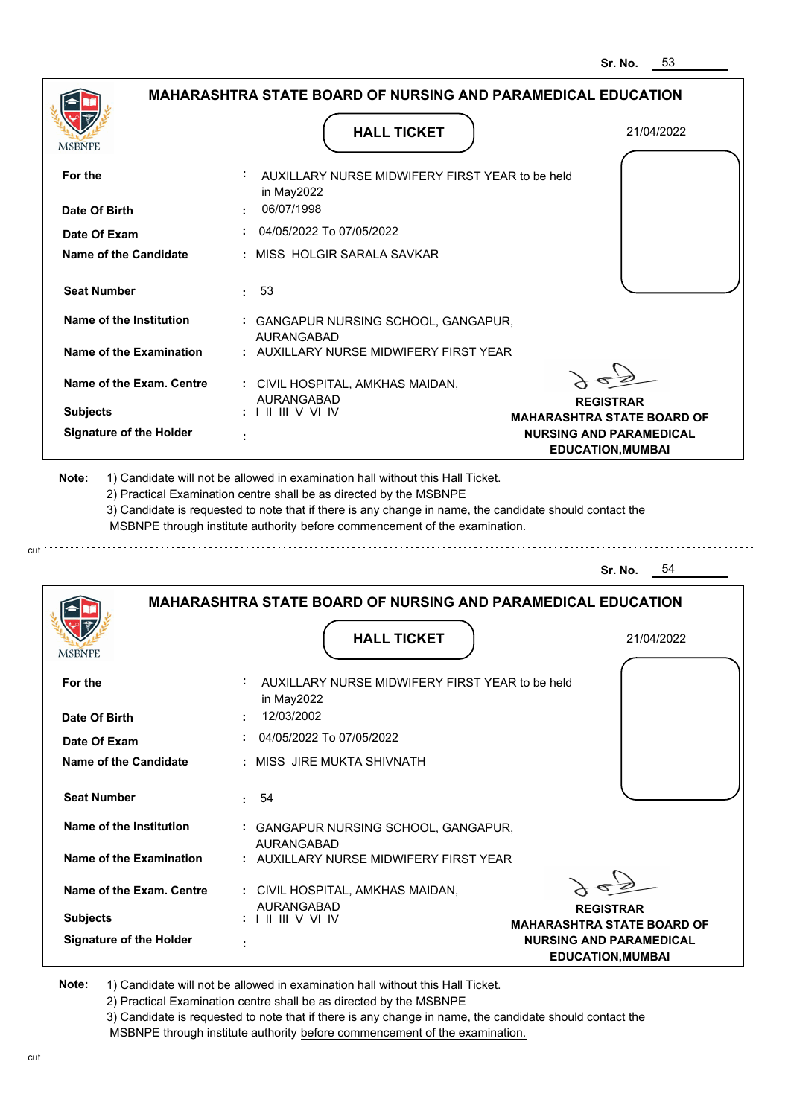|                                              | MAHARASHTRA STATE BOARD OF NURSING AND PARAMEDICAL EDUCATION                                                                                                                                                                                                |                                                                     |
|----------------------------------------------|-------------------------------------------------------------------------------------------------------------------------------------------------------------------------------------------------------------------------------------------------------------|---------------------------------------------------------------------|
| MSBNPE                                       | <b>HALL TICKET</b>                                                                                                                                                                                                                                          | 21/04/2022                                                          |
|                                              |                                                                                                                                                                                                                                                             |                                                                     |
| For the                                      | AUXILLARY NURSE MIDWIFERY FIRST YEAR to be held<br>in May2022                                                                                                                                                                                               |                                                                     |
| Date Of Birth                                | 06/07/1998                                                                                                                                                                                                                                                  |                                                                     |
| Date Of Exam                                 | 04/05/2022 To 07/05/2022                                                                                                                                                                                                                                    |                                                                     |
| Name of the Candidate                        | MISS HOLGIR SARALA SAVKAR                                                                                                                                                                                                                                   |                                                                     |
| <b>Seat Number</b>                           | 53<br>÷                                                                                                                                                                                                                                                     |                                                                     |
| Name of the Institution                      | : GANGAPUR NURSING SCHOOL, GANGAPUR,<br>AURANGABAD                                                                                                                                                                                                          |                                                                     |
| Name of the Examination                      | : AUXILLARY NURSE MIDWIFERY FIRST YEAR                                                                                                                                                                                                                      |                                                                     |
| Name of the Exam. Centre                     | : CIVIL HOSPITAL, AMKHAS MAIDAN,                                                                                                                                                                                                                            |                                                                     |
| <b>Subjects</b>                              | <b>AURANGABAD</b>                                                                                                                                                                                                                                           | <b>REGISTRAR</b>                                                    |
| <b>Signature of the Holder</b>               |                                                                                                                                                                                                                                                             | <b>MAHARASHTRA STATE BOARD OF</b><br><b>NURSING AND PARAMEDICAL</b> |
| Note:                                        | ÷<br>1) Candidate will not be allowed in examination hall without this Hall Ticket.                                                                                                                                                                         | <b>EDUCATION, MUMBAI</b>                                            |
|                                              | 2) Practical Examination centre shall be as directed by the MSBNPE<br>3) Candidate is requested to note that if there is any change in name, the candidate should contact the<br>MSBNPE through institute authority before commencement of the examination. | 54<br>Sr. No.                                                       |
|                                              |                                                                                                                                                                                                                                                             |                                                                     |
|                                              | <b>MAHARASHTRA STATE BOARD OF NURSING AND PARAMEDICAL EDUCATION</b>                                                                                                                                                                                         |                                                                     |
| MSBNPE                                       | <b>HALL TICKET</b>                                                                                                                                                                                                                                          | 21/04/2022                                                          |
| For the                                      | AUXILLARY NURSE MIDWIFERY FIRST YEAR to be held                                                                                                                                                                                                             |                                                                     |
| Date Of Birth                                | in May2022<br>12/03/2002                                                                                                                                                                                                                                    |                                                                     |
|                                              |                                                                                                                                                                                                                                                             |                                                                     |
| Date Of Exam<br><b>Name of the Candidate</b> | 04/05/2022 To 07/05/2022<br>: MISS JIRE MUKTA SHIVNATH                                                                                                                                                                                                      |                                                                     |
| <b>Seat Number</b>                           | 54<br>÷.                                                                                                                                                                                                                                                    |                                                                     |

**Name of the Examination :** AUXILLARY NURSE MIDWIFERY FIRST YEAR AURANGABAD

**Signature of the Holder Name of the Exam. Centre :** CIVIL HOSPITAL, AMKHAS MAIDAN, **Subjects :** AURANGABAD I II III V VI IV

 **:**

cut

cut

**REGISTRAR MAHARASHTRA STATE BOARD OF NURSING AND PARAMEDICAL EDUCATION,MUMBAI**

**Note:**  1) Candidate will not be allowed in examination hall without this Hall Ticket.

2) Practical Examination centre shall be as directed by the MSBNPE

3) Candidate is requested to note that if there is any change in name, the candidate should contact the MSBNPE through institute authority before commencement of the examination.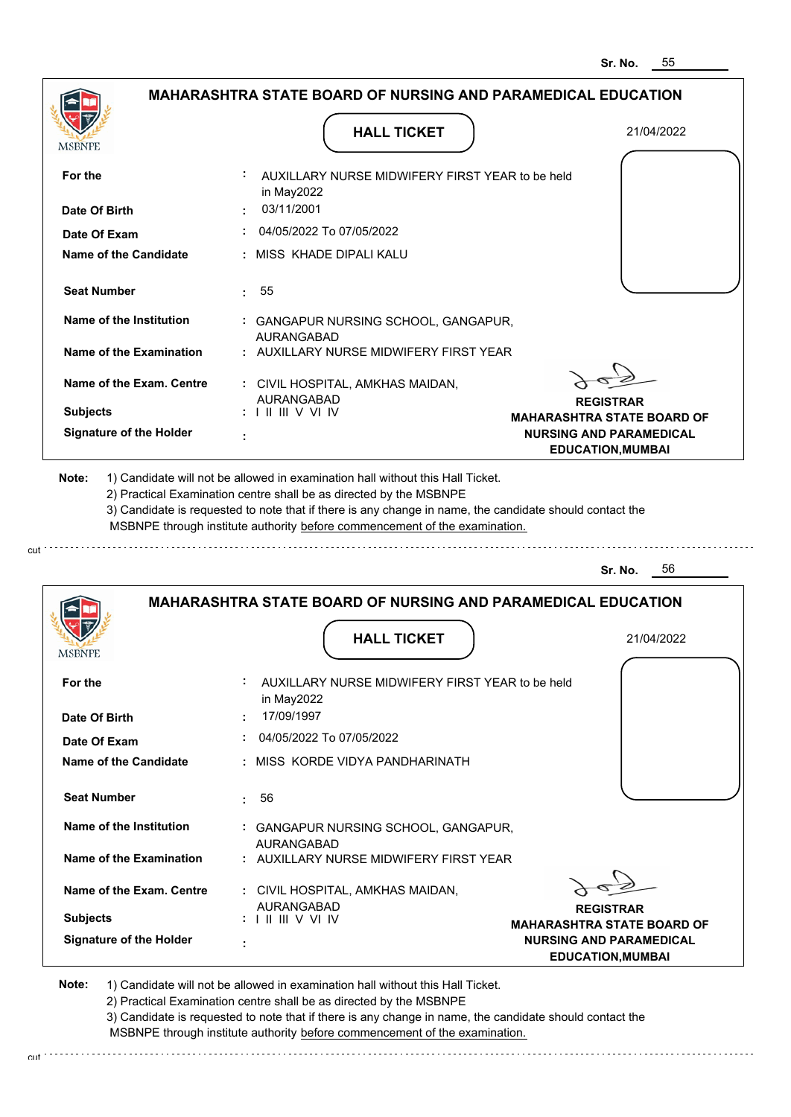**Sr. No.** 56

|                                | <b>MAHARASHTRA STATE BOARD OF NURSING AND PARAMEDICAL EDUCATION</b>                                                                                                                                                                                                                                                                           |                                                            |
|--------------------------------|-----------------------------------------------------------------------------------------------------------------------------------------------------------------------------------------------------------------------------------------------------------------------------------------------------------------------------------------------|------------------------------------------------------------|
| <b>MSBNPE</b>                  | <b>HALL TICKET</b>                                                                                                                                                                                                                                                                                                                            | 21/04/2022                                                 |
| For the                        | AUXILLARY NURSE MIDWIFERY FIRST YEAR to be held<br>in May2022                                                                                                                                                                                                                                                                                 |                                                            |
| Date Of Birth                  | 03/11/2001                                                                                                                                                                                                                                                                                                                                    |                                                            |
| Date Of Exam                   | 04/05/2022 To 07/05/2022                                                                                                                                                                                                                                                                                                                      |                                                            |
| Name of the Candidate          | : MISS KHADE DIPALI KALU                                                                                                                                                                                                                                                                                                                      |                                                            |
| <b>Seat Number</b>             | 55<br>÷.                                                                                                                                                                                                                                                                                                                                      |                                                            |
| Name of the Institution        | : GANGAPUR NURSING SCHOOL, GANGAPUR,<br><b>AURANGABAD</b>                                                                                                                                                                                                                                                                                     |                                                            |
| Name of the Examination        | : AUXILLARY NURSE MIDWIFERY FIRST YEAR                                                                                                                                                                                                                                                                                                        |                                                            |
| Name of the Exam. Centre       | : CIVIL HOSPITAL, AMKHAS MAIDAN,<br><b>AURANGABAD</b>                                                                                                                                                                                                                                                                                         | <b>REGISTRAR</b>                                           |
| <b>Subjects</b>                | $: 1 \mathbb{H} \mathbb{H}$ V VI IV                                                                                                                                                                                                                                                                                                           | <b>MAHARASHTRA STATE BOARD OF</b>                          |
| <b>Signature of the Holder</b> |                                                                                                                                                                                                                                                                                                                                               | <b>NURSING AND PARAMEDICAL</b><br><b>EDUCATION, MUMBAI</b> |
| Note:                          | 1) Candidate will not be allowed in examination hall without this Hall Ticket.<br>2) Practical Examination centre shall be as directed by the MSBNPE<br>3) Candidate is requested to note that if there is any change in name, the candidate should contact the<br>MSBNPE through institute authority before commencement of the examination. |                                                            |

|                                |           | <b>MAHARASHTRA STATE BOARD OF NURSING AND PARAMEDICAL EDUCATION</b> |                                                            |
|--------------------------------|-----------|---------------------------------------------------------------------|------------------------------------------------------------|
| <b>MSBNPE</b>                  |           | <b>HALL TICKET</b>                                                  | 21/04/2022                                                 |
| For the                        | ÷.        | AUXILLARY NURSE MIDWIFERY FIRST YEAR to be held<br>in May2022       |                                                            |
| Date Of Birth                  | $\bullet$ | 17/09/1997                                                          |                                                            |
| Date Of Exam                   |           | 04/05/2022 To 07/05/2022                                            |                                                            |
| Name of the Candidate          |           | : MISS KORDE VIDYA PANDHARINATH                                     |                                                            |
| <b>Seat Number</b>             | ÷.        | 56                                                                  |                                                            |
| Name of the Institution        |           | : GANGAPUR NURSING SCHOOL, GANGAPUR,<br><b>AURANGABAD</b>           |                                                            |
| Name of the Examination        |           | : AUXILLARY NURSE MIDWIFERY FIRST YEAR                              |                                                            |
| Name of the Exam. Centre       |           | : CIVIL HOSPITAL, AMKHAS MAIDAN,<br>AURANGABAD                      | <b>REGISTRAR</b>                                           |
| <b>Subjects</b>                |           | $: 1 \mathrel{\mathsf{II}} \mathrel{\mathsf{III}} \mathsf{V}$ VI IV | <b>MAHARASHTRA STATE BOARD OF</b>                          |
| <b>Signature of the Holder</b> | ٠         |                                                                     | <b>NURSING AND PARAMEDICAL</b><br><b>EDUCATION, MUMBAI</b> |

**Note:**  1) Candidate will not be allowed in examination hall without this Hall Ticket.

cut

2) Practical Examination centre shall be as directed by the MSBNPE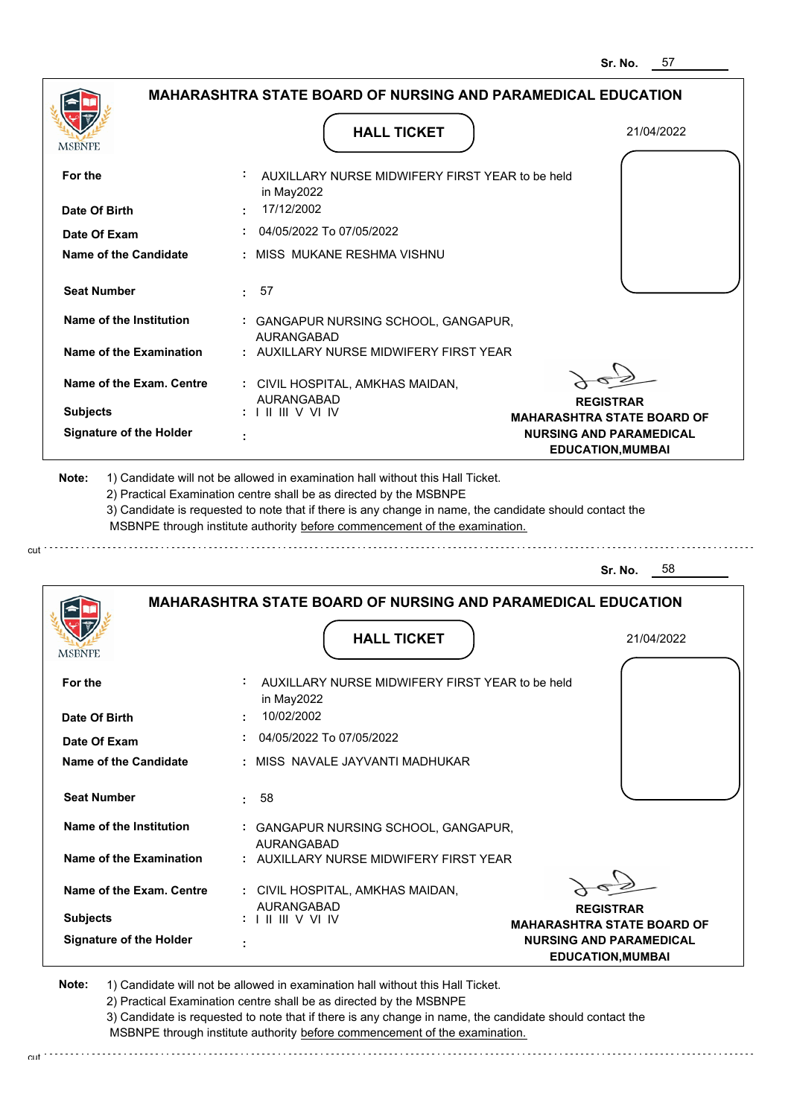| MSBNPE                                           | <b>HALL TICKET</b>                                                                                                                                                                                                                                                                                                                            | 21/04/2022                                                 |
|--------------------------------------------------|-----------------------------------------------------------------------------------------------------------------------------------------------------------------------------------------------------------------------------------------------------------------------------------------------------------------------------------------------|------------------------------------------------------------|
| For the                                          | AUXILLARY NURSE MIDWIFERY FIRST YEAR to be held                                                                                                                                                                                                                                                                                               |                                                            |
| Date Of Birth                                    | in May2022<br>17/12/2002                                                                                                                                                                                                                                                                                                                      |                                                            |
| Date Of Exam                                     | 04/05/2022 To 07/05/2022                                                                                                                                                                                                                                                                                                                      |                                                            |
| <b>Name of the Candidate</b>                     | : MISS MUKANE RESHMA VISHNU                                                                                                                                                                                                                                                                                                                   |                                                            |
| <b>Seat Number</b>                               | 57<br>t.                                                                                                                                                                                                                                                                                                                                      |                                                            |
| Name of the Institution                          | : GANGAPUR NURSING SCHOOL, GANGAPUR,<br><b>AURANGABAD</b>                                                                                                                                                                                                                                                                                     |                                                            |
| Name of the Examination                          | : AUXILLARY NURSE MIDWIFERY FIRST YEAR                                                                                                                                                                                                                                                                                                        |                                                            |
| Name of the Exam. Centre                         | : CIVIL HOSPITAL, AMKHAS MAIDAN,<br><b>AURANGABAD</b>                                                                                                                                                                                                                                                                                         |                                                            |
| <b>Subjects</b>                                  | $: 1 \mathbb{H} \mathbb{H}$ V VI IV                                                                                                                                                                                                                                                                                                           | <b>REGISTRAR</b><br><b>MAHARASHTRA STATE BOARD OF</b>      |
| <b>Signature of the Holder</b>                   |                                                                                                                                                                                                                                                                                                                                               | <b>NURSING AND PARAMEDICAL</b><br><b>EDUCATION, MUMBAI</b> |
|                                                  | 1) Candidate will not be allowed in examination hall without this Hall Ticket.<br>2) Practical Examination centre shall be as directed by the MSBNPE<br>3) Candidate is requested to note that if there is any change in name, the candidate should contact the<br>MSBNPE through institute authority before commencement of the examination. |                                                            |
| Note:                                            |                                                                                                                                                                                                                                                                                                                                               | 58<br>Sr. No.                                              |
|                                                  | <b>MAHARASHTRA STATE BOARD OF NURSING AND PARAMEDICAL EDUCATION</b>                                                                                                                                                                                                                                                                           |                                                            |
| <b>MSBNPE</b>                                    | <b>HALL TICKET</b>                                                                                                                                                                                                                                                                                                                            | 21/04/2022                                                 |
|                                                  | AUXILLARY NURSE MIDWIFERY FIRST YEAR to be held                                                                                                                                                                                                                                                                                               |                                                            |
| For the<br>Date Of Birth                         | in May2022<br>10/02/2002                                                                                                                                                                                                                                                                                                                      |                                                            |
| Date Of Exam                                     | 04/05/2022 To 07/05/2022                                                                                                                                                                                                                                                                                                                      |                                                            |
|                                                  | : MISS NAVALE JAYVANTI MADHUKAR                                                                                                                                                                                                                                                                                                               |                                                            |
| <b>Seat Number</b>                               | 58<br>$\mathbf{L}$                                                                                                                                                                                                                                                                                                                            |                                                            |
| Name of the Candidate<br>Name of the Institution | : GANGAPUR NURSING SCHOOL, GANGAPUR,                                                                                                                                                                                                                                                                                                          |                                                            |
| Name of the Examination                          | <b>AURANGABAD</b><br>: AUXILLARY NURSE MIDWIFERY FIRST YEAR                                                                                                                                                                                                                                                                                   |                                                            |
| Name of the Exam. Centre                         | : CIVIL HOSPITAL, AMKHAS MAIDAN,<br>AURANGABAD                                                                                                                                                                                                                                                                                                | <b>REGISTRAR</b>                                           |

2) Practical Examination centre shall be as directed by the MSBNPE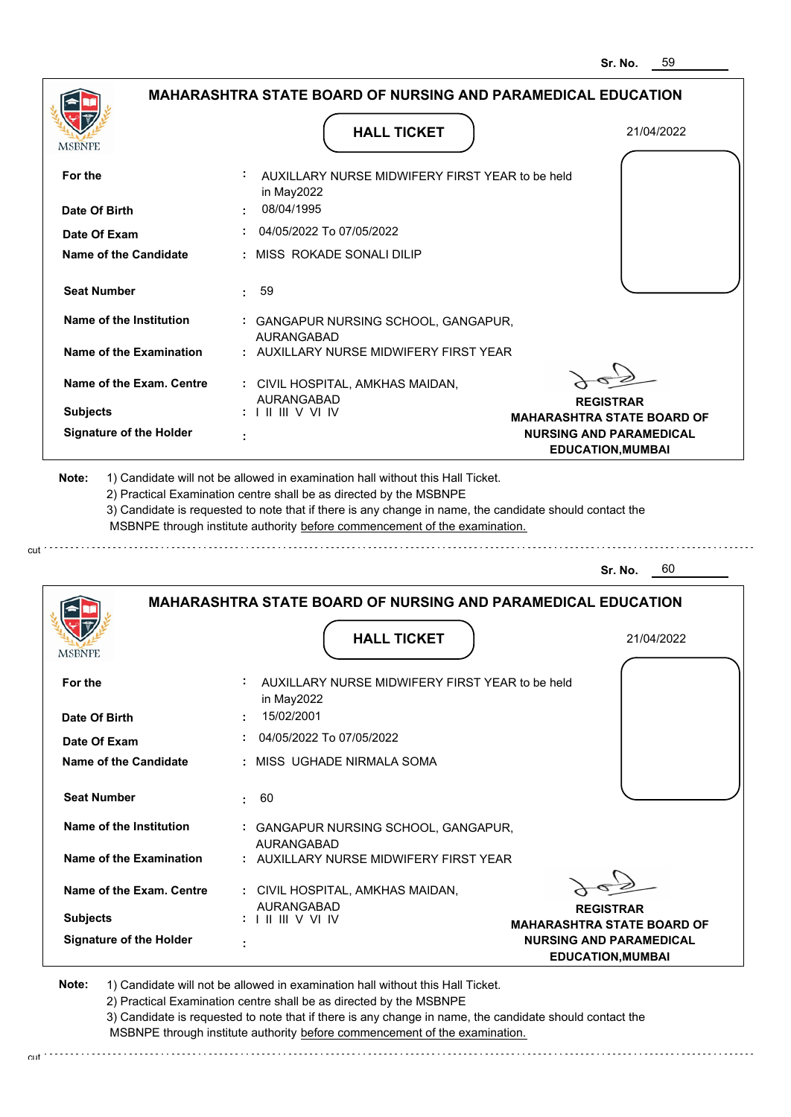|                                | <b>MAHARASHTRA STATE BOARD OF NURSING AND PARAMEDICAL EDUCATION</b>                                                                                                                                                                                         |                                                            |
|--------------------------------|-------------------------------------------------------------------------------------------------------------------------------------------------------------------------------------------------------------------------------------------------------------|------------------------------------------------------------|
|                                | <b>HALL TICKET</b>                                                                                                                                                                                                                                          | 21/04/2022                                                 |
|                                |                                                                                                                                                                                                                                                             |                                                            |
| For the                        | AUXILLARY NURSE MIDWIFERY FIRST YEAR to be held<br>in May2022                                                                                                                                                                                               |                                                            |
| Date Of Birth                  | 08/04/1995                                                                                                                                                                                                                                                  |                                                            |
| Date Of Exam                   | 04/05/2022 To 07/05/2022                                                                                                                                                                                                                                    |                                                            |
| Name of the Candidate          | : MISS ROKADE SONALI DILIP                                                                                                                                                                                                                                  |                                                            |
| <b>Seat Number</b>             | 59<br>t.                                                                                                                                                                                                                                                    |                                                            |
| Name of the Institution        | : GANGAPUR NURSING SCHOOL, GANGAPUR,<br><b>AURANGABAD</b>                                                                                                                                                                                                   |                                                            |
| Name of the Examination        | : AUXILLARY NURSE MIDWIFERY FIRST YEAR                                                                                                                                                                                                                      |                                                            |
| Name of the Exam. Centre       | : CIVIL HOSPITAL, AMKHAS MAIDAN,<br><b>AURANGABAD</b>                                                                                                                                                                                                       |                                                            |
| <b>Subjects</b>                | $: \square \square \square \square \square \vee \vee \square \vee \square$                                                                                                                                                                                  | <b>REGISTRAR</b><br><b>MAHARASHTRA STATE BOARD OF</b>      |
| <b>Signature of the Holder</b> |                                                                                                                                                                                                                                                             | <b>NURSING AND PARAMEDICAL</b><br><b>EDUCATION, MUMBAI</b> |
| Note:                          | 1) Candidate will not be allowed in examination hall without this Hall Ticket.                                                                                                                                                                              |                                                            |
|                                | 2) Practical Examination centre shall be as directed by the MSBNPE<br>3) Candidate is requested to note that if there is any change in name, the candidate should contact the<br>MSBNPE through institute authority before commencement of the examination. |                                                            |
|                                |                                                                                                                                                                                                                                                             | 60<br>Sr. No.                                              |
|                                | <b>MAHARASHTRA STATE BOARD OF NURSING AND PARAMEDICAL EDUCATION</b>                                                                                                                                                                                         |                                                            |
| MSBNPE                         | <b>HALL TICKET</b>                                                                                                                                                                                                                                          | 21/04/2022                                                 |
| For the                        | AUXILLARY NURSE MIDWIFERY FIRST YEAR to be held<br>in May2022                                                                                                                                                                                               |                                                            |
| Date Of Birth                  | 15/02/2001                                                                                                                                                                                                                                                  |                                                            |
| Date Of Exam                   | 04/05/2022 To 07/05/2022                                                                                                                                                                                                                                    |                                                            |
| <b>Name of the Candidate</b>   | : MISS_UGHADE NIRMALA SOMA                                                                                                                                                                                                                                  |                                                            |
| <b>Seat Number</b>             | 60<br>÷                                                                                                                                                                                                                                                     |                                                            |
| Name of the Institution        | : GANGAPUR NURSING SCHOOL, GANGAPUR,<br>AURANGABAD                                                                                                                                                                                                          |                                                            |

**REGISTRAR MAHARASHTRA STATE BOARD OF NURSING AND PARAMEDICAL EDUCATION,MUMBAI**

 $\epsilon$ 

**Note:**  1) Candidate will not be allowed in examination hall without this Hall Ticket.

AURANGABAD I II III V VI IV

 **:**

2) Practical Examination centre shall be as directed by the MSBNPE

3) Candidate is requested to note that if there is any change in name, the candidate should contact the MSBNPE through institute authority before commencement of the examination. cut de la component de la component de la component de la component de la component de la component de la component de la component de la component de la component de la component de la component de la component de la comp

 **:** CIVIL HOSPITAL, AMKHAS MAIDAN,

**Signature of the Holder**

**Subjects :**

**Name of the Exam. Centre**

cut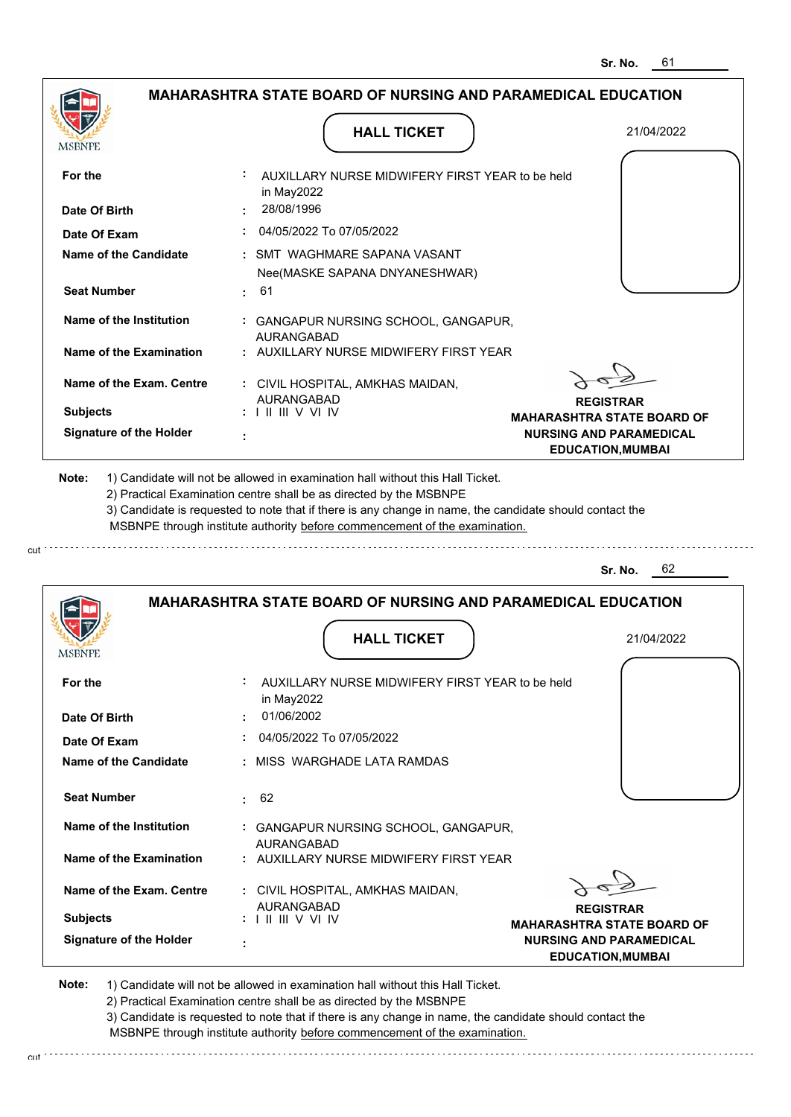|                                | <b>MAHARASHTRA STATE BOARD OF NURSING AND PARAMEDICAL EDUCATION</b>                                                                                                                                                                                                                                                                           |                                                            |
|--------------------------------|-----------------------------------------------------------------------------------------------------------------------------------------------------------------------------------------------------------------------------------------------------------------------------------------------------------------------------------------------|------------------------------------------------------------|
| <b>MSBNPE</b>                  | <b>HALL TICKET</b>                                                                                                                                                                                                                                                                                                                            | 21/04/2022                                                 |
| For the                        | AUXILLARY NURSE MIDWIFERY FIRST YEAR to be held<br>in May2022                                                                                                                                                                                                                                                                                 |                                                            |
| Date Of Birth                  | 28/08/1996                                                                                                                                                                                                                                                                                                                                    |                                                            |
| Date Of Exam                   | 04/05/2022 To 07/05/2022                                                                                                                                                                                                                                                                                                                      |                                                            |
| Name of the Candidate          | SMT WAGHMARE SAPANA VASANT<br>Nee(MASKE SAPANA DNYANESHWAR)                                                                                                                                                                                                                                                                                   |                                                            |
| <b>Seat Number</b>             | 61<br>٠.                                                                                                                                                                                                                                                                                                                                      |                                                            |
| Name of the Institution        | : GANGAPUR NURSING SCHOOL, GANGAPUR,<br>AURANGABAD                                                                                                                                                                                                                                                                                            |                                                            |
| Name of the Examination        | AUXILLARY NURSE MIDWIFERY FIRST YEAR                                                                                                                                                                                                                                                                                                          |                                                            |
| Name of the Exam. Centre       | : CIVIL HOSPITAL, AMKHAS MAIDAN,<br><b>AURANGABAD</b>                                                                                                                                                                                                                                                                                         | <b>REGISTRAR</b>                                           |
| <b>Subjects</b>                | $: 1 \mathbb{H} \mathbb{H} \vee \mathbb{V} \mathbb{N}$                                                                                                                                                                                                                                                                                        | <b>MAHARASHTRA STATE BOARD OF</b>                          |
| <b>Signature of the Holder</b> |                                                                                                                                                                                                                                                                                                                                               | <b>NURSING AND PARAMEDICAL</b><br><b>EDUCATION, MUMBAI</b> |
| Note:                          | 1) Candidate will not be allowed in examination hall without this Hall Ticket.<br>2) Practical Examination centre shall be as directed by the MSBNPE<br>3) Candidate is requested to note that if there is any change in name, the candidate should contact the<br>MSBNPE through institute authority before commencement of the examination. |                                                            |

cut.

**Sr. No.** 62

|                                | <b>MAHARASHTRA STATE BOARD OF NURSING AND PARAMEDICAL EDUCATION</b> |                                                            |
|--------------------------------|---------------------------------------------------------------------|------------------------------------------------------------|
| <b>MSBNPE</b>                  | <b>HALL TICKET</b>                                                  | 21/04/2022                                                 |
| For the                        | AUXILLARY NURSE MIDWIFERY FIRST YEAR to be held<br>in May2022       |                                                            |
| Date Of Birth                  | 01/06/2002                                                          |                                                            |
| Date Of Exam                   | 04/05/2022 To 07/05/2022                                            |                                                            |
| Name of the Candidate          | : MISS WARGHADE LATA RAMDAS                                         |                                                            |
| <b>Seat Number</b>             | 62<br>t.                                                            |                                                            |
| Name of the Institution        | : GANGAPUR NURSING SCHOOL, GANGAPUR,<br><b>AURANGABAD</b>           |                                                            |
| Name of the Examination        | : AUXILLARY NURSE MIDWIFERY FIRST YEAR                              |                                                            |
| Name of the Exam. Centre       | : CIVIL HOSPITAL, AMKHAS MAIDAN,<br><b>AURANGABAD</b>               | <b>REGISTRAR</b>                                           |
| <b>Subjects</b>                | $: 1 \mathbb{H} \mathbb{H}$ V VI IV                                 | <b>MAHARASHTRA STATE BOARD OF</b>                          |
| <b>Signature of the Holder</b> | ٠                                                                   | <b>NURSING AND PARAMEDICAL</b><br><b>EDUCATION, MUMBAI</b> |

**Note:**  1) Candidate will not be allowed in examination hall without this Hall Ticket.

2) Practical Examination centre shall be as directed by the MSBNPE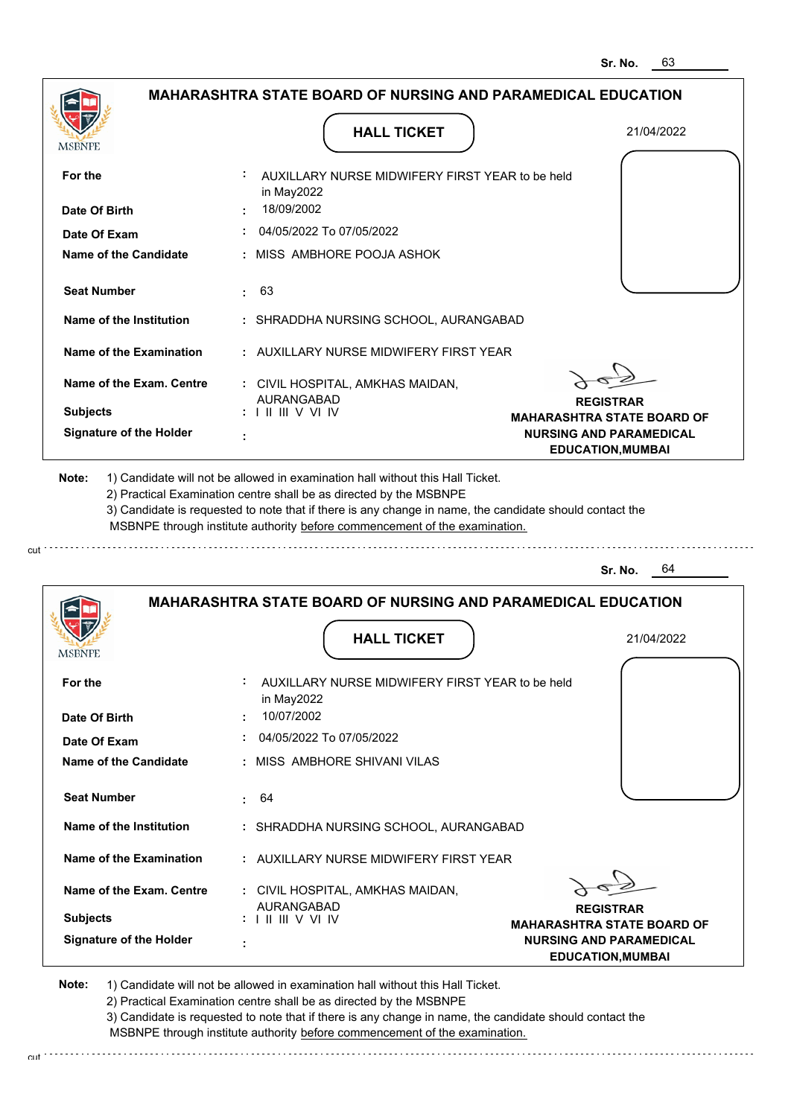| : AUXILLARY NURSE MIDWIFERY FIRST YEAR to be held<br>For the<br>in May2022<br>18/09/2002<br>Date Of Birth<br>$\div$ 04/05/2022 To 07/05/2022<br>Date Of Exam<br><b>Name of the Candidate</b><br>: MISS AMBHORE POOJA ASHOK<br><b>Seat Number</b><br>: 63<br>Name of the Institution<br>: SHRADDHA NURSING SCHOOL, AURANGABAD<br>Name of the Examination<br>: AUXILLARY NURSE MIDWIFERY FIRST YEAR<br>Name of the Exam. Centre<br>: CIVIL HOSPITAL, AMKHAS MAIDAN,<br>AURANGABAD<br><b>REGISTRAR</b><br><b>Subjects</b><br>$: 1 \mathbb{H} \mathbb{H} \vee \mathbb{V} \mathbb{W}$<br><b>MAHARASHTRA STATE BOARD OF</b><br><b>Signature of the Holder</b><br><b>NURSING AND PARAMEDICAL</b><br><b>EDUCATION, MUMBAI</b><br>Note:<br>1) Candidate will not be allowed in examination hall without this Hall Ticket.<br>2) Practical Examination centre shall be as directed by the MSBNPE<br>3) Candidate is requested to note that if there is any change in name, the candidate should contact the<br>MSBNPE through institute authority before commencement of the examination.<br>64<br>Sr. No.<br><b>MAHARASHTRA STATE BOARD OF NURSING AND PARAMEDICAL EDUCATION</b><br><b>HALL TICKET</b><br>21/04/2022<br><b>MSBNPE</b><br>For the<br>AUXILLARY NURSE MIDWIFERY FIRST YEAR to be held<br>in May2022 | <b>MSBNPE</b> | <b>HALL TICKET</b> | 21/04/2022 |
|----------------------------------------------------------------------------------------------------------------------------------------------------------------------------------------------------------------------------------------------------------------------------------------------------------------------------------------------------------------------------------------------------------------------------------------------------------------------------------------------------------------------------------------------------------------------------------------------------------------------------------------------------------------------------------------------------------------------------------------------------------------------------------------------------------------------------------------------------------------------------------------------------------------------------------------------------------------------------------------------------------------------------------------------------------------------------------------------------------------------------------------------------------------------------------------------------------------------------------------------------------------------------------------------------------|---------------|--------------------|------------|
|                                                                                                                                                                                                                                                                                                                                                                                                                                                                                                                                                                                                                                                                                                                                                                                                                                                                                                                                                                                                                                                                                                                                                                                                                                                                                                          |               |                    |            |
|                                                                                                                                                                                                                                                                                                                                                                                                                                                                                                                                                                                                                                                                                                                                                                                                                                                                                                                                                                                                                                                                                                                                                                                                                                                                                                          |               |                    |            |
|                                                                                                                                                                                                                                                                                                                                                                                                                                                                                                                                                                                                                                                                                                                                                                                                                                                                                                                                                                                                                                                                                                                                                                                                                                                                                                          |               |                    |            |
|                                                                                                                                                                                                                                                                                                                                                                                                                                                                                                                                                                                                                                                                                                                                                                                                                                                                                                                                                                                                                                                                                                                                                                                                                                                                                                          |               |                    |            |
|                                                                                                                                                                                                                                                                                                                                                                                                                                                                                                                                                                                                                                                                                                                                                                                                                                                                                                                                                                                                                                                                                                                                                                                                                                                                                                          |               |                    |            |
|                                                                                                                                                                                                                                                                                                                                                                                                                                                                                                                                                                                                                                                                                                                                                                                                                                                                                                                                                                                                                                                                                                                                                                                                                                                                                                          |               |                    |            |
|                                                                                                                                                                                                                                                                                                                                                                                                                                                                                                                                                                                                                                                                                                                                                                                                                                                                                                                                                                                                                                                                                                                                                                                                                                                                                                          |               |                    |            |
|                                                                                                                                                                                                                                                                                                                                                                                                                                                                                                                                                                                                                                                                                                                                                                                                                                                                                                                                                                                                                                                                                                                                                                                                                                                                                                          |               |                    |            |
|                                                                                                                                                                                                                                                                                                                                                                                                                                                                                                                                                                                                                                                                                                                                                                                                                                                                                                                                                                                                                                                                                                                                                                                                                                                                                                          |               |                    |            |
|                                                                                                                                                                                                                                                                                                                                                                                                                                                                                                                                                                                                                                                                                                                                                                                                                                                                                                                                                                                                                                                                                                                                                                                                                                                                                                          |               |                    |            |
|                                                                                                                                                                                                                                                                                                                                                                                                                                                                                                                                                                                                                                                                                                                                                                                                                                                                                                                                                                                                                                                                                                                                                                                                                                                                                                          |               |                    |            |
|                                                                                                                                                                                                                                                                                                                                                                                                                                                                                                                                                                                                                                                                                                                                                                                                                                                                                                                                                                                                                                                                                                                                                                                                                                                                                                          |               |                    |            |
|                                                                                                                                                                                                                                                                                                                                                                                                                                                                                                                                                                                                                                                                                                                                                                                                                                                                                                                                                                                                                                                                                                                                                                                                                                                                                                          |               |                    |            |
| 10/07/2002<br>Date Of Birth                                                                                                                                                                                                                                                                                                                                                                                                                                                                                                                                                                                                                                                                                                                                                                                                                                                                                                                                                                                                                                                                                                                                                                                                                                                                              |               |                    |            |

| Date Of Exam                   | 04/05/2022 To 07/05/2022                               |                                                           |
|--------------------------------|--------------------------------------------------------|-----------------------------------------------------------|
| Name of the Candidate          | : MISS AMBHORE SHIVANI VILAS                           |                                                           |
| <b>Seat Number</b>             | $\div$ 64                                              |                                                           |
| Name of the Institution        | : SHRADDHA NURSING SCHOOL, AURANGABAD                  |                                                           |
| Name of the Examination        | : AUXILLARY NURSE MIDWIFERY FIRST YEAR                 |                                                           |
| Name of the Exam. Centre       | : CIVIL HOSPITAL, AMKHAS MAIDAN,<br>AURANGABAD         |                                                           |
| <b>Subjects</b>                | $: 1 \mathbb{H} \mathbb{H} \vee \mathbb{V} \mathbb{W}$ | <b>REGISTRAR</b><br><b>MAHARASHTRA STATE BOARD OF</b>     |
| <b>Signature of the Holder</b> | ٠<br>۰                                                 | <b>NURSING AND PARAMEDICAL</b><br><b>EDUCATION.MUMBAI</b> |

**Note:**  1) Candidate will not be allowed in examination hall without this Hall Ticket. 2) Practical Examination centre shall be as directed by the MSBNPE 3) Candidate is requested to note that if there is any change in name, the candidate should contact the

 MSBNPE through institute authority before commencement of the examination. 

cut.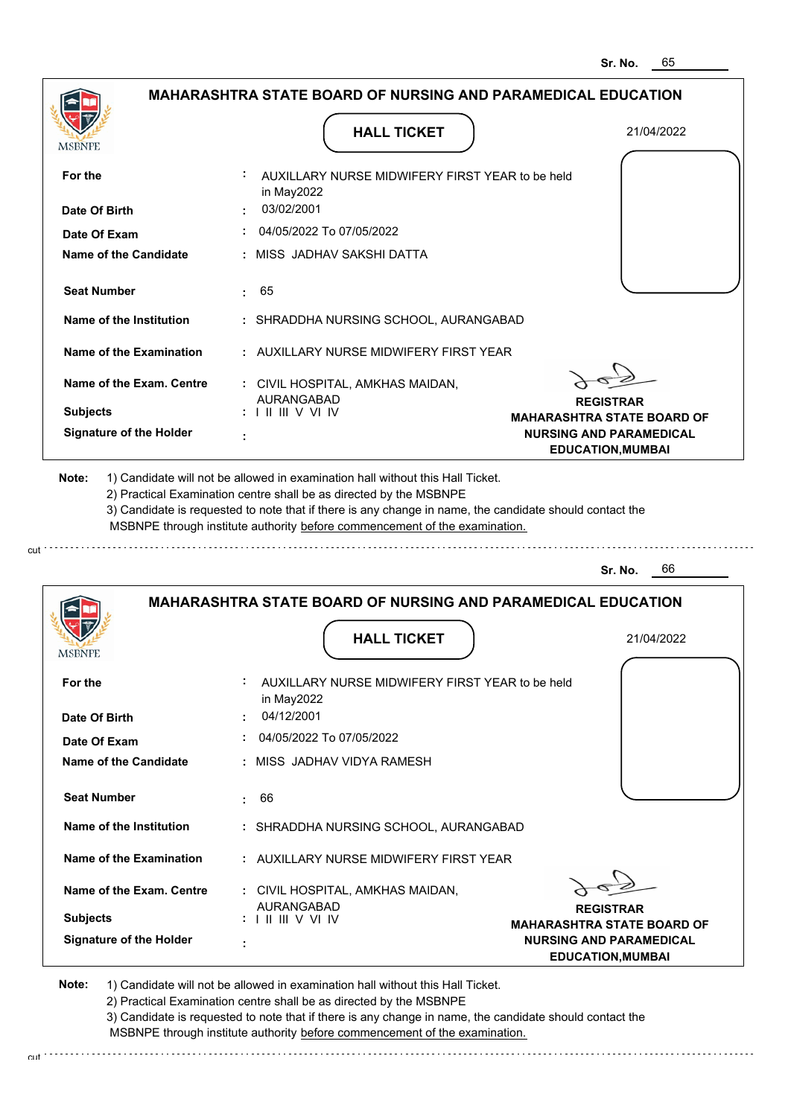| MSBNPE                         | <b>HALL TICKET</b>                                                                                                                                                                                                                                                                                                                            | 21/04/2022                                                 |
|--------------------------------|-----------------------------------------------------------------------------------------------------------------------------------------------------------------------------------------------------------------------------------------------------------------------------------------------------------------------------------------------|------------------------------------------------------------|
| For the                        | AUXILLARY NURSE MIDWIFERY FIRST YEAR to be held<br>in May2022                                                                                                                                                                                                                                                                                 |                                                            |
| Date Of Birth                  | 03/02/2001                                                                                                                                                                                                                                                                                                                                    |                                                            |
| Date Of Exam                   | 04/05/2022 To 07/05/2022                                                                                                                                                                                                                                                                                                                      |                                                            |
| Name of the Candidate          | : MISS JADHAV SAKSHI DATTA                                                                                                                                                                                                                                                                                                                    |                                                            |
| <b>Seat Number</b>             | 65<br>t.                                                                                                                                                                                                                                                                                                                                      |                                                            |
| Name of the Institution        | : SHRADDHA NURSING SCHOOL, AURANGABAD                                                                                                                                                                                                                                                                                                         |                                                            |
| Name of the Examination        | : AUXILLARY NURSE MIDWIFERY FIRST YEAR                                                                                                                                                                                                                                                                                                        |                                                            |
| Name of the Exam. Centre       | : CIVIL HOSPITAL, AMKHAS MAIDAN,<br><b>AURANGABAD</b>                                                                                                                                                                                                                                                                                         | <b>REGISTRAR</b>                                           |
| <b>Subjects</b>                | $: 1 \mathbb{H} \mathbb{H} \vee \mathbb{V} \mathbb{W}$                                                                                                                                                                                                                                                                                        | <b>MAHARASHTRA STATE BOARD OF</b>                          |
| <b>Signature of the Holder</b> |                                                                                                                                                                                                                                                                                                                                               | <b>NURSING AND PARAMEDICAL</b><br><b>EDUCATION, MUMBAI</b> |
| Note:                          | 1) Candidate will not be allowed in examination hall without this Hall Ticket.<br>2) Practical Examination centre shall be as directed by the MSBNPE<br>3) Candidate is requested to note that if there is any change in name, the candidate should contact the<br>MSBNPE through institute authority before commencement of the examination. |                                                            |
|                                |                                                                                                                                                                                                                                                                                                                                               |                                                            |

|                                | <b>MAHARASHTRA STATE BOARD OF NURSING AND PARAMEDICAL EDUCATION</b>         |                                                            |  |
|--------------------------------|-----------------------------------------------------------------------------|------------------------------------------------------------|--|
| <b>MSBNPE</b>                  | <b>HALL TICKET</b>                                                          | 21/04/2022                                                 |  |
| For the                        | AUXILLARY NURSE MIDWIFERY FIRST YEAR to be held<br>in May2022               |                                                            |  |
| Date Of Birth                  | 04/12/2001                                                                  |                                                            |  |
| Date Of Exam                   | 04/05/2022 To 07/05/2022                                                    |                                                            |  |
| Name of the Candidate          | : MISS JADHAV VIDYA RAMESH                                                  |                                                            |  |
| <b>Seat Number</b>             | 66<br>$\sim$                                                                |                                                            |  |
| Name of the Institution        | : SHRADDHA NURSING SCHOOL, AURANGABAD                                       |                                                            |  |
| Name of the Examination        | : AUXILLARY NURSE MIDWIFERY FIRST YEAR                                      |                                                            |  |
| Name of the Exam. Centre       | : CIVIL HOSPITAL, AMKHAS MAIDAN,                                            |                                                            |  |
| <b>Subjects</b>                | <b>AURANGABAD</b><br>$: 1 \mathbb{H} \mathbb{H} \vee \mathbb{V} \mathbb{W}$ | <b>REGISTRAR</b><br><b>MAHARASHTRA STATE BOARD OF</b>      |  |
| <b>Signature of the Holder</b> |                                                                             | <b>NURSING AND PARAMEDICAL</b><br><b>EDUCATION, MUMBAI</b> |  |

2) Practical Examination centre shall be as directed by the MSBNPE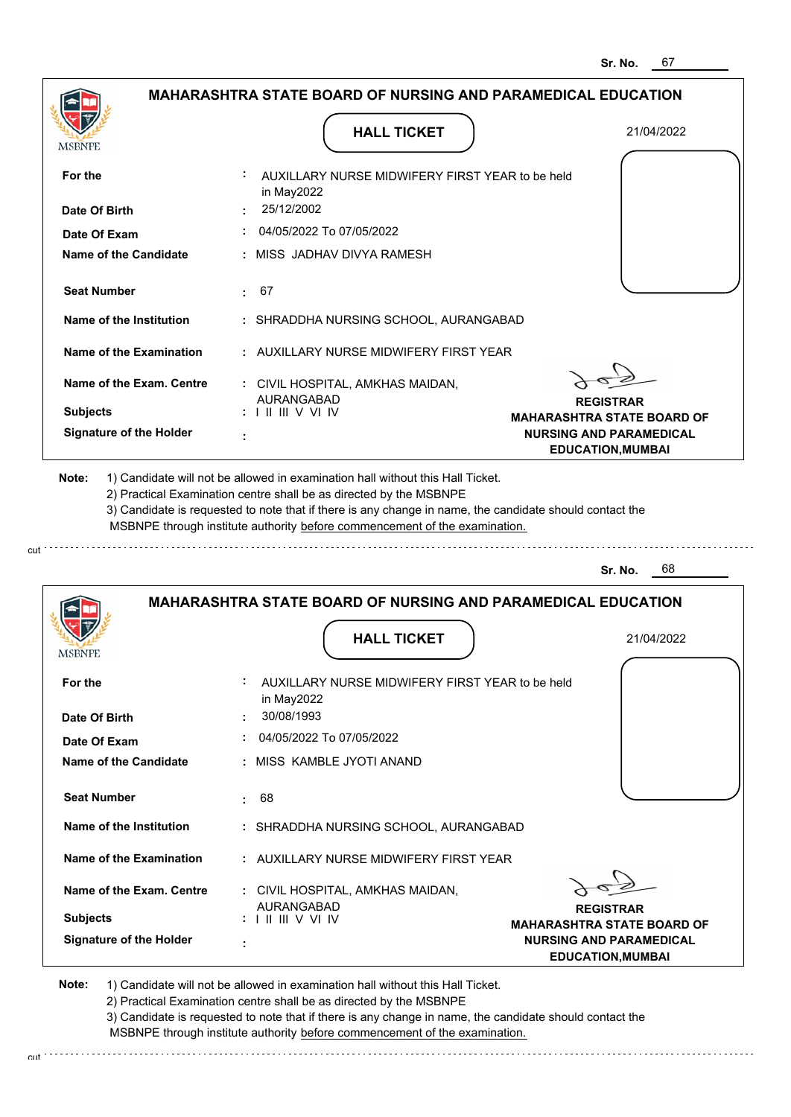|                    |                                | <b>MAHARASHTRA STATE BOARD OF NURSING AND PARAMEDICAL EDUCATION</b>                                                                                                                                                                                                                                                                           |                                                                                                 |
|--------------------|--------------------------------|-----------------------------------------------------------------------------------------------------------------------------------------------------------------------------------------------------------------------------------------------------------------------------------------------------------------------------------------------|-------------------------------------------------------------------------------------------------|
| MSBNPE             |                                | <b>HALL TICKET</b>                                                                                                                                                                                                                                                                                                                            | 21/04/2022                                                                                      |
| For the            |                                | : AUXILLARY NURSE MIDWIFERY FIRST YEAR to be held<br>in May2022                                                                                                                                                                                                                                                                               |                                                                                                 |
| Date Of Birth      |                                | 25/12/2002                                                                                                                                                                                                                                                                                                                                    |                                                                                                 |
| Date Of Exam       |                                | 04/05/2022 To 07/05/2022                                                                                                                                                                                                                                                                                                                      |                                                                                                 |
|                    | Name of the Candidate          | : MISS JADHAV DIVYA RAMESH                                                                                                                                                                                                                                                                                                                    |                                                                                                 |
| <b>Seat Number</b> |                                | $\pm 67$                                                                                                                                                                                                                                                                                                                                      |                                                                                                 |
|                    | Name of the Institution        | : SHRADDHA NURSING SCHOOL, AURANGABAD                                                                                                                                                                                                                                                                                                         |                                                                                                 |
|                    | Name of the Examination        | : AUXILLARY NURSE MIDWIFERY FIRST YEAR                                                                                                                                                                                                                                                                                                        |                                                                                                 |
|                    | Name of the Exam. Centre       | : CIVIL HOSPITAL, AMKHAS MAIDAN,                                                                                                                                                                                                                                                                                                              |                                                                                                 |
| <b>Subjects</b>    |                                | <b>AURANGABAD</b><br>$: 1 \mathbb{H} \mathbb{H} \vee \mathbb{V} \mathbb{W}$                                                                                                                                                                                                                                                                   | <b>REGISTRAR</b>                                                                                |
|                    | <b>Signature of the Holder</b> | ÷                                                                                                                                                                                                                                                                                                                                             | <b>MAHARASHTRA STATE BOARD OF</b><br><b>NURSING AND PARAMEDICAL</b><br><b>EDUCATION, MUMBAI</b> |
| Note:              |                                | 1) Candidate will not be allowed in examination hall without this Hall Ticket.<br>2) Practical Examination centre shall be as directed by the MSBNPE<br>3) Candidate is requested to note that if there is any change in name, the candidate should contact the<br>MSBNPE through institute authority before commencement of the examination. |                                                                                                 |
|                    |                                |                                                                                                                                                                                                                                                                                                                                               | - 68<br>Sr. No.                                                                                 |
|                    |                                | <b>MAHARASHTRA STATE BOARD OF NURSING AND PARAMEDICAL EDUCATION</b>                                                                                                                                                                                                                                                                           |                                                                                                 |
|                    |                                | <b>HALL TICKET</b>                                                                                                                                                                                                                                                                                                                            | 21/04/2022                                                                                      |

| **********                     |                                                                                                                 |
|--------------------------------|-----------------------------------------------------------------------------------------------------------------|
| For the<br>Date Of Birth       | ÷<br>AUXILLARY NURSE MIDWIFERY FIRST YEAR to be held<br>in May2022<br>30/08/1993                                |
|                                |                                                                                                                 |
| Date Of Exam                   | 04/05/2022 To 07/05/2022                                                                                        |
| Name of the Candidate          | : MISS KAMBLE JYOTI ANAND                                                                                       |
| <b>Seat Number</b>             | 68<br>$\sim$                                                                                                    |
| Name of the Institution        | : SHRADDHA NURSING SCHOOL, AURANGABAD                                                                           |
| Name of the Examination        | : AUXILLARY NURSE MIDWIFERY FIRST YEAR                                                                          |
| Name of the Exam. Centre       | : CIVIL HOSPITAL, AMKHAS MAIDAN,<br><b>AURANGABAD</b>                                                           |
| <b>Subjects</b>                | <b>REGISTRAR</b><br>$: 1 \mathbb{H} \mathbb{H} \vee \mathbb{V} \mathbb{W}$<br><b>MAHARASHTRA STATE BOARD OF</b> |
| <b>Signature of the Holder</b> | <b>NURSING AND PARAMEDICAL</b><br>٠<br><b>EDUCATION, MUMBAI</b>                                                 |

**Note:**  1) Candidate will not be allowed in examination hall without this Hall Ticket. 2) Practical Examination centre shall be as directed by the MSBNPE 3) Candidate is requested to note that if there is any change in name, the candidate should contact the

 MSBNPE through institute authority before commencement of the examination. cut de la component de la component de la component de la component de la component de la component de la component de la component de la component de la component de la component de la component de la component de la comp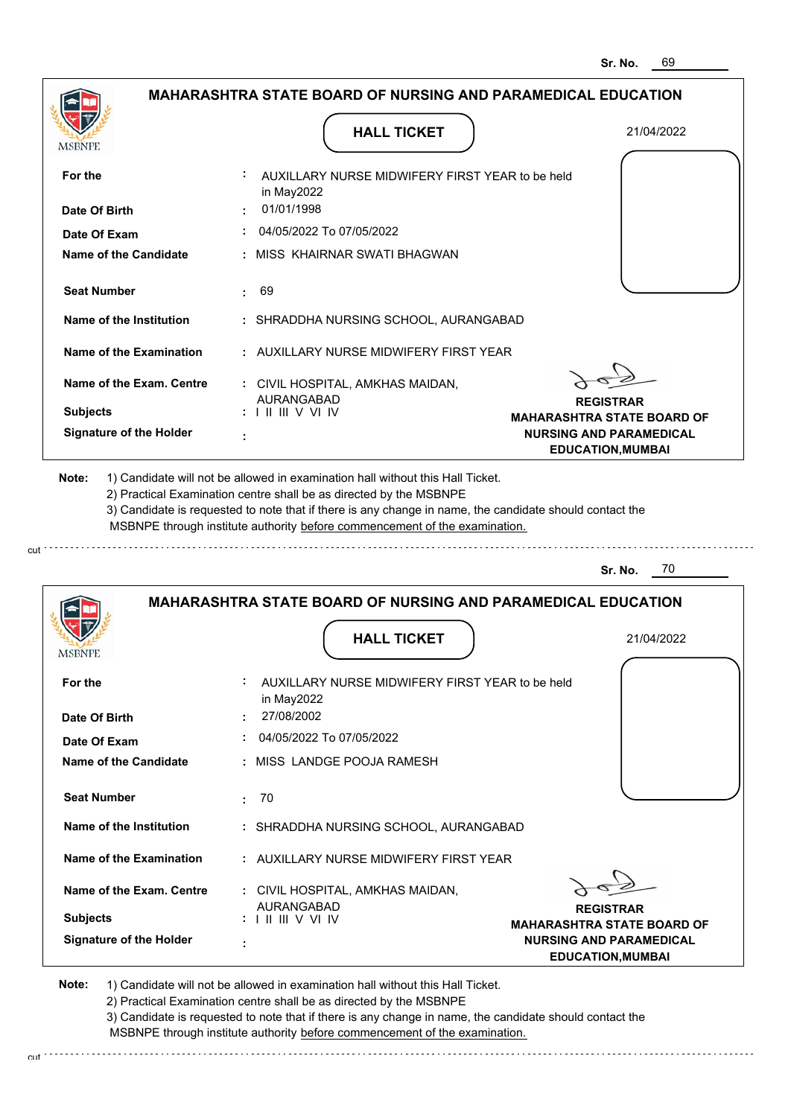|                                          | <b>MAHARASHTRA STATE BOARD OF NURSING AND PARAMEDICAL EDUCATION</b>                                                                                                                                                                                                                                                                           |                                                            |
|------------------------------------------|-----------------------------------------------------------------------------------------------------------------------------------------------------------------------------------------------------------------------------------------------------------------------------------------------------------------------------------------------|------------------------------------------------------------|
| <b>MSBNPE</b>                            | <b>HALL TICKET</b>                                                                                                                                                                                                                                                                                                                            | 21/04/2022                                                 |
| For the                                  | AUXILLARY NURSE MIDWIFERY FIRST YEAR to be held<br>in May2022                                                                                                                                                                                                                                                                                 |                                                            |
| Date Of Birth                            | : 01/01/1998                                                                                                                                                                                                                                                                                                                                  |                                                            |
| Date Of Exam                             | 04/05/2022 To 07/05/2022                                                                                                                                                                                                                                                                                                                      |                                                            |
| Name of the Candidate                    | : MISS KHAIRNAR SWATI BHAGWAN                                                                                                                                                                                                                                                                                                                 |                                                            |
| <b>Seat Number</b>                       | : 69                                                                                                                                                                                                                                                                                                                                          |                                                            |
| Name of the Institution                  | : SHRADDHA NURSING SCHOOL, AURANGABAD                                                                                                                                                                                                                                                                                                         |                                                            |
| Name of the Examination                  | : AUXILLARY NURSE MIDWIFERY FIRST YEAR                                                                                                                                                                                                                                                                                                        |                                                            |
| Name of the Exam. Centre                 | : CIVIL HOSPITAL, AMKHAS MAIDAN,<br><b>AURANGABAD</b>                                                                                                                                                                                                                                                                                         |                                                            |
| <b>Subjects</b>                          | :          V V  IV                                                                                                                                                                                                                                                                                                                            | <b>REGISTRAR</b><br><b>MAHARASHTRA STATE BOARD OF</b>      |
| <b>Signature of the Holder</b>           |                                                                                                                                                                                                                                                                                                                                               | <b>NURSING AND PARAMEDICAL</b><br><b>EDUCATION, MUMBAI</b> |
|                                          | 1) Candidate will not be allowed in examination hall without this Hall Ticket.<br>2) Practical Examination centre shall be as directed by the MSBNPE<br>3) Candidate is requested to note that if there is any change in name, the candidate should contact the<br>MSBNPE through institute authority before commencement of the examination. |                                                            |
|                                          |                                                                                                                                                                                                                                                                                                                                               | - 70<br>Sr. No.                                            |
|                                          | <b>MAHARASHTRA STATE BOARD OF NURSING AND PARAMEDICAL EDUCATION</b><br><b>HALL TICKET</b>                                                                                                                                                                                                                                                     | 21/04/2022                                                 |
| For the                                  | AUXILLARY NURSE MIDWIFERY FIRST YEAR to be held<br>in May2022                                                                                                                                                                                                                                                                                 |                                                            |
| Date Of Birth                            | 27/08/2002                                                                                                                                                                                                                                                                                                                                    |                                                            |
| Date Of Exam                             | : 04/05/2022 To 07/05/2022                                                                                                                                                                                                                                                                                                                    |                                                            |
| <b>Name of the Candidate</b>             | : MISS LANDGE POOJA RAMESH                                                                                                                                                                                                                                                                                                                    |                                                            |
| <b>Seat Number</b>                       | .70                                                                                                                                                                                                                                                                                                                                           |                                                            |
| <b>MSBNPE</b><br>Name of the Institution | : SHRADDHA NURSING SCHOOL, AURANGABAD                                                                                                                                                                                                                                                                                                         |                                                            |
| Name of the Examination                  | : AUXILLARY NURSE MIDWIFERY FIRST YEAR                                                                                                                                                                                                                                                                                                        |                                                            |
| Name of the Exam. Centre                 | : CIVIL HOSPITAL, AMKHAS MAIDAN,                                                                                                                                                                                                                                                                                                              |                                                            |
| <b>Subjects</b>                          | <b>AURANGABAD</b><br>$: 1 \mathbb{H} \mathbb{H} \vee \mathbb{V} \mathbb{N}$                                                                                                                                                                                                                                                                   | <b>REGISTRAR</b><br><b>MAHARASHTRA STATE BOARD OF</b>      |

2) Practical Examination centre shall be as directed by the MSBNPE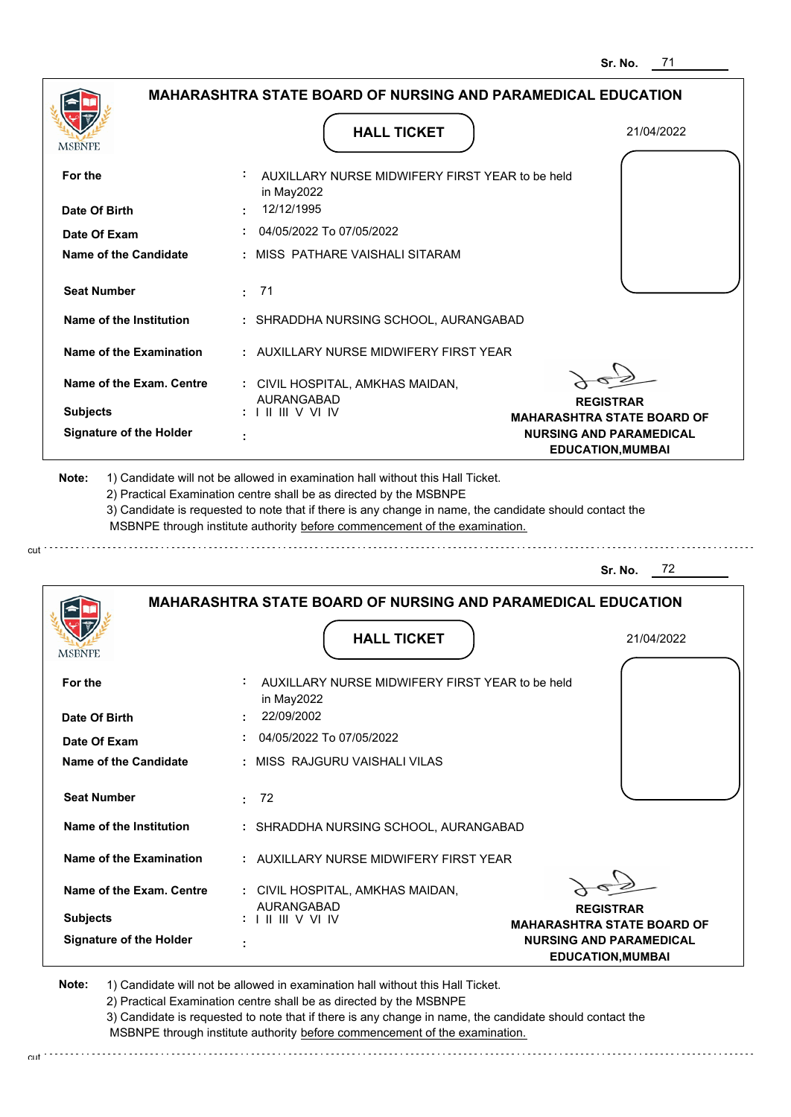|                 |                                |                                                        |                                                                                                                                                                                                                                    | <b>MAHARASHTRA STATE BOARD OF NURSING AND PARAMEDICAL EDUCATION</b>                                     |
|-----------------|--------------------------------|--------------------------------------------------------|------------------------------------------------------------------------------------------------------------------------------------------------------------------------------------------------------------------------------------|---------------------------------------------------------------------------------------------------------|
| MSBNPE          |                                |                                                        | <b>HALL TICKET</b>                                                                                                                                                                                                                 | 21/04/2022                                                                                              |
| For the         |                                | in May2022                                             | : AUXILLARY NURSE MIDWIFERY FIRST YEAR to be held                                                                                                                                                                                  |                                                                                                         |
| Date Of Birth   |                                | 12/12/1995                                             |                                                                                                                                                                                                                                    |                                                                                                         |
|                 | Date Of Exam                   |                                                        | 04/05/2022 To 07/05/2022                                                                                                                                                                                                           |                                                                                                         |
|                 | <b>Name of the Candidate</b>   |                                                        | : MISS PATHARE VAISHALI SITARAM                                                                                                                                                                                                    |                                                                                                         |
|                 | <b>Seat Number</b>             | : 71                                                   |                                                                                                                                                                                                                                    |                                                                                                         |
|                 | Name of the Institution        |                                                        | : SHRADDHA NURSING SCHOOL, AURANGABAD                                                                                                                                                                                              |                                                                                                         |
|                 | Name of the Examination        |                                                        | : AUXILLARY NURSE MIDWIFERY FIRST YEAR                                                                                                                                                                                             |                                                                                                         |
|                 | Name of the Exam. Centre       | <b>AURANGABAD</b>                                      | : CIVIL HOSPITAL, AMKHAS MAIDAN,                                                                                                                                                                                                   | <b>REGISTRAR</b>                                                                                        |
| <b>Subjects</b> |                                | $: 1 \mathbb{H} \mathbb{H} \vee \mathbb{V} \mathbb{W}$ |                                                                                                                                                                                                                                    | <b>MAHARASHTRA STATE BOARD OF</b>                                                                       |
|                 | <b>Signature of the Holder</b> |                                                        |                                                                                                                                                                                                                                    | <b>NURSING AND PARAMEDICAL</b><br><b>EDUCATION, MUMBAI</b>                                              |
| Note:           |                                |                                                        | 1) Candidate will not be allowed in examination hall without this Hall Ticket.<br>2) Practical Examination centre shall be as directed by the MSBNPE<br>MSBNPE through institute authority before commencement of the examination. | 3) Candidate is requested to note that if there is any change in name, the candidate should contact the |
|                 |                                |                                                        |                                                                                                                                                                                                                                    | 72<br>Sr. No.                                                                                           |
|                 |                                |                                                        |                                                                                                                                                                                                                                    | <b>MAHARASHTRA STATE BOARD OF NURSING AND PARAMEDICAL EDUCATION</b>                                     |
|                 |                                |                                                        | <b>HALL TICKET</b>                                                                                                                                                                                                                 | 21/04/2022                                                                                              |

**HALL TICKET**

| For the                  | AUXILLARY NURSE MIDWIFERY FIRST YEAR to be held<br>in May2022                                                   |
|--------------------------|-----------------------------------------------------------------------------------------------------------------|
| Date Of Birth            | 22/09/2002<br>$\sim$                                                                                            |
| Date Of Exam             | 04/05/2022 To 07/05/2022                                                                                        |
| Name of the Candidate    | : MISS RAJGURU VAISHALI VILAS                                                                                   |
| <b>Seat Number</b>       | : 72                                                                                                            |
| Name of the Institution  | : SHRADDHA NURSING SCHOOL, AURANGABAD                                                                           |
| Name of the Examination  | : AUXILLARY NURSE MIDWIFERY FIRST YEAR                                                                          |
| Name of the Exam. Centre | : CIVIL HOSPITAL, AMKHAS MAIDAN,<br>AURANGABAD                                                                  |
| <b>Subjects</b>          | <b>REGISTRAR</b><br>$: 1 \mathbb{H} \mathbb{H} \vee \mathbb{V} \mathbb{W}$<br><b>MAHARASHTRA STATE BOARD OF</b> |
| Signature of the Holder  | <b>NURSING AND PARAMEDICAL</b><br>٠<br><b>EDUCATION, MUMBAI</b>                                                 |

**Note:**  1) Candidate will not be allowed in examination hall without this Hall Ticket.

MSBNPE

2) Practical Examination centre shall be as directed by the MSBNPE

3) Candidate is requested to note that if there is any change in name, the candidate should contact the MSBNPE through institute authority before commencement of the examination.

cut de la component de la component de la component de la component de la component de la component de la component de la component de la component de la component de la component de la component de la component de la comp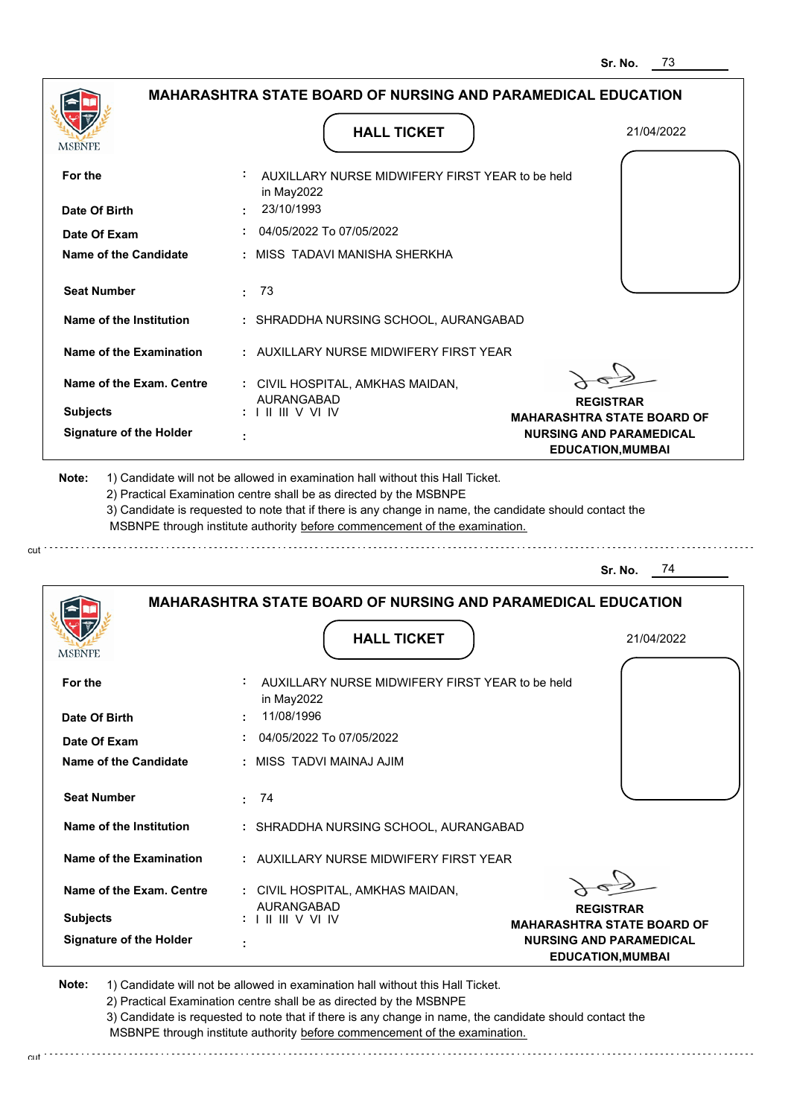|                                | <b>MAHARASHTRA STATE BOARD OF NURSING AND PARAMEDICAL EDUCATION</b>                                                                                                                   |                                                            |
|--------------------------------|---------------------------------------------------------------------------------------------------------------------------------------------------------------------------------------|------------------------------------------------------------|
|                                | <b>HALL TICKET</b>                                                                                                                                                                    | 21/04/2022                                                 |
|                                |                                                                                                                                                                                       |                                                            |
| For the                        | AUXILLARY NURSE MIDWIFERY FIRST YEAR to be held<br>in May2022                                                                                                                         |                                                            |
| Date Of Birth                  | 23/10/1993                                                                                                                                                                            |                                                            |
| Date Of Exam                   | 04/05/2022 To 07/05/2022                                                                                                                                                              |                                                            |
| <b>Name of the Candidate</b>   | MISS TADAVI MANISHA SHERKHA                                                                                                                                                           |                                                            |
| <b>Seat Number</b>             | -73<br>÷.                                                                                                                                                                             |                                                            |
| Name of the Institution        | : SHRADDHA NURSING SCHOOL, AURANGABAD                                                                                                                                                 |                                                            |
| Name of the Examination        | : AUXILLARY NURSE MIDWIFERY FIRST YEAR                                                                                                                                                |                                                            |
| Name of the Exam. Centre       | : CIVIL HOSPITAL, AMKHAS MAIDAN,                                                                                                                                                      |                                                            |
| <b>Subjects</b>                | AURANGABAD<br>: III III V VI IV                                                                                                                                                       | <b>REGISTRAR</b><br><b>MAHARASHTRA STATE BOARD OF</b>      |
| <b>Signature of the Holder</b> |                                                                                                                                                                                       | <b>NURSING AND PARAMEDICAL</b><br><b>EDUCATION, MUMBAI</b> |
|                                | 3) Candidate is requested to note that if there is any change in name, the candidate should contact the<br>MSBNPE through institute authority before commencement of the examination. |                                                            |
|                                |                                                                                                                                                                                       | Sr. No.<br>74                                              |
|                                | <b>MAHARASHTRA STATE BOARD OF NURSING AND PARAMEDICAL EDUCATION</b><br><b>HALL TICKET</b>                                                                                             | 21/04/2022                                                 |
| <b>MSBNPE</b>                  |                                                                                                                                                                                       |                                                            |
| For the                        | AUXILLARY NURSE MIDWIFERY FIRST YEAR to be held<br>in May2022                                                                                                                         |                                                            |
| Date Of Birth                  | 11/08/1996                                                                                                                                                                            |                                                            |
| Date Of Exam                   | 04/05/2022 To 07/05/2022                                                                                                                                                              |                                                            |
| <b>Name of the Candidate</b>   | : MISS TADVI MAINAJ AJIM                                                                                                                                                              |                                                            |
| <b>Seat Number</b>             | 74<br>÷.                                                                                                                                                                              |                                                            |
| Name of the Institution        | : SHRADDHA NURSING SCHOOL, AURANGABAD                                                                                                                                                 |                                                            |
| <b>Name of the Examination</b> | : AUXILLARY NURSE MIDWIFERY FIRST YEAR                                                                                                                                                |                                                            |
|                                |                                                                                                                                                                                       |                                                            |

**REGISTRAR MAHARASHTRA STATE BOARD OF NURSING AND PARAMEDICAL EDUCATION,MUMBAI**

**Note:**  1) Candidate will not be allowed in examination hall without this Hall Ticket.

AURANGABAD I II III V VI IV

 **:**

**Signature of the Holder**

**Subjects :**

cut

2) Practical Examination centre shall be as directed by the MSBNPE

3) Candidate is requested to note that if there is any change in name, the candidate should contact the MSBNPE through institute authority before commencement of the examination. cut de la component de la component de la component de la component de la component de la component de la component de la component de la component de la component de la component de la component de la component de la comp

 **:** CIVIL HOSPITAL, AMKHAS MAIDAN,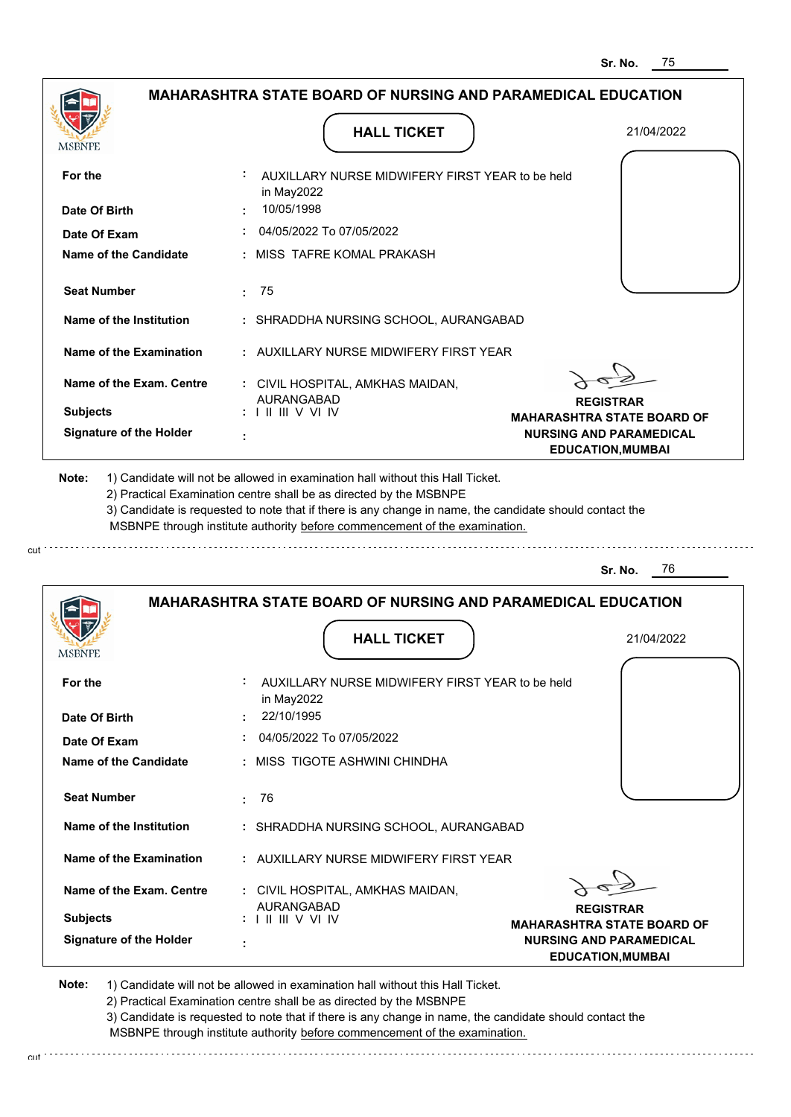| <b>MSBNPE</b>                             | <b>HALL TICKET</b>                                                                                                                                                                                                                                                                                                                            | 21/04/2022                                                 |
|-------------------------------------------|-----------------------------------------------------------------------------------------------------------------------------------------------------------------------------------------------------------------------------------------------------------------------------------------------------------------------------------------------|------------------------------------------------------------|
| For the                                   | AUXILLARY NURSE MIDWIFERY FIRST YEAR to be held<br>in May2022<br>10/05/1998                                                                                                                                                                                                                                                                   |                                                            |
| Date Of Birth<br>Date Of Exam             | $\div$ 04/05/2022 To 07/05/2022                                                                                                                                                                                                                                                                                                               |                                                            |
| Name of the Candidate                     | : MISS TAFRE KOMAL PRAKASH                                                                                                                                                                                                                                                                                                                    |                                                            |
| <b>Seat Number</b>                        | : 75                                                                                                                                                                                                                                                                                                                                          |                                                            |
| Name of the Institution                   | : SHRADDHA NURSING SCHOOL, AURANGABAD                                                                                                                                                                                                                                                                                                         |                                                            |
| Name of the Examination                   | : AUXILLARY NURSE MIDWIFERY FIRST YEAR                                                                                                                                                                                                                                                                                                        |                                                            |
| Name of the Exam. Centre                  | : CIVIL HOSPITAL, AMKHAS MAIDAN,<br><b>AURANGABAD</b>                                                                                                                                                                                                                                                                                         | <b>REGISTRAR</b>                                           |
| <b>Subjects</b>                           | :          V V  IV                                                                                                                                                                                                                                                                                                                            | <b>MAHARASHTRA STATE BOARD OF</b>                          |
| <b>Signature of the Holder</b>            | ÷                                                                                                                                                                                                                                                                                                                                             | <b>NURSING AND PARAMEDICAL</b><br><b>EDUCATION, MUMBAI</b> |
|                                           | 1) Candidate will not be allowed in examination hall without this Hall Ticket.<br>2) Practical Examination centre shall be as directed by the MSBNPE<br>3) Candidate is requested to note that if there is any change in name, the candidate should contact the<br>MSBNPE through institute authority before commencement of the examination. | Sr. No.<br>76                                              |
| Note:                                     | <b>MAHARASHTRA STATE BOARD OF NURSING AND PARAMEDICAL EDUCATION</b><br><b>HALL TICKET</b>                                                                                                                                                                                                                                                     | 21/04/2022                                                 |
| <b>MSBNPE</b><br>For the<br>Date Of Birth | AUXILLARY NURSE MIDWIFERY FIRST YEAR to be held<br>in May2022<br>22/10/1995                                                                                                                                                                                                                                                                   |                                                            |

| <b>Seat Number</b>       | 76                                                                                                            |                                                            |
|--------------------------|---------------------------------------------------------------------------------------------------------------|------------------------------------------------------------|
| Name of the Institution  | : SHRADDHA NURSING SCHOOL, AURANGABAD                                                                         |                                                            |
| Name of the Examination  | : AUXILLARY NURSE MIDWIFERY FIRST YEAR                                                                        |                                                            |
| Name of the Exam. Centre | : CIVIL HOSPITAL, AMKHAS MAIDAN,<br><b>AURANGABAD</b>                                                         | <b>REGISTRAR</b>                                           |
| <b>Subjects</b>          | $: 1 \mathbb{H} \mathbb{H} \vee \vee \mathbb{H}$                                                              | <b>MAHARASHTRA STATE BOARD OF</b>                          |
| Signature of the Holder  |                                                                                                               | <b>NURSING AND PARAMEDICAL</b><br><b>EDUCATION, MUMBAI</b> |
| Nator                    | بالمتلوخ المليا والمنطال والمستلف والمستنقل والمستحدد والمتناس والمستمر المستنقل والمستلف والمستنقال المستنقل |                                                            |

 **:** MISS TIGOTE ASHWINI CHINDHA

**Note:**  1) Candidate will not be allowed in examination hall without this Hall Ticket. 2) Practical Examination centre shall be as directed by the MSBNPE 3) Candidate is requested to note that if there is any change in name, the candidate should contact the

**Name of the Candidate**

**Date Of Exam :**

 MSBNPE through institute authority before commencement of the examination. cut de la component de la component de la component de la component de la component de la component de la component de la component de la component de la component de la component de la component de la component de la comp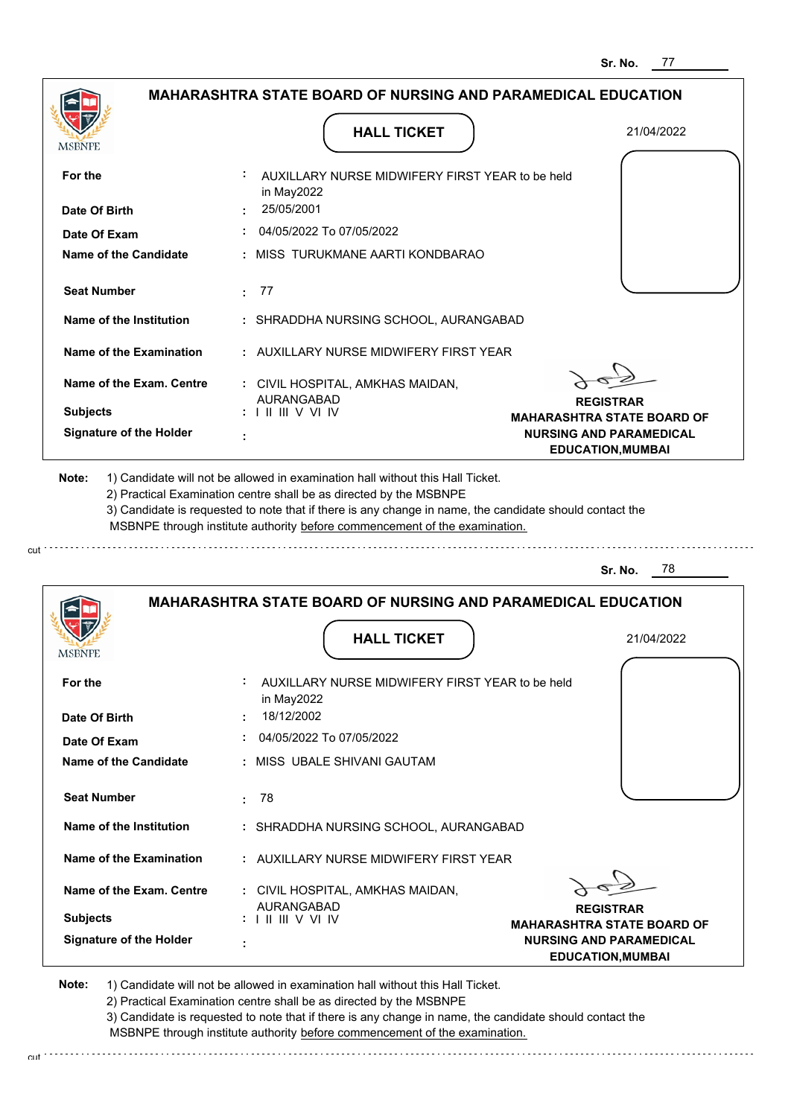|                                | <b>MAHARASHTRA STATE BOARD OF NURSING AND PARAMEDICAL EDUCATION</b>         |                                                                                          |
|--------------------------------|-----------------------------------------------------------------------------|------------------------------------------------------------------------------------------|
| MSBNPE                         | <b>HALL TICKET</b>                                                          | 21/04/2022                                                                               |
| For the                        | AUXILLARY NURSE MIDWIFERY FIRST YEAR to be held<br>in May2022               |                                                                                          |
| Date Of Birth                  | 25/05/2001                                                                  |                                                                                          |
| Date Of Exam                   | 04/05/2022 To 07/05/2022                                                    |                                                                                          |
| <b>Name of the Candidate</b>   | : MISS TURUKMANE AARTI KONDBARAO                                            |                                                                                          |
| <b>Seat Number</b>             | -77<br>÷.                                                                   |                                                                                          |
| <b>Name of the Institution</b> | : SHRADDHA NURSING SCHOOL, AURANGABAD                                       |                                                                                          |
| Name of the Examination        | : AUXILLARY NURSE MIDWIFERY FIRST YEAR                                      |                                                                                          |
| Name of the Exam. Centre       | : CIVIL HOSPITAL, AMKHAS MAIDAN,                                            |                                                                                          |
| <b>Subjects</b>                | <b>AURANGABAD</b><br>$: 1 \mathbb{H} \mathbb{H} \vee \mathbb{V} \mathbb{N}$ | <b>REGISTRAR</b><br><b>MAHARASHTRA STATE BOARD OF</b>                                    |
| <b>Signature of the Holder</b> | ÷                                                                           | <b>NURSING AND PARAMEDICAL</b><br><b>EDUCATION, MUMBAI</b>                               |
|                                | MSBNPE through institute authority before commencement of the examination.  | 78<br>Sr. No.                                                                            |
|                                | <b>MAHARASHTRA STATE BOARD OF NURSING AND PARAMEDICAL EDUCATION</b>         |                                                                                          |
| MSBNPE                         | <b>HALL TICKET</b>                                                          | 21/04/2022                                                                               |
| For the                        | AUXILLARY NURSE MIDWIFERY FIRST YEAR to be held<br>in May2022               |                                                                                          |
| Date Of Birth                  | 18/12/2002                                                                  |                                                                                          |
| Date Of Exam                   | 04/05/2022 To 07/05/2022                                                    |                                                                                          |
| <b>Name of the Candidate</b>   | : MISS UBALE SHIVANI GAUTAM                                                 |                                                                                          |
| <b>Seat Number</b>             | 78<br>÷.                                                                    |                                                                                          |
| Name of the Institution        | : SHRADDHA NURSING SCHOOL, AURANGABAD                                       |                                                                                          |
| Name of the Examination        | : AUXILLARY NURSE MIDWIFERY FIRST YEAR                                      |                                                                                          |
| Name of the Exam. Centre       | : CIVIL HOSPITAL, AMKHAS MAIDAN,                                            |                                                                                          |
| <b>Subjects</b>                | AURANGABAD                                                                  | <b>REGISTRAR</b>                                                                         |
| <b>Signature of the Holder</b> |                                                                             | MAHARASHTRA STATE BOARD OF<br><b>NURSING AND PARAMEDICAL</b><br><b>EDUCATION, MUMBAI</b> |

cut

2) Practical Examination centre shall be as directed by the MSBNPE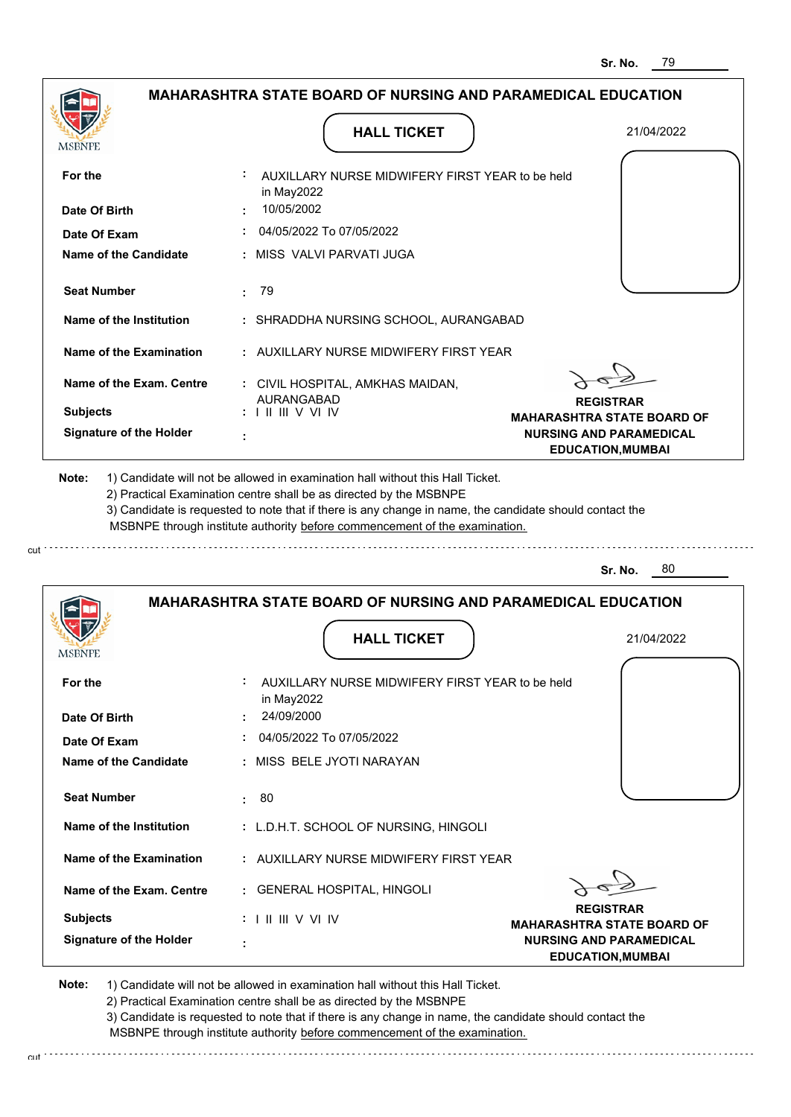|                                | <b>MAHARASHTRA STATE BOARD OF NURSING AND PARAMEDICAL EDUCATION</b>                                 |                                                            |
|--------------------------------|-----------------------------------------------------------------------------------------------------|------------------------------------------------------------|
|                                |                                                                                                     |                                                            |
| MSBNPF                         | <b>HALL TICKET</b>                                                                                  | 21/04/2022                                                 |
| For the                        | AUXILLARY NURSE MIDWIFERY FIRST YEAR to be held<br>in May2022                                       |                                                            |
| Date Of Birth                  | 10/05/2002                                                                                          |                                                            |
| Date Of Exam                   | 04/05/2022 To 07/05/2022                                                                            |                                                            |
| Name of the Candidate          | : MISS VALVI PARVATI JUGA                                                                           |                                                            |
| <b>Seat Number</b>             | : 79                                                                                                |                                                            |
| Name of the Institution        | : SHRADDHA NURSING SCHOOL, AURANGABAD                                                               |                                                            |
| Name of the Examination        | : AUXILLARY NURSE MIDWIFERY FIRST YEAR                                                              |                                                            |
| Name of the Exam. Centre       | : CIVIL HOSPITAL, AMKHAS MAIDAN,                                                                    |                                                            |
| <b>Subjects</b>                | AURANGABAD<br>: 11111VV11V                                                                          | <b>REGISTRAR</b><br><b>MAHARASHTRA STATE BOARD OF</b>      |
| <b>Signature of the Holder</b> |                                                                                                     | <b>NURSING AND PARAMEDICAL</b><br><b>EDUCATION, MUMBAI</b> |
|                                |                                                                                                     | 80<br>Sr. No.                                              |
|                                | <b>MAHARASHTRA STATE BOARD OF NURSING AND PARAMEDICAL EDUCATION</b>                                 |                                                            |
| MSBNPE                         | <b>HALL TICKET</b>                                                                                  | 21/04/2022                                                 |
| For the                        | AUXILLARY NURSE MIDWIFERY FIRST YEAR to be held<br>in May2022                                       |                                                            |
| Date Of Birth                  | 24/09/2000                                                                                          |                                                            |
| Date Of Exam                   | 04/05/2022 To 07/05/2022<br>÷.                                                                      |                                                            |
| <b>Name of the Candidate</b>   | : MISS BELE JYOTI NARAYAN                                                                           |                                                            |
| <b>Seat Number</b>             | 80<br>÷.                                                                                            |                                                            |
| Name of the Institution        | : L.D.H.T. SCHOOL OF NURSING, HINGOLI                                                               |                                                            |
| <b>Name of the Examination</b> | : AUXILLARY NURSE MIDWIFERY FIRST YEAR                                                              |                                                            |
| Name of the Exam. Centre       | : GENERAL HOSPITAL, HINGOLI                                                                         |                                                            |
| <b>Subjects</b>                | $: 1 \mathbin{\mathbb{H}} \mathbin{\mathbb{H}} \vee \vee \mathbin{\mathbb{H}} \mathbin{\mathbb{N}}$ | <b>REGISTRAR</b><br><b>MAHARASHTRA STATE BOARD OF</b>      |
| <b>Signature of the Holder</b> | ÷                                                                                                   | <b>NURSING AND PARAMEDICAL</b><br><b>EDUCATION, MUMBAI</b> |

cut

2) Practical Examination centre shall be as directed by the MSBNPE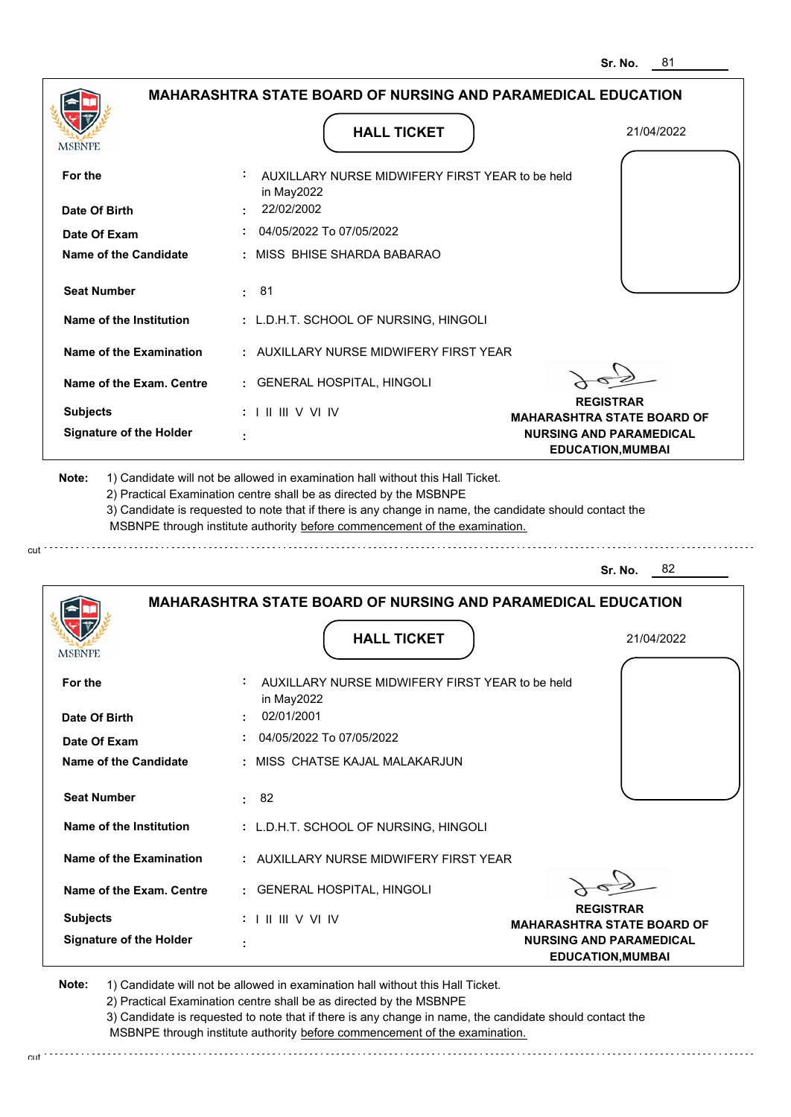|                                                                                                                                                                  | <b>HALL TICKET</b>                                                                                                                                                                                                                                          | 21/04/2022                                                 |
|------------------------------------------------------------------------------------------------------------------------------------------------------------------|-------------------------------------------------------------------------------------------------------------------------------------------------------------------------------------------------------------------------------------------------------------|------------------------------------------------------------|
| <b>MSBNPE</b>                                                                                                                                                    |                                                                                                                                                                                                                                                             |                                                            |
| For the                                                                                                                                                          | AUXILLARY NURSE MIDWIFERY FIRST YEAR to be held<br>in May2022                                                                                                                                                                                               |                                                            |
| Date Of Birth                                                                                                                                                    | : 22/02/2002                                                                                                                                                                                                                                                |                                                            |
| Date Of Exam                                                                                                                                                     | 04/05/2022 To 07/05/2022                                                                                                                                                                                                                                    |                                                            |
| <b>Name of the Candidate</b>                                                                                                                                     | : MISS BHISE SHARDA BABARAO                                                                                                                                                                                                                                 |                                                            |
| <b>Seat Number</b>                                                                                                                                               | : 81                                                                                                                                                                                                                                                        |                                                            |
| Name of the Institution                                                                                                                                          | : L.D.H.T. SCHOOL OF NURSING, HINGOLI                                                                                                                                                                                                                       |                                                            |
| Name of the Examination                                                                                                                                          | : AUXILLARY NURSE MIDWIFERY FIRST YEAR                                                                                                                                                                                                                      |                                                            |
| Name of the Exam. Centre                                                                                                                                         | : GENERAL HOSPITAL, HINGOLI                                                                                                                                                                                                                                 |                                                            |
| <b>Subjects</b>                                                                                                                                                  | $: 1 \mathbb{H} \mathbb{H}$ V VI IV                                                                                                                                                                                                                         | <b>REGISTRAR</b><br><b>MAHARASHTRA STATE BOARD OF</b>      |
| <b>Signature of the Holder</b>                                                                                                                                   |                                                                                                                                                                                                                                                             | <b>NURSING AND PARAMEDICAL</b><br><b>EDUCATION, MUMBAI</b> |
|                                                                                                                                                                  | 2) Practical Examination centre shall be as directed by the MSBNPE<br>3) Candidate is requested to note that if there is any change in name, the candidate should contact the<br>MSBNPE through institute authority before commencement of the examination. | 82<br>Sr. No.                                              |
|                                                                                                                                                                  | <b>MAHARASHTRA STATE BOARD OF NURSING AND PARAMEDICAL EDUCATION</b>                                                                                                                                                                                         |                                                            |
|                                                                                                                                                                  | <b>HALL TICKET</b>                                                                                                                                                                                                                                          | 21/04/2022                                                 |
|                                                                                                                                                                  | AUXILLARY NURSE MIDWIFERY FIRST YEAR to be held                                                                                                                                                                                                             |                                                            |
|                                                                                                                                                                  | in May2022<br>02/01/2001                                                                                                                                                                                                                                    |                                                            |
| <b>MSBNPE</b><br>For the<br>Date Of Birth                                                                                                                        | : 04/05/2022 To 07/05/2022                                                                                                                                                                                                                                  |                                                            |
|                                                                                                                                                                  | : MISS CHATSE KAJAL MALAKARJUN                                                                                                                                                                                                                              |                                                            |
|                                                                                                                                                                  | : 82                                                                                                                                                                                                                                                        |                                                            |
|                                                                                                                                                                  | : L.D.H.T. SCHOOL OF NURSING, HINGOLI                                                                                                                                                                                                                       |                                                            |
|                                                                                                                                                                  | : AUXILLARY NURSE MIDWIFERY FIRST YEAR                                                                                                                                                                                                                      |                                                            |
|                                                                                                                                                                  | : GENERAL HOSPITAL, HINGOLI                                                                                                                                                                                                                                 |                                                            |
| Date Of Exam<br>Name of the Candidate<br><b>Seat Number</b><br>Name of the Institution<br>Name of the Examination<br>Name of the Exam. Centre<br><b>Subjects</b> | : I II III V VI IV                                                                                                                                                                                                                                          | <b>REGISTRAR</b><br><b>MAHARASHTRA STATE BOARD OF</b>      |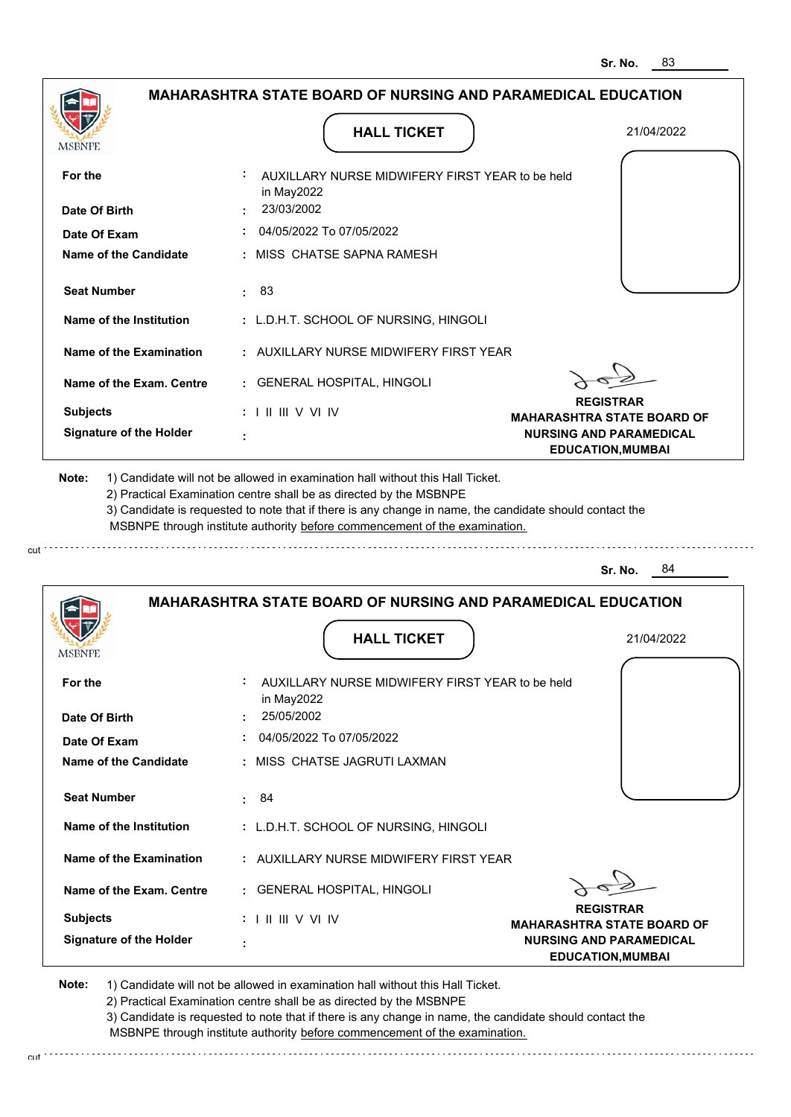|                                                                                                                 | <b>HALL TICKET</b>                                                                                                                                                                                                                                          | 21/04/2022                                                 |
|-----------------------------------------------------------------------------------------------------------------|-------------------------------------------------------------------------------------------------------------------------------------------------------------------------------------------------------------------------------------------------------------|------------------------------------------------------------|
| <b>MSBNPE</b>                                                                                                   |                                                                                                                                                                                                                                                             |                                                            |
| For the                                                                                                         | AUXILLARY NURSE MIDWIFERY FIRST YEAR to be held<br>in May2022                                                                                                                                                                                               |                                                            |
| Date Of Birth                                                                                                   | : 23/03/2002                                                                                                                                                                                                                                                |                                                            |
| Date Of Exam                                                                                                    | 04/05/2022 To 07/05/2022                                                                                                                                                                                                                                    |                                                            |
| Name of the Candidate                                                                                           | : MISS CHATSE SAPNA RAMESH                                                                                                                                                                                                                                  |                                                            |
| <b>Seat Number</b>                                                                                              | : 83                                                                                                                                                                                                                                                        |                                                            |
| Name of the Institution                                                                                         | : L.D.H.T. SCHOOL OF NURSING, HINGOLI                                                                                                                                                                                                                       |                                                            |
| Name of the Examination                                                                                         | : AUXILLARY NURSE MIDWIFFRY FIRST YFAR                                                                                                                                                                                                                      |                                                            |
| Name of the Exam. Centre                                                                                        | : GENERAL HOSPITAL, HINGOLI                                                                                                                                                                                                                                 |                                                            |
| <b>Subjects</b>                                                                                                 | $: 1 \mathbb{H} \mathbb{H} \vee \mathbb{V} \mathbb{W}$                                                                                                                                                                                                      | <b>REGISTRAR</b><br><b>MAHARASHTRA STATE BOARD OF</b>      |
| <b>Signature of the Holder</b>                                                                                  |                                                                                                                                                                                                                                                             | <b>NURSING AND PARAMEDICAL</b><br><b>EDUCATION, MUMBAI</b> |
|                                                                                                                 | 2) Practical Examination centre shall be as directed by the MSBNPE<br>3) Candidate is requested to note that if there is any change in name, the candidate should contact the<br>MSBNPE through institute authority before commencement of the examination. | - 84<br>Sr. No.                                            |
|                                                                                                                 | <b>MAHARASHTRA STATE BOARD OF NURSING AND PARAMEDICAL EDUCATION</b>                                                                                                                                                                                         |                                                            |
|                                                                                                                 | <b>HALL TICKET</b>                                                                                                                                                                                                                                          | 21/04/2022                                                 |
|                                                                                                                 | AUXILLARY NURSE MIDWIFERY FIRST YEAR to be held                                                                                                                                                                                                             |                                                            |
|                                                                                                                 | in May2022                                                                                                                                                                                                                                                  |                                                            |
|                                                                                                                 | 25/05/2002                                                                                                                                                                                                                                                  |                                                            |
|                                                                                                                 | 04/05/2022 To 07/05/2022                                                                                                                                                                                                                                    |                                                            |
|                                                                                                                 | : MISS CHATSE JAGRUTI LAXMAN                                                                                                                                                                                                                                |                                                            |
| <b>MSBNPE</b><br>For the<br>Date Of Birth<br>Date Of Exam<br><b>Name of the Candidate</b><br><b>Seat Number</b> | : 84                                                                                                                                                                                                                                                        |                                                            |
| Name of the Institution                                                                                         | : L.D.H.T. SCHOOL OF NURSING, HINGOLI                                                                                                                                                                                                                       |                                                            |
|                                                                                                                 | : AUXILLARY NURSE MIDWIFERY FIRST YEAR                                                                                                                                                                                                                      |                                                            |
|                                                                                                                 | : GENERAL HOSPITAL, HINGOLI                                                                                                                                                                                                                                 |                                                            |
| Name of the Examination<br>Name of the Exam. Centre<br><b>Subjects</b>                                          | $: 1 \mathbb{H} \mathbb{H}$ V VI IV                                                                                                                                                                                                                         | <b>REGISTRAR</b><br><b>MAHARASHTRA STATE BOARD OF</b>      |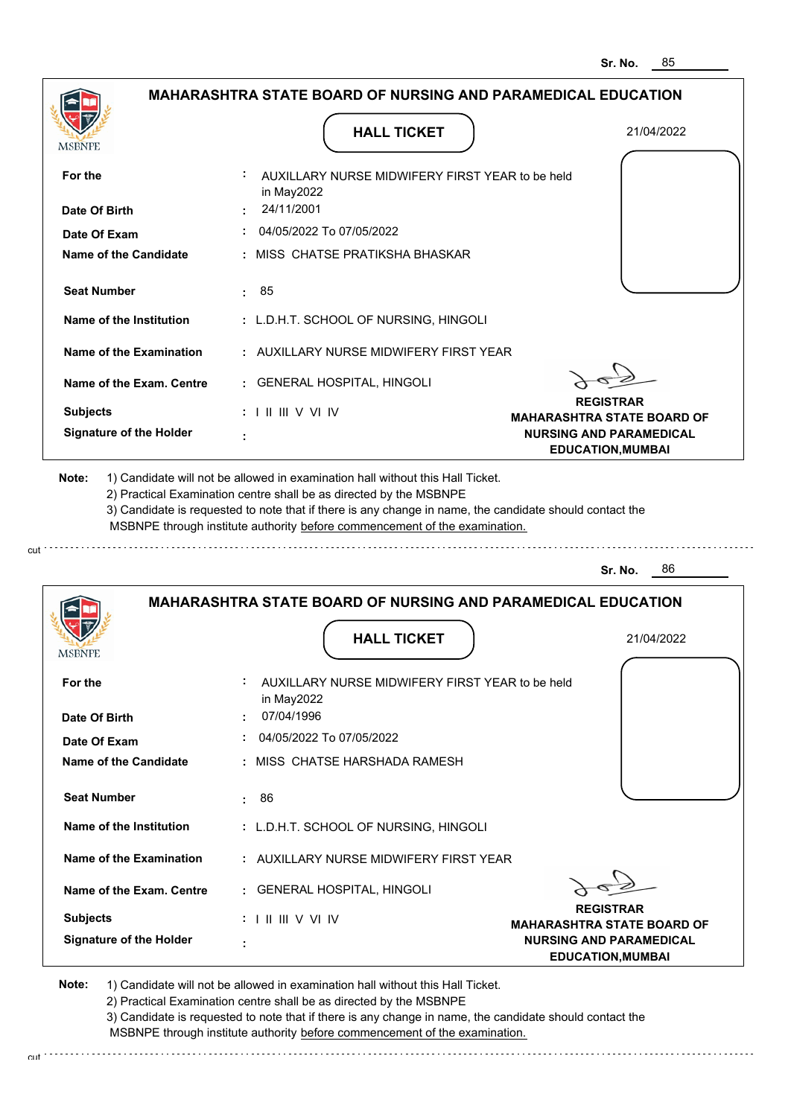|                                                                                | <b>HALL TICKET</b>                                                                                                                                                                                                                                          | 21/04/2022                                                 |
|--------------------------------------------------------------------------------|-------------------------------------------------------------------------------------------------------------------------------------------------------------------------------------------------------------------------------------------------------------|------------------------------------------------------------|
| <b>MSBNPE</b>                                                                  |                                                                                                                                                                                                                                                             |                                                            |
| For the                                                                        | AUXILLARY NURSE MIDWIFERY FIRST YEAR to be held<br>in May2022                                                                                                                                                                                               |                                                            |
| Date Of Birth                                                                  | : 24/11/2001                                                                                                                                                                                                                                                |                                                            |
| Date Of Exam                                                                   | 04/05/2022 To 07/05/2022                                                                                                                                                                                                                                    |                                                            |
| <b>Name of the Candidate</b>                                                   | : MISS CHATSE PRATIKSHA BHASKAR                                                                                                                                                                                                                             |                                                            |
| <b>Seat Number</b>                                                             | : 85                                                                                                                                                                                                                                                        |                                                            |
| Name of the Institution                                                        | : L.D.H.T. SCHOOL OF NURSING, HINGOLI                                                                                                                                                                                                                       |                                                            |
| Name of the Examination                                                        | : AUXILLARY NURSE MIDWIFERY FIRST YEAR                                                                                                                                                                                                                      |                                                            |
| Name of the Exam. Centre                                                       | : GENERAL HOSPITAL, HINGOLI                                                                                                                                                                                                                                 |                                                            |
| <b>Subjects</b>                                                                | $: 1 \mathbb{H} \mathbb{H} \vee \mathbb{V} \mathbb{N}$                                                                                                                                                                                                      | <b>REGISTRAR</b><br><b>MAHARASHTRA STATE BOARD OF</b>      |
| <b>Signature of the Holder</b>                                                 |                                                                                                                                                                                                                                                             | <b>NURSING AND PARAMEDICAL</b><br><b>EDUCATION, MUMBAI</b> |
| 1) Candidate will not be allowed in examination hall without this Hall Ticket. | 2) Practical Examination centre shall be as directed by the MSBNPE<br>3) Candidate is requested to note that if there is any change in name, the candidate should contact the<br>MSBNPE through institute authority before commencement of the examination. | 86<br>Sr. No.                                              |
|                                                                                | <b>MAHARASHTRA STATE BOARD OF NURSING AND PARAMEDICAL EDUCATION</b>                                                                                                                                                                                         |                                                            |
|                                                                                |                                                                                                                                                                                                                                                             |                                                            |
| <b>MSBNPE</b>                                                                  | <b>HALL TICKET</b>                                                                                                                                                                                                                                          | 21/04/2022                                                 |
|                                                                                | AUXILLARY NURSE MIDWIFERY FIRST YEAR to be held<br>in May2022                                                                                                                                                                                               |                                                            |
|                                                                                | 07/04/1996                                                                                                                                                                                                                                                  |                                                            |
| For the<br>Date Of Birth<br>Date Of Exam                                       | : 04/05/2022 To 07/05/2022                                                                                                                                                                                                                                  |                                                            |
|                                                                                | : MISS CHATSE HARSHADA RAMESH                                                                                                                                                                                                                               |                                                            |
| <b>Seat Number</b>                                                             | : 86                                                                                                                                                                                                                                                        |                                                            |
| Name of the Institution                                                        | : L.D.H.T. SCHOOL OF NURSING, HINGOLI                                                                                                                                                                                                                       |                                                            |
| <b>Name of the Candidate</b><br>Name of the Examination                        | : AUXILLARY NURSE MIDWIFERY FIRST YEAR                                                                                                                                                                                                                      |                                                            |
| Name of the Exam. Centre                                                       | : GENERAL HOSPITAL, HINGOLI                                                                                                                                                                                                                                 |                                                            |
| <b>Subjects</b>                                                                | $: 1 \mathbb{H} \mathbb{H} \vee \mathbb{V} \mathbb{N}$                                                                                                                                                                                                      | <b>REGISTRAR</b><br><b>MAHARASHTRA STATE BOARD OF</b>      |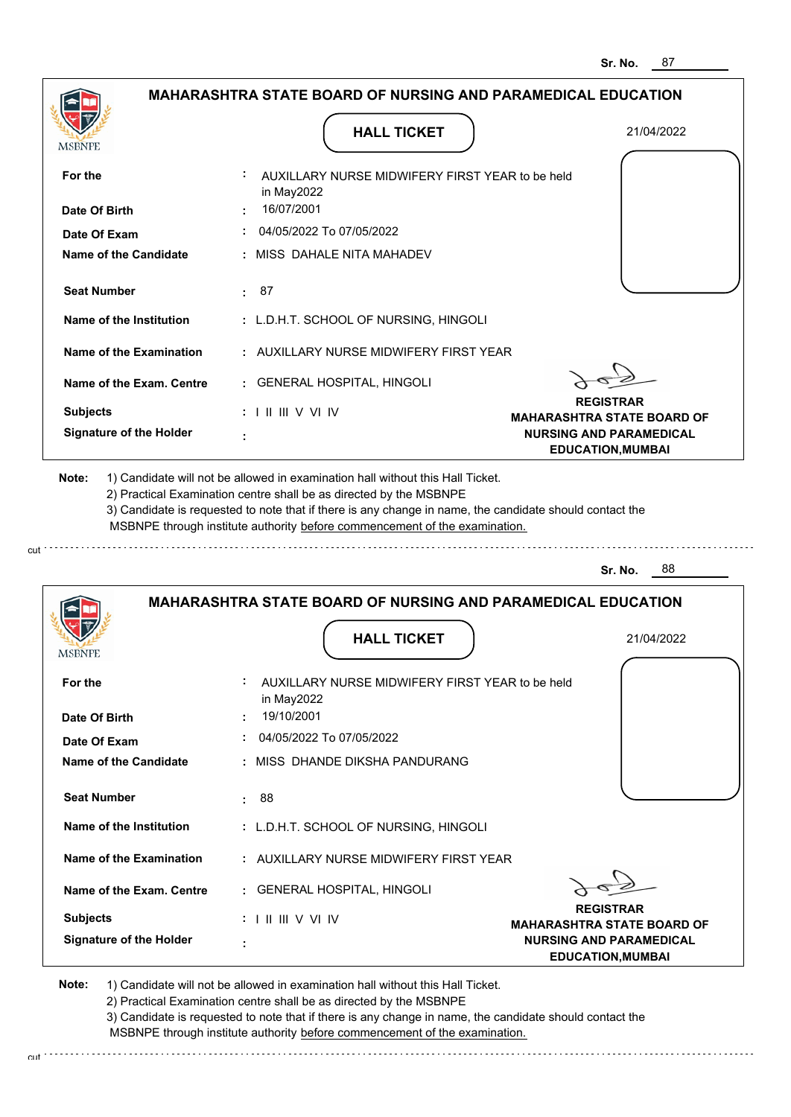| <b>MSBNPE</b>                                                                                                           | <b>HALL TICKET</b>                                                                                                                                                                                                                                                                                                                            | 21/04/2022                                                 |
|-------------------------------------------------------------------------------------------------------------------------|-----------------------------------------------------------------------------------------------------------------------------------------------------------------------------------------------------------------------------------------------------------------------------------------------------------------------------------------------|------------------------------------------------------------|
| For the                                                                                                                 | AUXILLARY NURSE MIDWIFERY FIRST YEAR to be held<br>in May2022                                                                                                                                                                                                                                                                                 |                                                            |
| Date Of Birth                                                                                                           | 16/07/2001                                                                                                                                                                                                                                                                                                                                    |                                                            |
| Date Of Exam                                                                                                            | : 04/05/2022 To 07/05/2022                                                                                                                                                                                                                                                                                                                    |                                                            |
| <b>Name of the Candidate</b>                                                                                            | : MISS DAHALE NITA MAHADEV                                                                                                                                                                                                                                                                                                                    |                                                            |
| <b>Seat Number</b>                                                                                                      | : 87                                                                                                                                                                                                                                                                                                                                          |                                                            |
| Name of the Institution                                                                                                 | : L.D.H.T. SCHOOL OF NURSING, HINGOLI                                                                                                                                                                                                                                                                                                         |                                                            |
| Name of the Examination                                                                                                 | : AUXILLARY NURSE MIDWIFERY FIRST YEAR                                                                                                                                                                                                                                                                                                        |                                                            |
| Name of the Exam. Centre                                                                                                | : GENERAL HOSPITAL, HINGOLI                                                                                                                                                                                                                                                                                                                   |                                                            |
| <b>Subjects</b>                                                                                                         | $: 1 \mathbb{H} \mathbb{H} \vee \vee \mathbb{I} \vee$                                                                                                                                                                                                                                                                                         | <b>REGISTRAR</b><br><b>MAHARASHTRA STATE BOARD OF</b>      |
| <b>Signature of the Holder</b>                                                                                          |                                                                                                                                                                                                                                                                                                                                               | <b>NURSING AND PARAMEDICAL</b><br><b>EDUCATION, MUMBAI</b> |
|                                                                                                                         | 1) Candidate will not be allowed in examination hall without this Hall Ticket.<br>2) Practical Examination centre shall be as directed by the MSBNPE<br>3) Candidate is requested to note that if there is any change in name, the candidate should contact the<br>MSBNPE through institute authority before commencement of the examination. |                                                            |
|                                                                                                                         |                                                                                                                                                                                                                                                                                                                                               | 88<br>Sr. No.                                              |
|                                                                                                                         | <b>MAHARASHTRA STATE BOARD OF NURSING AND PARAMEDICAL EDUCATION</b>                                                                                                                                                                                                                                                                           |                                                            |
|                                                                                                                         | <b>HALL TICKET</b>                                                                                                                                                                                                                                                                                                                            | 21/04/2022                                                 |
|                                                                                                                         | AUXILLARY NURSE MIDWIFERY FIRST YEAR to be held<br>in May2022                                                                                                                                                                                                                                                                                 |                                                            |
|                                                                                                                         | 19/10/2001                                                                                                                                                                                                                                                                                                                                    |                                                            |
|                                                                                                                         | $\div$ 04/05/2022 To 07/05/2022                                                                                                                                                                                                                                                                                                               |                                                            |
|                                                                                                                         | : MISS DHANDE DIKSHA PANDURANG                                                                                                                                                                                                                                                                                                                |                                                            |
| <b>Seat Number</b>                                                                                                      | .88                                                                                                                                                                                                                                                                                                                                           |                                                            |
| Name of the Institution                                                                                                 | : L.D.H.T. SCHOOL OF NURSING, HINGOLI                                                                                                                                                                                                                                                                                                         |                                                            |
| Name of the Examination                                                                                                 | : AUXILLARY NURSE MIDWIFERY FIRST YEAR                                                                                                                                                                                                                                                                                                        |                                                            |
| Note:<br><b>MSBNPE</b><br>For the<br>Date Of Birth<br>Date Of Exam<br>Name of the Candidate<br>Name of the Exam. Centre | : GENERAL HOSPITAL, HINGOLI                                                                                                                                                                                                                                                                                                                   | <b>REGISTRAR</b>                                           |

2) Practical Examination centre shall be as directed by the MSBNPE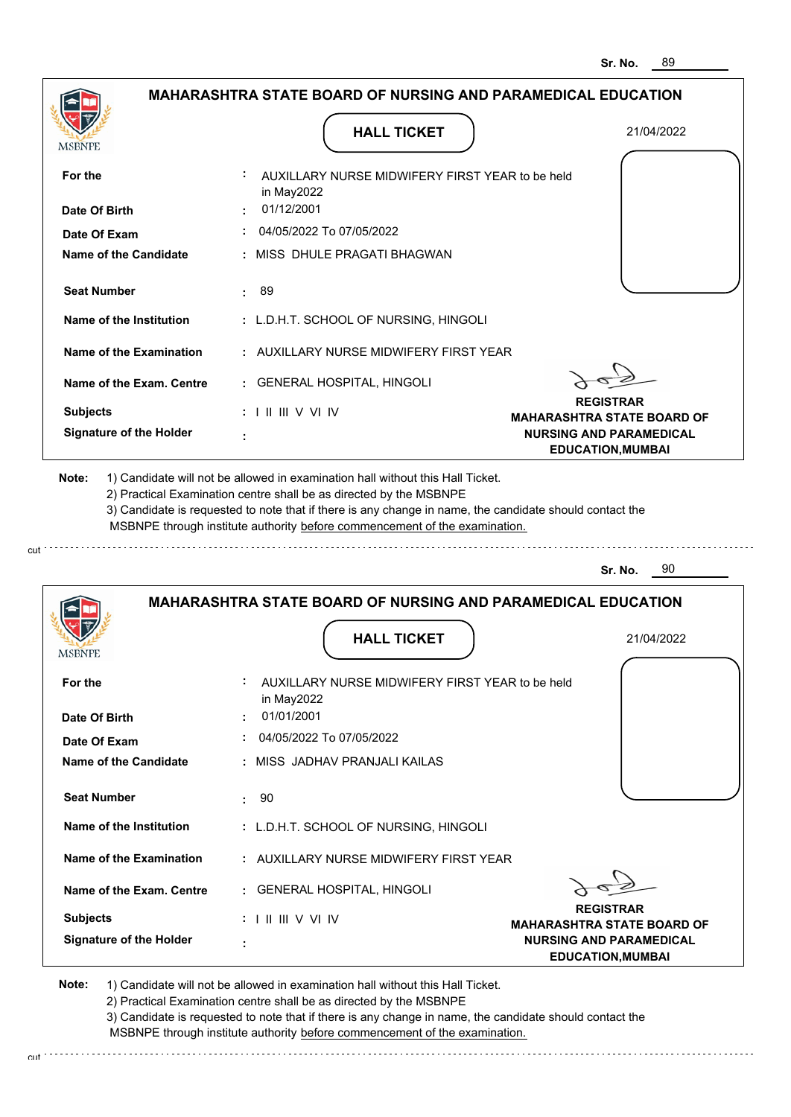|                                |                                                                            | <b>MAHARASHTRA STATE BOARD OF NURSING AND PARAMEDICAL EDUCATION</b> |  |
|--------------------------------|----------------------------------------------------------------------------|---------------------------------------------------------------------|--|
|                                | <b>HALL TICKET</b>                                                         | 21/04/2022                                                          |  |
| MSBNPE                         |                                                                            |                                                                     |  |
| For the                        | AUXILLARY NURSE MIDWIFERY FIRST YEAR to be held<br>in May2022              |                                                                     |  |
| Date Of Birth                  | 01/12/2001                                                                 |                                                                     |  |
| Date Of Exam                   | 04/05/2022 To 07/05/2022                                                   |                                                                     |  |
| <b>Name of the Candidate</b>   | MISS DHULE PRAGATI BHAGWAN                                                 |                                                                     |  |
| <b>Seat Number</b>             | 89<br>÷.                                                                   |                                                                     |  |
| Name of the Institution        | : L.D.H.T. SCHOOL OF NURSING, HINGOLI                                      |                                                                     |  |
| <b>Name of the Examination</b> | : AUXILLARY NURSE MIDWIFERY FIRST YEAR                                     |                                                                     |  |
| Name of the Exam. Centre       | : GENERAL HOSPITAL, HINGOLI                                                |                                                                     |  |
| <b>Subjects</b>                | $: 1 \parallel \parallel \parallel$ V VI IV                                | <b>REGISTRAR</b><br><b>MAHARASHTRA STATE BOARD OF</b>               |  |
| <b>Signature of the Holder</b> |                                                                            | <b>NURSING AND PARAMEDICAL</b><br><b>EDUCATION, MUMBAI</b>          |  |
|                                | MSBNPE through institute authority before commencement of the examination. | 90<br>Sr. No.                                                       |  |
|                                |                                                                            | <b>MAHARASHTRA STATE BOARD OF NURSING AND PARAMEDICAL EDUCATION</b> |  |
|                                |                                                                            |                                                                     |  |
|                                | <b>HALL TICKET</b>                                                         | 21/04/2022                                                          |  |
| MSBNPE                         |                                                                            |                                                                     |  |
| For the                        | AUXILLARY NURSE MIDWIFERY FIRST YEAR to be held<br>in May2022              |                                                                     |  |
| Date Of Birth                  | 01/01/2001                                                                 |                                                                     |  |
| Date Of Exam                   | 04/05/2022 To 07/05/2022                                                   |                                                                     |  |
| Name of the Candidate          | MISS JADHAV PRANJALI KAILAS                                                |                                                                     |  |
| <b>Seat Number</b>             | 90<br>÷.                                                                   |                                                                     |  |
| Name of the Institution        | : L.D.H.T. SCHOOL OF NURSING, HINGOLI                                      |                                                                     |  |
| <b>Name of the Examination</b> | : AUXILLARY NURSE MIDWIFERY FIRST YEAR                                     |                                                                     |  |
| Name of the Exam. Centre       | : GENERAL HOSPITAL, HINGOLI                                                | <b>REGISTRAR</b>                                                    |  |
| <b>Subjects</b>                | $: 1 \mathbb{H} \mathbb{H} \vee \mathbb{V} \mathbb{N}$                     | <b>MAHARASHTRA STATE BOARD OF</b>                                   |  |
| <b>Signature of the Holder</b> |                                                                            | <b>NURSING AND PARAMEDICAL</b><br><b>EDUCATION, MUMBAI</b>          |  |
|                                |                                                                            |                                                                     |  |

cut

2) Practical Examination centre shall be as directed by the MSBNPE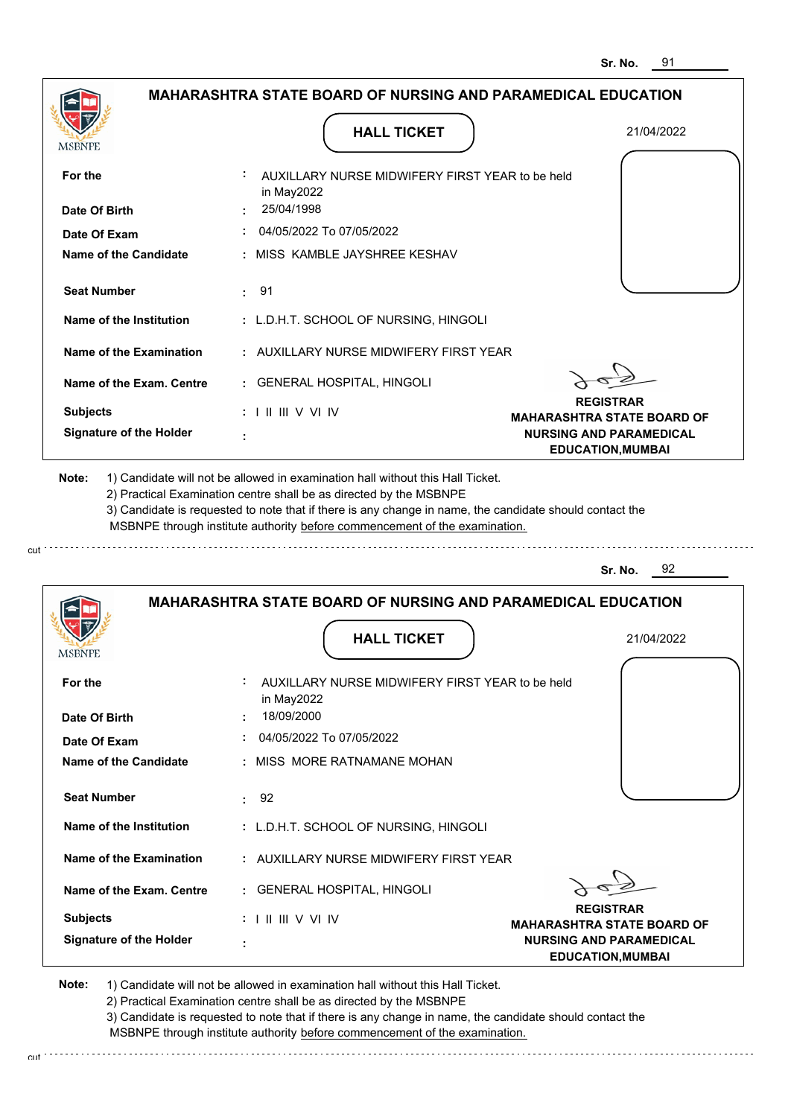|                                                                                                                                                                                                                        | <b>MAHARASHTRA STATE BOARD OF NURSING AND PARAMEDICAL EDUCATION</b>                                                                                                                                                                                                                                                                           |                                                       |
|------------------------------------------------------------------------------------------------------------------------------------------------------------------------------------------------------------------------|-----------------------------------------------------------------------------------------------------------------------------------------------------------------------------------------------------------------------------------------------------------------------------------------------------------------------------------------------|-------------------------------------------------------|
| MSBNPE                                                                                                                                                                                                                 | <b>HALL TICKET</b>                                                                                                                                                                                                                                                                                                                            | 21/04/2022                                            |
| For the                                                                                                                                                                                                                | AUXILLARY NURSE MIDWIFERY FIRST YEAR to be held<br>in May2022                                                                                                                                                                                                                                                                                 |                                                       |
| Date Of Birth                                                                                                                                                                                                          | 25/04/1998                                                                                                                                                                                                                                                                                                                                    |                                                       |
| Date Of Exam                                                                                                                                                                                                           | 04/05/2022 To 07/05/2022                                                                                                                                                                                                                                                                                                                      |                                                       |
| <b>Name of the Candidate</b>                                                                                                                                                                                           | : MISS KAMBLE JAYSHREE KESHAV                                                                                                                                                                                                                                                                                                                 |                                                       |
| <b>Seat Number</b>                                                                                                                                                                                                     | : 91                                                                                                                                                                                                                                                                                                                                          |                                                       |
| Name of the Institution                                                                                                                                                                                                | : L.D.H.T. SCHOOL OF NURSING, HINGOLI                                                                                                                                                                                                                                                                                                         |                                                       |
| <b>Name of the Examination</b>                                                                                                                                                                                         | : AUXILLARY NURSE MIDWIFERY FIRST YEAR                                                                                                                                                                                                                                                                                                        |                                                       |
| Name of the Exam. Centre                                                                                                                                                                                               | : GENERAL HOSPITAL, HINGOLI                                                                                                                                                                                                                                                                                                                   |                                                       |
| <b>Subjects</b>                                                                                                                                                                                                        | $: 1 \mathbb{H} \mathbb{H} \vee \vee \mathbb{H}$                                                                                                                                                                                                                                                                                              | <b>REGISTRAR</b><br><b>MAHARASHTRA STATE BOARD OF</b> |
| <b>Signature of the Holder</b>                                                                                                                                                                                         |                                                                                                                                                                                                                                                                                                                                               | <b>NURSING AND PARAMEDICAL</b>                        |
|                                                                                                                                                                                                                        | 1) Candidate will not be allowed in examination hall without this Hall Ticket.<br>2) Practical Examination centre shall be as directed by the MSBNPE<br>3) Candidate is requested to note that if there is any change in name, the candidate should contact the<br>MSBNPE through institute authority before commencement of the examination. | <b>EDUCATION, MUMBAI</b>                              |
|                                                                                                                                                                                                                        | <b>MAHARASHTRA STATE BOARD OF NURSING AND PARAMEDICAL EDUCATION</b>                                                                                                                                                                                                                                                                           | 92<br>Sr. No.                                         |
|                                                                                                                                                                                                                        | <b>HALL TICKET</b>                                                                                                                                                                                                                                                                                                                            | 21/04/2022                                            |
|                                                                                                                                                                                                                        | AUXILLARY NURSE MIDWIFERY FIRST YEAR to be held                                                                                                                                                                                                                                                                                               |                                                       |
|                                                                                                                                                                                                                        | in May2022<br>18/09/2000                                                                                                                                                                                                                                                                                                                      |                                                       |
|                                                                                                                                                                                                                        | 04/05/2022 To 07/05/2022                                                                                                                                                                                                                                                                                                                      |                                                       |
|                                                                                                                                                                                                                        | : MISS MORE RATNAMANE MOHAN                                                                                                                                                                                                                                                                                                                   |                                                       |
|                                                                                                                                                                                                                        | 92<br>÷.                                                                                                                                                                                                                                                                                                                                      |                                                       |
|                                                                                                                                                                                                                        | : L.D.H.T. SCHOOL OF NURSING, HINGOLI                                                                                                                                                                                                                                                                                                         |                                                       |
|                                                                                                                                                                                                                        | : AUXILLARY NURSE MIDWIFERY FIRST YEAR                                                                                                                                                                                                                                                                                                        |                                                       |
|                                                                                                                                                                                                                        | : GENERAL HOSPITAL, HINGOLI                                                                                                                                                                                                                                                                                                                   |                                                       |
| Note:<br>MSBNPE<br>For the<br>Date Of Birth<br>Date Of Exam<br>Name of the Candidate<br><b>Seat Number</b><br>Name of the Institution<br><b>Name of the Examination</b><br>Name of the Exam. Centre<br><b>Subjects</b> |                                                                                                                                                                                                                                                                                                                                               | <b>REGISTRAR</b><br><b>MAHARASHTRA STATE BOARD OF</b> |

3) Candidate is requested to note that if there is any change in name, the candidate should contact the MSBNPE through institute authority before commencement of the examination.

cut de contra a construction de construction de construction de construction de construction de construction de construction de construction de construction de construction de construction de construction de construction d

cut.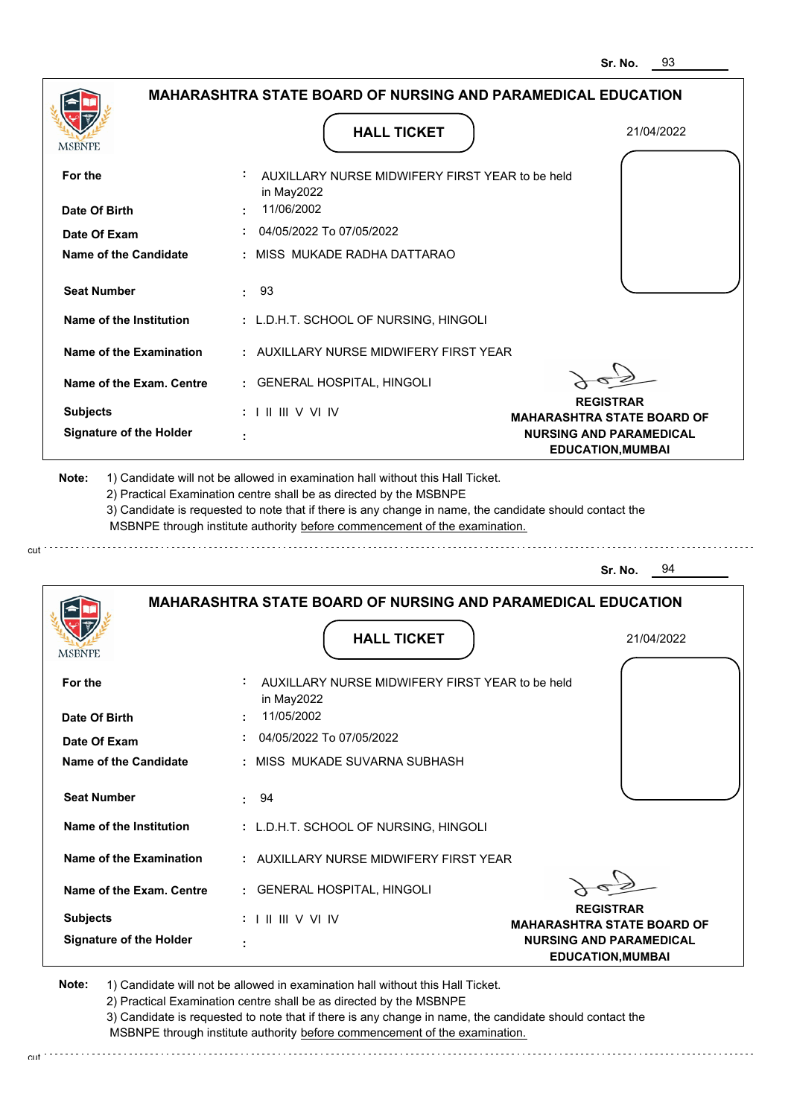|                                                                                                                                                  | <b>HALL TICKET</b>                                                                                                                                                                                                                                          | 21/04/2022                                                 |
|--------------------------------------------------------------------------------------------------------------------------------------------------|-------------------------------------------------------------------------------------------------------------------------------------------------------------------------------------------------------------------------------------------------------------|------------------------------------------------------------|
| <b>MSBNPE</b>                                                                                                                                    |                                                                                                                                                                                                                                                             |                                                            |
| For the                                                                                                                                          | AUXILLARY NURSE MIDWIFERY FIRST YEAR to be held<br>in May2022                                                                                                                                                                                               |                                                            |
| Date Of Birth                                                                                                                                    | 11/06/2002                                                                                                                                                                                                                                                  |                                                            |
| Date Of Exam                                                                                                                                     | 04/05/2022 To 07/05/2022                                                                                                                                                                                                                                    |                                                            |
| Name of the Candidate                                                                                                                            | : MISS MUKADE RADHA DATTARAO                                                                                                                                                                                                                                |                                                            |
| <b>Seat Number</b>                                                                                                                               | : 93                                                                                                                                                                                                                                                        |                                                            |
| Name of the Institution                                                                                                                          | : L.D.H.T. SCHOOL OF NURSING, HINGOLI                                                                                                                                                                                                                       |                                                            |
| Name of the Examination                                                                                                                          | : AUXILLARY NURSE MIDWIFERY FIRST YEAR                                                                                                                                                                                                                      |                                                            |
| Name of the Exam. Centre                                                                                                                         | : GENERAL HOSPITAL, HINGOLI                                                                                                                                                                                                                                 |                                                            |
| <b>Subjects</b>                                                                                                                                  | $: 1 \mathbb{H} \mathbb{H} \vee \vee \mathbb{I} \vee$                                                                                                                                                                                                       | <b>REGISTRAR</b><br><b>MAHARASHTRA STATE BOARD OF</b>      |
| <b>Signature of the Holder</b>                                                                                                                   |                                                                                                                                                                                                                                                             | <b>NURSING AND PARAMEDICAL</b><br><b>EDUCATION, MUMBAI</b> |
|                                                                                                                                                  | 2) Practical Examination centre shall be as directed by the MSBNPE<br>3) Candidate is requested to note that if there is any change in name, the candidate should contact the<br>MSBNPE through institute authority before commencement of the examination. | 94<br>Sr. No.                                              |
|                                                                                                                                                  | <b>MAHARASHTRA STATE BOARD OF NURSING AND PARAMEDICAL EDUCATION</b>                                                                                                                                                                                         |                                                            |
|                                                                                                                                                  | <b>HALL TICKET</b>                                                                                                                                                                                                                                          | 21/04/2022                                                 |
|                                                                                                                                                  | AUXILLARY NURSE MIDWIFERY FIRST YEAR to be held<br>in May2022                                                                                                                                                                                               |                                                            |
|                                                                                                                                                  | 11/05/2002                                                                                                                                                                                                                                                  |                                                            |
| <b>MSBNPE</b><br>For the<br>Date Of Birth<br>Date Of Exam                                                                                        | 04/05/2022 To 07/05/2022                                                                                                                                                                                                                                    |                                                            |
|                                                                                                                                                  | : MISS MUKADE SUVARNA SUBHASH                                                                                                                                                                                                                               |                                                            |
|                                                                                                                                                  | : 94                                                                                                                                                                                                                                                        |                                                            |
|                                                                                                                                                  | : L.D.H.T. SCHOOL OF NURSING, HINGOLI                                                                                                                                                                                                                       |                                                            |
|                                                                                                                                                  | : AUXILLARY NURSE MIDWIFERY FIRST YEAR                                                                                                                                                                                                                      |                                                            |
|                                                                                                                                                  | : GENERAL HOSPITAL, HINGOLI                                                                                                                                                                                                                                 |                                                            |
| Name of the Candidate<br><b>Seat Number</b><br>Name of the Institution<br>Name of the Examination<br>Name of the Exam. Centre<br><b>Subjects</b> | $: 1 \mathbb{H} \mathbb{H} \vee \mathbb{V} \mathbb{N}$                                                                                                                                                                                                      | <b>REGISTRAR</b><br><b>MAHARASHTRA STATE BOARD OF</b>      |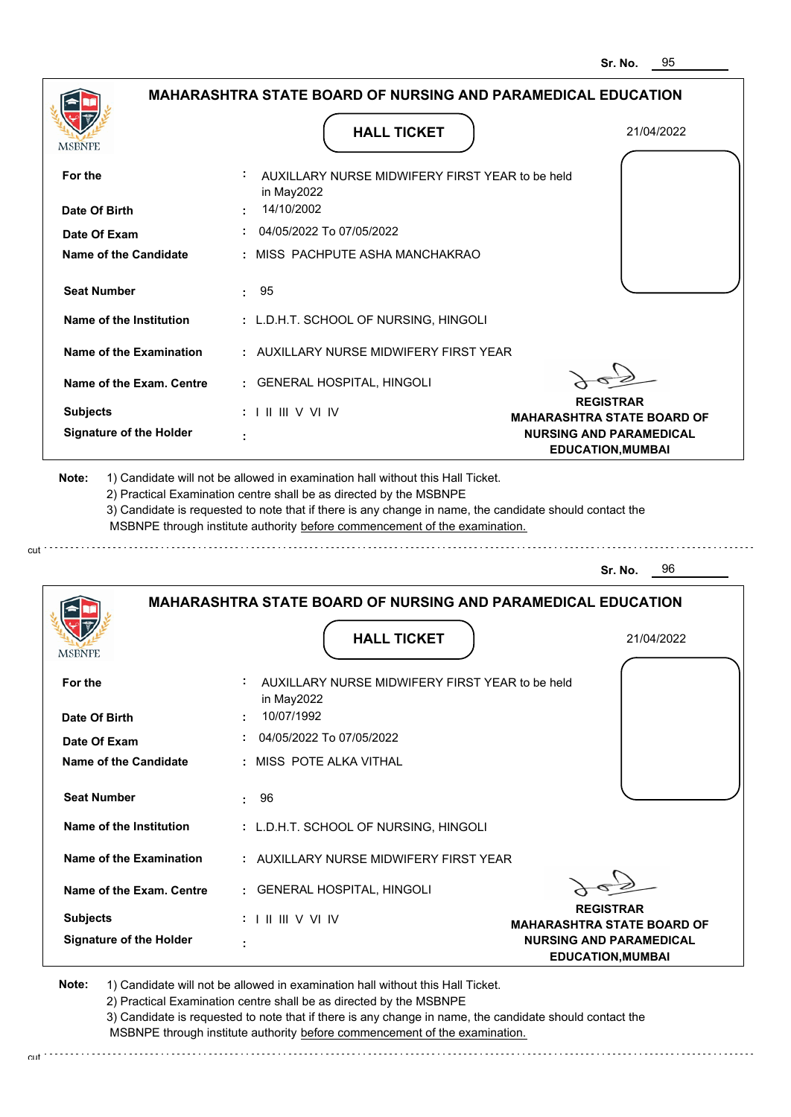|                                |                                                                                                                                                                                                                                                                                                                                               | 31. NV.<br>◡                                               |
|--------------------------------|-----------------------------------------------------------------------------------------------------------------------------------------------------------------------------------------------------------------------------------------------------------------------------------------------------------------------------------------------|------------------------------------------------------------|
|                                | <b>MAHARASHTRA STATE BOARD OF NURSING AND PARAMEDICAL EDUCATION</b>                                                                                                                                                                                                                                                                           |                                                            |
| MSBNPE                         | <b>HALL TICKET</b>                                                                                                                                                                                                                                                                                                                            | 21/04/2022                                                 |
| For the                        | AUXILLARY NURSE MIDWIFERY FIRST YEAR to be held<br>in May2022                                                                                                                                                                                                                                                                                 |                                                            |
| Date Of Birth                  | 14/10/2002                                                                                                                                                                                                                                                                                                                                    |                                                            |
| Date Of Exam                   | 04/05/2022 To 07/05/2022                                                                                                                                                                                                                                                                                                                      |                                                            |
| <b>Name of the Candidate</b>   | : MISS PACHPUTE ASHA MANCHAKRAO                                                                                                                                                                                                                                                                                                               |                                                            |
| <b>Seat Number</b>             | 95<br>÷.                                                                                                                                                                                                                                                                                                                                      |                                                            |
| Name of the Institution        | : L.D.H.T. SCHOOL OF NURSING, HINGOLI                                                                                                                                                                                                                                                                                                         |                                                            |
| Name of the Examination        | : AUXILLARY NURSE MIDWIFERY FIRST YEAR                                                                                                                                                                                                                                                                                                        |                                                            |
| Name of the Exam. Centre       | : GENERAL HOSPITAL, HINGOLI                                                                                                                                                                                                                                                                                                                   |                                                            |
| <b>Subjects</b>                | $: 1 \mathbb{H} \mathbb{H} \vee \mathbb{V} \mathbb{N}$                                                                                                                                                                                                                                                                                        | <b>REGISTRAR</b><br><b>MAHARASHTRA STATE BOARD OF</b>      |
| <b>Signature of the Holder</b> | ÷                                                                                                                                                                                                                                                                                                                                             | <b>NURSING AND PARAMEDICAL</b><br><b>EDUCATION, MUMBAI</b> |
| Note:                          | 1) Candidate will not be allowed in examination hall without this Hall Ticket.<br>2) Practical Examination centre shall be as directed by the MSBNPE<br>3) Candidate is requested to note that if there is any change in name, the candidate should contact the<br>MSBNPE through institute authority before commencement of the examination. |                                                            |
|                                |                                                                                                                                                                                                                                                                                                                                               | - 96<br>Sr. No.                                            |
|                                | <b>MAHARASHTRA STATE BOARD OF NURSING AND PARAMEDICAL EDUCATION</b>                                                                                                                                                                                                                                                                           |                                                            |
| MSBNPE                         | <b>HALL TICKET</b>                                                                                                                                                                                                                                                                                                                            | 21/04/2022                                                 |
| For the                        | AUXILLARY NURSE MIDWIFERY FIRST YEAR to be held<br>in May2022                                                                                                                                                                                                                                                                                 |                                                            |
| Date Of Birth                  | 10/07/1992                                                                                                                                                                                                                                                                                                                                    |                                                            |
| Date Of Exam                   | 04/05/2022 To 07/05/2022                                                                                                                                                                                                                                                                                                                      |                                                            |
| Name of the Candidate          | : MISS POTE ALKA VITHAL                                                                                                                                                                                                                                                                                                                       |                                                            |
| <b>Seat Number</b>             | 96<br>$\bullet$                                                                                                                                                                                                                                                                                                                               |                                                            |
| Name of the Institution        | : L.D.H.T. SCHOOL OF NURSING, HINGOLI                                                                                                                                                                                                                                                                                                         |                                                            |
| Name of the Examination        | : AUXILLARY NURSE MIDWIFERY FIRST YEAR                                                                                                                                                                                                                                                                                                        |                                                            |
| Name of the Exam. Centre       | : GENERAL HOSPITAL, HINGOLI                                                                                                                                                                                                                                                                                                                   |                                                            |
| <b>Subjects</b>                | $: 1 \mathbb{H} \mathbb{H} \vee \mathbb{V} \mathbb{W}$                                                                                                                                                                                                                                                                                        | <b>REGISTRAR</b><br><b>MAHARASHTRA STATE BOARD OF</b>      |

cut

2) Practical Examination centre shall be as directed by the MSBNPE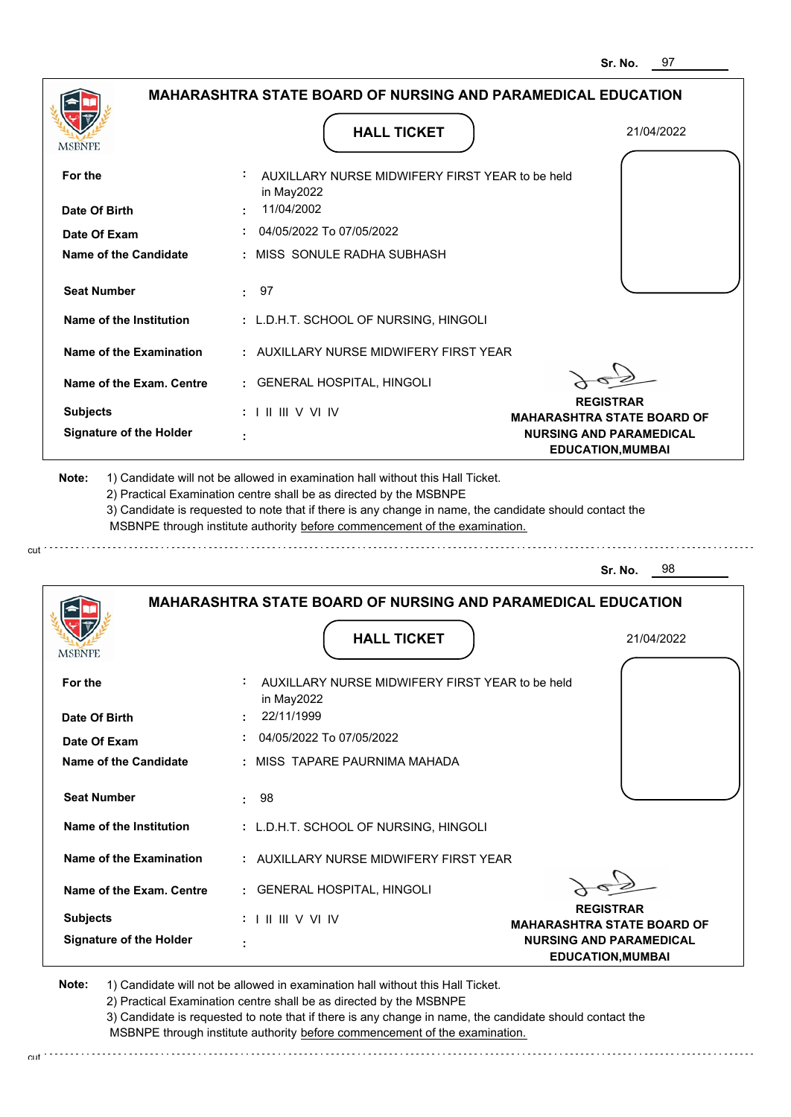|                                |                                                                                           | อเ. เงบ.<br>J 1                                            |
|--------------------------------|-------------------------------------------------------------------------------------------|------------------------------------------------------------|
|                                | <b>MAHARASHTRA STATE BOARD OF NURSING AND PARAMEDICAL EDUCATION</b>                       |                                                            |
| MSBNPE                         | <b>HALL TICKET</b>                                                                        | 21/04/2022                                                 |
| For the                        | AUXILLARY NURSE MIDWIFERY FIRST YEAR to be held<br>in May2022                             |                                                            |
| Date Of Birth                  | 11/04/2002                                                                                |                                                            |
| Date Of Exam                   | 04/05/2022 To 07/05/2022                                                                  |                                                            |
| Name of the Candidate          | : MISS SONULE RADHA SUBHASH                                                               |                                                            |
| <b>Seat Number</b>             | 97<br>÷.                                                                                  |                                                            |
| Name of the Institution        | : L.D.H.T. SCHOOL OF NURSING, HINGOLI                                                     |                                                            |
| Name of the Examination        | : AUXILLARY NURSE MIDWIFERY FIRST YEAR                                                    |                                                            |
| Name of the Exam. Centre       | : GENERAL HOSPITAL, HINGOLI                                                               | <b>REGISTRAR</b>                                           |
| <b>Subjects</b>                | $: 1 \mathbb{H} \mathbb{H} \vee \mathbb{V} \mathbb{N}$                                    | <b>MAHARASHTRA STATE BOARD OF</b>                          |
| <b>Signature of the Holder</b> |                                                                                           | <b>NURSING AND PARAMEDICAL</b><br><b>EDUCATION, MUMBAI</b> |
|                                | MSBNPE through institute authority before commencement of the examination.                | 98<br>Sr. No.                                              |
| MSBNPE                         | <b>MAHARASHTRA STATE BOARD OF NURSING AND PARAMEDICAL EDUCATION</b><br><b>HALL TICKET</b> | 21/04/2022                                                 |
| For the                        | AUXILLARY NURSE MIDWIFERY FIRST YEAR to be held<br>in May2022                             |                                                            |
| Date Of Birth                  | 22/11/1999                                                                                |                                                            |
| Date Of Exam                   | 04/05/2022 To 07/05/2022                                                                  |                                                            |
| Name of the Candidate          | : MISS TAPARE PAURNIMA MAHADA                                                             |                                                            |
| <b>Seat Number</b>             | 98<br>t.                                                                                  |                                                            |
| Name of the Institution        | : L.D.H.T. SCHOOL OF NURSING, HINGOLI                                                     |                                                            |
| Name of the Examination        | : AUXILLARY NURSE MIDWIFERY FIRST YEAR                                                    |                                                            |
| Name of the Exam. Centre       | : GENERAL HOSPITAL, HINGOLI                                                               | <b>REGISTRAR</b>                                           |
| <b>Subjects</b>                | : 1 II III V VI IV                                                                        | <b>MAHARASHTRA STATE BOARD OF</b>                          |
| <b>Signature of the Holder</b> |                                                                                           | <b>NURSING AND PARAMEDICAL</b><br><b>EDUCATION, MUMBAI</b> |

cut

2) Practical Examination centre shall be as directed by the MSBNPE